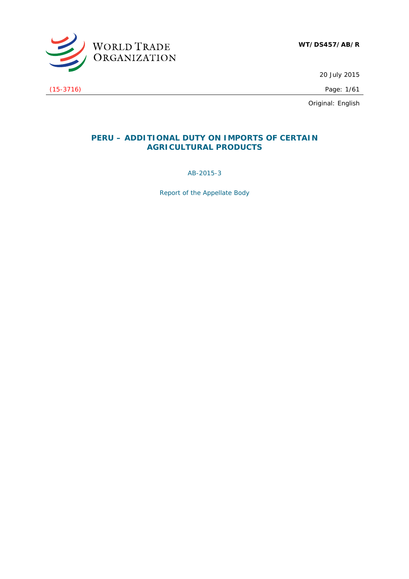

20 July 2015

Original: English

# **PERU – ADDITIONAL DUTY ON IMPORTS OF CERTAIN AGRICULTURAL PRODUCTS**

AB-2015-3

*Report of the Appellate Body* 

(15-3716) Page: 1/61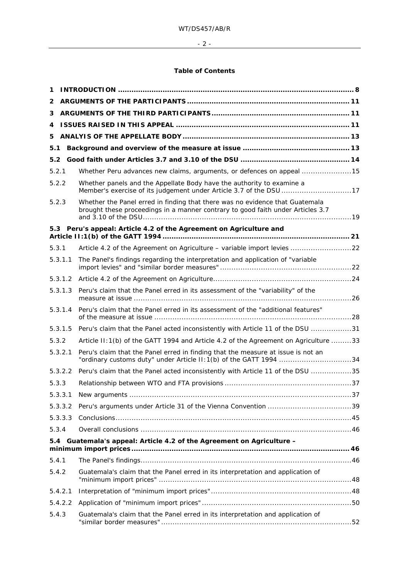$- 2 -$ 

# **Table of Contents**

| 1     |         |                                                                                                                                                                 |  |
|-------|---------|-----------------------------------------------------------------------------------------------------------------------------------------------------------------|--|
| 2     |         |                                                                                                                                                                 |  |
| 3     |         |                                                                                                                                                                 |  |
| 4     |         |                                                                                                                                                                 |  |
| 5     |         |                                                                                                                                                                 |  |
| 5.1   |         |                                                                                                                                                                 |  |
| 5.2   |         |                                                                                                                                                                 |  |
| 5.2.1 |         | Whether Peru advances new claims, arguments, or defences on appeal 15                                                                                           |  |
| 5.2.2 |         | Whether panels and the Appellate Body have the authority to examine a<br>Member's exercise of its judgement under Article 3.7 of the DSU 17                     |  |
| 5.2.3 |         | Whether the Panel erred in finding that there was no evidence that Guatemala<br>brought these proceedings in a manner contrary to good faith under Articles 3.7 |  |
|       |         | 5.3 Peru's appeal: Article 4.2 of the Agreement on Agriculture and                                                                                              |  |
| 5.3.1 |         | Article 4.2 of the Agreement on Agriculture - variable import levies 22                                                                                         |  |
|       | 5.3.1.1 | The Panel's findings regarding the interpretation and application of "variable                                                                                  |  |
|       | 5.3.1.2 |                                                                                                                                                                 |  |
|       | 5.3.1.3 | Peru's claim that the Panel erred in its assessment of the "variability" of the                                                                                 |  |
|       | 5.3.1.4 | Peru's claim that the Panel erred in its assessment of the "additional features"                                                                                |  |
|       | 5.3.1.5 | Peru's claim that the Panel acted inconsistently with Article 11 of the DSU 31                                                                                  |  |
| 5.3.2 |         | Article II: 1(b) of the GATT 1994 and Article 4.2 of the Agreement on Agriculture 33                                                                            |  |
|       | 5.3.2.1 | Peru's claim that the Panel erred in finding that the measure at issue is not an<br>"ordinary customs duty" under Article II: 1(b) of the GATT 1994 34          |  |
|       | 5.3.2.2 | Peru's claim that the Panel acted inconsistently with Article 11 of the DSU 35                                                                                  |  |
| 5.3.3 |         |                                                                                                                                                                 |  |
|       | 5.3.3.1 |                                                                                                                                                                 |  |
|       | 5.3.3.2 |                                                                                                                                                                 |  |
|       | 5.3.3.3 |                                                                                                                                                                 |  |
| 5.3.4 |         |                                                                                                                                                                 |  |
| 5.4   |         | Guatemala's appeal: Article 4.2 of the Agreement on Agriculture -                                                                                               |  |
| 5.4.1 |         |                                                                                                                                                                 |  |
| 5.4.2 |         | Guatemala's claim that the Panel erred in its interpretation and application of                                                                                 |  |
|       | 5.4.2.1 |                                                                                                                                                                 |  |
|       | 5.4.2.2 |                                                                                                                                                                 |  |
| 5.4.3 |         | Guatemala's claim that the Panel erred in its interpretation and application of                                                                                 |  |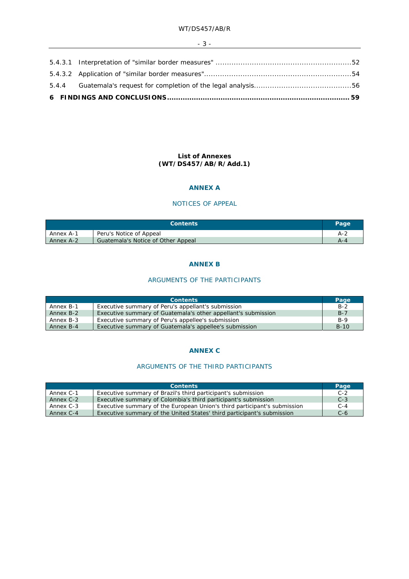### - 3 -

### **List of Annexes (WT/DS457/AB/R/Add.1)**

### **ANNEX A**

## NOTICES OF APPEAL

| <b>Contents</b> |                                    | Page |
|-----------------|------------------------------------|------|
| Annex A-1       | Peru's Notice of Appeal            | A-2  |
| Annex A-2       | Guatemala's Notice of Other Appeal | А-4  |

#### **ANNEX B**

# ARGUMENTS OF THE PARTICIPANTS

| <b>Contents</b> |                                                               |        |
|-----------------|---------------------------------------------------------------|--------|
| Annex B-1       | Executive summary of Peru's appellant's submission            | $B-2$  |
| Annex B-2       | Executive summary of Guatemala's other appellant's submission | $B-7$  |
| Annex B-3       | Executive summary of Peru's appellee's submission             | $B-9$  |
| Annex B-4       | Executive summary of Guatemala's appellee's submission        | $B-10$ |

# **ANNEX C**

# ARGUMENTS OF THE THIRD PARTICIPANTS

| <b>Contents</b> |                                                                          |       |
|-----------------|--------------------------------------------------------------------------|-------|
| Annex C-1       | Executive summary of Brazil's third participant's submission             | $C-2$ |
| Annex C-2       | Executive summary of Colombia's third participant's submission           | $C-3$ |
| Annex C-3       | Executive summary of the European Union's third participant's submission | $C-4$ |
| Annex C-4       | Executive summary of the United States' third participant's submission   | $C-6$ |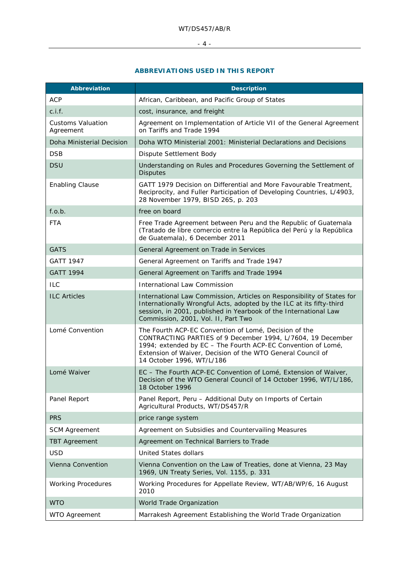# $-4$  -

# **ABBREVIATIONS USED IN THIS REPORT**

| <b>Abbreviation</b>                   | <b>Description</b>                                                                                                                                                                                                                                                               |
|---------------------------------------|----------------------------------------------------------------------------------------------------------------------------------------------------------------------------------------------------------------------------------------------------------------------------------|
| <b>ACP</b>                            | African, Caribbean, and Pacific Group of States                                                                                                                                                                                                                                  |
| c.i.f.                                | cost, insurance, and freight                                                                                                                                                                                                                                                     |
| <b>Customs Valuation</b><br>Agreement | Agreement on Implementation of Article VII of the General Agreement<br>on Tariffs and Trade 1994                                                                                                                                                                                 |
| Doha Ministerial Decision             | Doha WTO Ministerial 2001: Ministerial Declarations and Decisions                                                                                                                                                                                                                |
| <b>DSB</b>                            | Dispute Settlement Body                                                                                                                                                                                                                                                          |
| <b>DSU</b>                            | Understanding on Rules and Procedures Governing the Settlement of<br><b>Disputes</b>                                                                                                                                                                                             |
| <b>Enabling Clause</b>                | GATT 1979 Decision on Differential and More Favourable Treatment,<br>Reciprocity, and Fuller Participation of Developing Countries, L/4903,<br>28 November 1979, BISD 26S, p. 203                                                                                                |
| f.o.b.                                | free on board                                                                                                                                                                                                                                                                    |
| <b>FTA</b>                            | Free Trade Agreement between Peru and the Republic of Guatemala<br>(Tratado de libre comercio entre la República del Perú y la República<br>de Guatemala), 6 December 2011                                                                                                       |
| <b>GATS</b>                           | General Agreement on Trade in Services                                                                                                                                                                                                                                           |
| <b>GATT 1947</b>                      | General Agreement on Tariffs and Trade 1947                                                                                                                                                                                                                                      |
| <b>GATT 1994</b>                      | General Agreement on Tariffs and Trade 1994                                                                                                                                                                                                                                      |
| <b>ILC</b>                            | <b>International Law Commission</b>                                                                                                                                                                                                                                              |
| <b>ILC Articles</b>                   | International Law Commission, Articles on Responsibility of States for<br>Internationally Wrongful Acts, adopted by the ILC at its fifty-third<br>session, in 2001, published in Yearbook of the International Law<br>Commission, 2001, Vol. II, Part Two                        |
| Lomé Convention                       | The Fourth ACP-EC Convention of Lomé, Decision of the<br>CONTRACTING PARTIES of 9 December 1994, L/7604, 19 December<br>1994; extended by EC - The Fourth ACP-EC Convention of Lomé,<br>Extension of Waiver, Decision of the WTO General Council of<br>14 October 1996, WT/L/186 |
| Lomé Waiver                           | EC - The Fourth ACP-EC Convention of Lomé, Extension of Waiver,<br>Decision of the WTO General Council of 14 October 1996, WT/L/186,<br>18 October 1996                                                                                                                          |
| Panel Report                          | Panel Report, Peru - Additional Duty on Imports of Certain<br>Agricultural Products, WT/DS457/R                                                                                                                                                                                  |
| <b>PRS</b>                            | price range system                                                                                                                                                                                                                                                               |
| <b>SCM Agreement</b>                  | Agreement on Subsidies and Countervailing Measures                                                                                                                                                                                                                               |
| <b>TBT Agreement</b>                  | Agreement on Technical Barriers to Trade                                                                                                                                                                                                                                         |
| <b>USD</b>                            | <b>United States dollars</b>                                                                                                                                                                                                                                                     |
| Vienna Convention                     | Vienna Convention on the Law of Treaties, done at Vienna, 23 May<br>1969, UN Treaty Series, Vol. 1155, p. 331                                                                                                                                                                    |
| <b>Working Procedures</b>             | Working Procedures for Appellate Review, WT/AB/WP/6, 16 August<br>2010                                                                                                                                                                                                           |
| <b>WTO</b>                            | World Trade Organization                                                                                                                                                                                                                                                         |
| <b>WTO Agreement</b>                  | Marrakesh Agreement Establishing the World Trade Organization                                                                                                                                                                                                                    |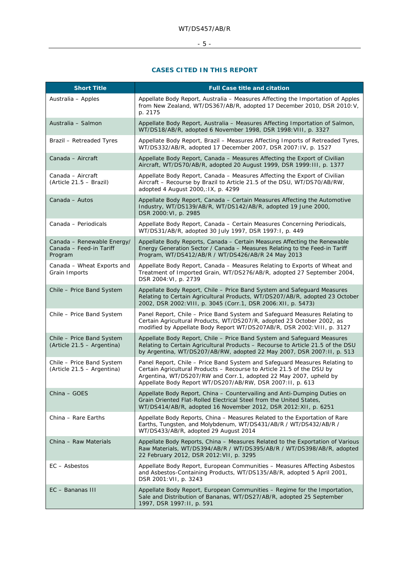# $-5 -$

# **CASES CITED IN THIS REPORT**

| <b>Short Title</b>                                               | <b>Full Case title and citation</b>                                                                                                                                                                                                                                                    |
|------------------------------------------------------------------|----------------------------------------------------------------------------------------------------------------------------------------------------------------------------------------------------------------------------------------------------------------------------------------|
| Australia - Apples                                               | Appellate Body Report, Australia - Measures Affecting the Importation of Apples<br>from New Zealand, WT/DS367/AB/R, adopted 17 December 2010, DSR 2010: V,<br>p. 2175                                                                                                                  |
| Australia - Salmon                                               | Appellate Body Report, Australia - Measures Affecting Importation of Salmon,<br>WT/DS18/AB/R, adopted 6 November 1998, DSR 1998: VIII, p. 3327                                                                                                                                         |
| <b>Brazil - Retreaded Tyres</b>                                  | Appellate Body Report, Brazil - Measures Affecting Imports of Retreaded Tyres,<br>WT/DS332/AB/R, adopted 17 December 2007, DSR 2007: IV, p. 1527                                                                                                                                       |
| Canada - Aircraft                                                | Appellate Body Report, Canada - Measures Affecting the Export of Civilian<br>Aircraft, WT/DS70/AB/R, adopted 20 August 1999, DSR 1999: III, p. 1377                                                                                                                                    |
| Canada - Aircraft<br>$(Article 21.5 - Brazil)$                   | Appellate Body Report, Canada - Measures Affecting the Export of Civilian<br>Aircraft - Recourse by Brazil to Article 21.5 of the DSU, WT/DS70/AB/RW,<br>adopted 4 August 2000,: IX, p. 4299                                                                                           |
| Canada - Autos                                                   | Appellate Body Report, Canada - Certain Measures Affecting the Automotive<br>Industry, WT/DS139/AB/R, WT/DS142/AB/R, adopted 19 June 2000,<br>DSR 2000: VI, p. 2985                                                                                                                    |
| Canada - Periodicals                                             | Appellate Body Report, Canada - Certain Measures Concerning Periodicals,<br>WT/DS31/AB/R, adopted 30 July 1997, DSR 1997:1, p. 449                                                                                                                                                     |
| Canada – Renewable Energy/<br>Canada - Feed-in Tariff<br>Program | Appellate Body Reports, Canada - Certain Measures Affecting the Renewable<br>Energy Generation Sector / Canada - Measures Relating to the Feed-in Tariff<br>Program, WT/DS412/AB/R / WT/DS426/AB/R 24 May 2013                                                                         |
| Canada - Wheat Exports and<br>Grain Imports                      | Appellate Body Report, Canada - Measures Relating to Exports of Wheat and<br>Treatment of Imported Grain, WT/DS276/AB/R, adopted 27 September 2004,<br>DSR 2004: VI, p. 2739                                                                                                           |
| Chile - Price Band System                                        | Appellate Body Report, Chile - Price Band System and Safeguard Measures<br>Relating to Certain Agricultural Products, WT/DS207/AB/R, adopted 23 October<br>2002, DSR 2002: VIII, p. 3045 (Corr.1, DSR 2006: XII, p. 5473)                                                              |
| Chile - Price Band System                                        | Panel Report, Chile - Price Band System and Safeguard Measures Relating to<br>Certain Agricultural Products, WT/DS207/R, adopted 23 October 2002, as<br>modified by Appellate Body Report WT/DS207AB/R, DSR 2002: VIII, p. 3127                                                        |
| Chile - Price Band System<br>(Article 21.5 - Argentina)          | Appellate Body Report, Chile - Price Band System and Safeguard Measures<br>Relating to Certain Agricultural Products - Recourse to Article 21.5 of the DSU<br>by Argentina, WT/DS207/AB/RW, adopted 22 May 2007, DSR 2007: II, p. 513                                                  |
| Chile - Price Band System<br>(Article 21.5 - Argentina)          | Panel Report, Chile - Price Band System and Safeguard Measures Relating to<br>Certain Agricultural Products - Recourse to Article 21.5 of the DSU by<br>Argentina, WT/DS207/RW and Corr.1, adopted 22 May 2007, upheld by<br>Appellate Body Report WT/DS207/AB/RW, DSR 2007:11, p. 613 |
| China - GOES                                                     | Appellate Body Report, China - Countervailing and Anti-Dumping Duties on<br>Grain Oriented Flat-Rolled Electrical Steel from the United States,<br>WT/DS414/AB/R, adopted 16 November 2012, DSR 2012: XII, p. 6251                                                                     |
| China – Rare Earths                                              | Appellate Body Reports, China - Measures Related to the Exportation of Rare<br>Earths, Tungsten, and Molybdenum, WT/DS431/AB/R / WT/DS432/AB/R /<br>WT/DS433/AB/R, adopted 29 August 2014                                                                                              |
| China - Raw Materials                                            | Appellate Body Reports, China - Measures Related to the Exportation of Various<br>Raw Materials, WT/DS394/AB/R / WT/DS395/AB/R / WT/DS398/AB/R, adopted<br>22 February 2012, DSR 2012: VII, p. 3295                                                                                    |
| EC - Asbestos                                                    | Appellate Body Report, European Communities - Measures Affecting Asbestos<br>and Asbestos-Containing Products, WT/DS135/AB/R, adopted 5 April 2001,<br>DSR 2001: VII, p. 3243                                                                                                          |
| EC - Bananas III                                                 | Appellate Body Report, European Communities - Regime for the Importation,<br>Sale and Distribution of Bananas, WT/DS27/AB/R, adopted 25 September<br>1997, DSR 1997: II, p. 591                                                                                                        |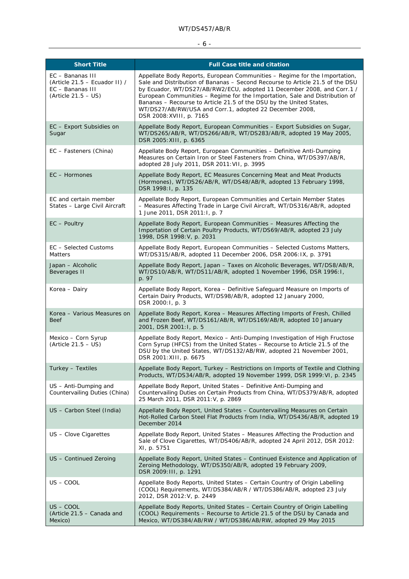# $-6 -$

| <b>Short Title</b>                                                                             | <b>Full Case title and citation</b>                                                                                                                                                                                                                                                                                                                                                                                                                                                |
|------------------------------------------------------------------------------------------------|------------------------------------------------------------------------------------------------------------------------------------------------------------------------------------------------------------------------------------------------------------------------------------------------------------------------------------------------------------------------------------------------------------------------------------------------------------------------------------|
| EC - Bananas III<br>(Article 21.5 – Ecuador II) /<br>EC – Bananas III<br>$(Article 21.5 - US)$ | Appellate Body Reports, European Communities – Regime for the Importation,<br>Sale and Distribution of Bananas - Second Recourse to Article 21.5 of the DSU<br>by Ecuador, WT/DS27/AB/RW2/ECU, adopted 11 December 2008, and Corr.1 /<br>European Communities - Regime for the Importation, Sale and Distribution of<br>Bananas - Recourse to Article 21.5 of the DSU by the United States,<br>WT/DS27/AB/RW/USA and Corr.1, adopted 22 December 2008,<br>DSR 2008: XVIII, p. 7165 |
| EC - Export Subsidies on<br>Sugar                                                              | Appellate Body Report, European Communities - Export Subsidies on Sugar,<br>WT/DS265/AB/R, WT/DS266/AB/R, WT/DS283/AB/R, adopted 19 May 2005,<br>DSR 2005: XIII, p. 6365                                                                                                                                                                                                                                                                                                           |
| EC - Fasteners (China)                                                                         | Appellate Body Report, European Communities - Definitive Anti-Dumping<br>Measures on Certain Iron or Steel Fasteners from China, WT/DS397/AB/R,<br>adopted 28 July 2011, DSR 2011: VII, p. 3995                                                                                                                                                                                                                                                                                    |
| $EC$ – Hormones                                                                                | Appellate Body Report, EC Measures Concerning Meat and Meat Products<br>(Hormones), WT/DS26/AB/R, WT/DS48/AB/R, adopted 13 February 1998,<br>DSR 1998: I, p. 135                                                                                                                                                                                                                                                                                                                   |
| EC and certain member<br>States - Large Civil Aircraft                                         | Appellate Body Report, European Communities and Certain Member States<br>- Measures Affecting Trade in Large Civil Aircraft, WT/DS316/AB/R, adopted<br>1 June 2011, DSR 2011:1, p. 7                                                                                                                                                                                                                                                                                               |
| $EC$ – Poultry                                                                                 | Appellate Body Report, European Communities - Measures Affecting the<br>Importation of Certain Poultry Products, WT/DS69/AB/R, adopted 23 July<br>1998, DSR 1998: V, p. 2031                                                                                                                                                                                                                                                                                                       |
| EC - Selected Customs<br><b>Matters</b>                                                        | Appellate Body Report, European Communities - Selected Customs Matters,<br>WT/DS315/AB/R, adopted 11 December 2006, DSR 2006: IX, p. 3791                                                                                                                                                                                                                                                                                                                                          |
| Japan - Alcoholic<br>Beverages II                                                              | Appellate Body Report, Japan - Taxes on Alcoholic Beverages, WT/DS8/AB/R,<br>WT/DS10/AB/R, WT/DS11/AB/R, adopted 1 November 1996, DSR 1996:1,<br>p. 97                                                                                                                                                                                                                                                                                                                             |
| Korea – Dairy                                                                                  | Appellate Body Report, Korea - Definitive Safeguard Measure on Imports of<br>Certain Dairy Products, WT/DS98/AB/R, adopted 12 January 2000,<br>DSR 2000:1, p. 3                                                                                                                                                                                                                                                                                                                    |
| Korea - Various Measures on<br>Beef                                                            | Appellate Body Report, Korea - Measures Affecting Imports of Fresh, Chilled<br>and Frozen Beef, WT/DS161/AB/R, WT/DS169/AB/R, adopted 10 January<br>2001, DSR 2001:1, p. 5                                                                                                                                                                                                                                                                                                         |
| Mexico - Corn Syrup<br>$(Article 21.5 - US)$                                                   | Appellate Body Report, Mexico - Anti-Dumping Investigation of High Fructose<br>Corn Syrup (HFCS) from the United States - Recourse to Article 21.5 of the<br>DSU by the United States, WT/DS132/AB/RW, adopted 21 November 2001,<br>DSR 2001: XIII, p. 6675                                                                                                                                                                                                                        |
| Turkey - Textiles                                                                              | Appellate Body Report, Turkey - Restrictions on Imports of Textile and Clothing<br>Products, WT/DS34/AB/R, adopted 19 November 1999, DSR 1999: VI, p. 2345                                                                                                                                                                                                                                                                                                                         |
| US - Anti-Dumping and<br>Countervailing Duties (China)                                         | Appellate Body Report, United States - Definitive Anti-Dumping and<br>Countervailing Duties on Certain Products from China, WT/DS379/AB/R, adopted<br>25 March 2011, DSR 2011: V, p. 2869                                                                                                                                                                                                                                                                                          |
| US - Carbon Steel (India)                                                                      | Appellate Body Report, United States - Countervailing Measures on Certain<br>Hot-Rolled Carbon Steel Flat Products from India, WT/DS436/AB/R, adopted 19<br>December 2014                                                                                                                                                                                                                                                                                                          |
| US - Clove Cigarettes                                                                          | Appellate Body Report, United States - Measures Affecting the Production and<br>Sale of Clove Cigarettes, WT/DS406/AB/R, adopted 24 April 2012, DSR 2012:<br>XI, p. 5751                                                                                                                                                                                                                                                                                                           |
| US - Continued Zeroing                                                                         | Appellate Body Report, United States - Continued Existence and Application of<br>Zeroing Methodology, WT/DS350/AB/R, adopted 19 February 2009,<br>DSR 2009: III, p. 1291                                                                                                                                                                                                                                                                                                           |
| US – COOL                                                                                      | Appellate Body Reports, United States - Certain Country of Origin Labelling<br>(COOL) Requirements, WT/DS384/AB/R / WT/DS386/AB/R, adopted 23 July<br>2012, DSR 2012: V, p. 2449                                                                                                                                                                                                                                                                                                   |
| US – COOL<br>(Article 21.5 - Canada and<br>Mexico)                                             | Appellate Body Reports, United States - Certain Country of Origin Labelling<br>(COOL) Requirements - Recourse to Article 21.5 of the DSU by Canada and<br>Mexico, WT/DS384/AB/RW / WT/DS386/AB/RW, adopted 29 May 2015                                                                                                                                                                                                                                                             |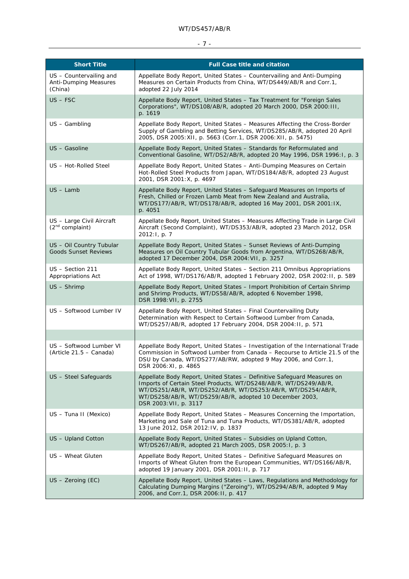# - 7 -

| <b>Short Title</b>                                                 | <b>Full Case title and citation</b>                                                                                                                                                                                                                                                             |
|--------------------------------------------------------------------|-------------------------------------------------------------------------------------------------------------------------------------------------------------------------------------------------------------------------------------------------------------------------------------------------|
| US - Countervailing and<br><b>Anti-Dumping Measures</b><br>(China) | Appellate Body Report, United States - Countervailing and Anti-Dumping<br>Measures on Certain Products from China, WT/DS449/AB/R and Corr.1,<br>adopted 22 July 2014                                                                                                                            |
| $US - FSC$                                                         | Appellate Body Report, United States - Tax Treatment for "Foreign Sales"<br>Corporations", WT/DS108/AB/R, adopted 20 March 2000, DSR 2000: III,<br>p. 1619                                                                                                                                      |
| US - Gambling                                                      | Appellate Body Report, United States - Measures Affecting the Cross-Border<br>Supply of Gambling and Betting Services, WT/DS285/AB/R, adopted 20 April<br>2005, DSR 2005: XII, p. 5663 (Corr.1, DSR 2006: XII, p. 5475)                                                                         |
| US - Gasoline                                                      | Appellate Body Report, United States - Standards for Reformulated and<br>Conventional Gasoline, WT/DS2/AB/R, adopted 20 May 1996, DSR 1996:1, p. 3                                                                                                                                              |
| US - Hot-Rolled Steel                                              | Appellate Body Report, United States - Anti-Dumping Measures on Certain<br>Hot-Rolled Steel Products from Japan, WT/DS184/AB/R, adopted 23 August<br>2001, DSR 2001: X, p. 4697                                                                                                                 |
| $US - Lamb$                                                        | Appellate Body Report, United States - Safeguard Measures on Imports of<br>Fresh, Chilled or Frozen Lamb Meat from New Zealand and Australia,<br>WT/DS177/AB/R, WT/DS178/AB/R, adopted 16 May 2001, DSR 2001:1X,<br>p. 4051                                                                     |
| US - Large Civil Aircraft<br>$(2^{nd}$ complaint)                  | Appellate Body Report, United States - Measures Affecting Trade in Large Civil<br>Aircraft (Second Complaint), WT/DS353/AB/R, adopted 23 March 2012, DSR<br>2012:1, p. 7                                                                                                                        |
| US - Oil Country Tubular<br><b>Goods Sunset Reviews</b>            | Appellate Body Report, United States - Sunset Reviews of Anti-Dumping<br>Measures on Oil Country Tubular Goods from Argentina, WT/DS268/AB/R,<br>adopted 17 December 2004, DSR 2004: VII, p. 3257                                                                                               |
| US - Section 211<br>Appropriations Act                             | Appellate Body Report, United States - Section 211 Omnibus Appropriations<br>Act of 1998, WT/DS176/AB/R, adopted 1 February 2002, DSR 2002: II, p. 589                                                                                                                                          |
| $US$ – Shrimp                                                      | Appellate Body Report, United States - Import Prohibition of Certain Shrimp<br>and Shrimp Products, WT/DS58/AB/R, adopted 6 November 1998,<br>DSR 1998: VII, p. 2755                                                                                                                            |
| US - Softwood Lumber IV                                            | Appellate Body Report, United States - Final Countervailing Duty<br>Determination with Respect to Certain Softwood Lumber from Canada,<br>WT/DS257/AB/R, adopted 17 February 2004, DSR 2004: II, p. 571                                                                                         |
|                                                                    |                                                                                                                                                                                                                                                                                                 |
| US – Softwood Lumber VI<br>(Article 21.5 - Canada)                 | Appellate Body Report, United States - Investigation of the International Trade<br>Commission in Softwood Lumber from Canada - Recourse to Article 21.5 of the<br>DSU by Canada, WT/DS277/AB/RW, adopted 9 May 2006, and Corr.1,<br>DSR 2006: XI, p. 4865                                       |
| US - Steel Safeguards                                              | Appellate Body Report, United States - Definitive Safeguard Measures on<br>Imports of Certain Steel Products, WT/DS248/AB/R, WT/DS249/AB/R,<br>WT/DS251/AB/R, WT/DS252/AB/R, WT/DS253/AB/R, WT/DS254/AB/R,<br>WT/DS258/AB/R, WT/DS259/AB/R, adopted 10 December 2003,<br>DSR 2003: VII, p. 3117 |
| US - Tuna II (Mexico)                                              | Appellate Body Report, United States - Measures Concerning the Importation,<br>Marketing and Sale of Tuna and Tuna Products, WT/DS381/AB/R, adopted<br>13 June 2012, DSR 2012: IV, p. 1837                                                                                                      |
| US - Upland Cotton                                                 | Appellate Body Report, United States - Subsidies on Upland Cotton,<br>WT/DS267/AB/R, adopted 21 March 2005, DSR 2005:1, p. 3                                                                                                                                                                    |
| US - Wheat Gluten                                                  | Appellate Body Report, United States - Definitive Safeguard Measures on<br>Imports of Wheat Gluten from the European Communities, WT/DS166/AB/R,<br>adopted 19 January 2001, DSR 2001: II, p. 717                                                                                               |
| $US$ – Zeroing (EC)                                                | Appellate Body Report, United States - Laws, Regulations and Methodology for<br>Calculating Dumping Margins ("Zeroing"), WT/DS294/AB/R, adopted 9 May<br>2006, and Corr.1, DSR 2006:11, p. 417                                                                                                  |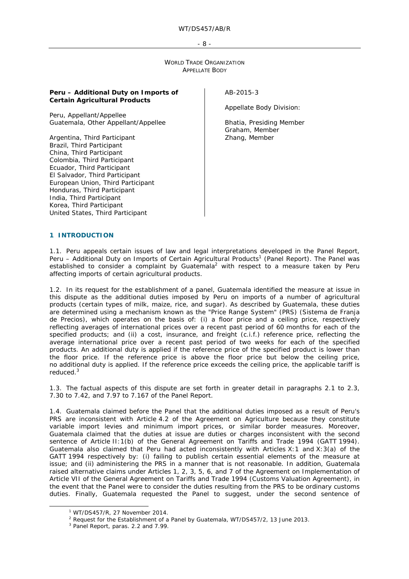- 8 -

WORLD TRADE ORGANIZATION APPELLATE BODY

#### **Peru – Additional Duty on Imports of Certain Agricultural Products**

Peru, *Appellant/Appellee* Guatemala, *Other Appellant/Appellee*

Argentina, *Third Participant* Brazil, *Third Participant* China, *Third Participant* Colombia, *Third Participant* Ecuador, *Third Participant* El Salvador, *Third Participant* European Union, *Third Participant* Honduras, *Third Participant* India, *Third Participant* Korea, *Third Participant* United States, *Third Participant*

AB-2015-3

Appellate Body Division:

Bhatia, Presiding Member Graham, Member Zhang, Member

#### **1 INTRODUCTION**

1.1. Peru appeals certain issues of law and legal interpretations developed in the Panel Report, Peru - Additional Duty on Imports of Certain Agricultural Products<sup>1</sup> (Panel Report). The Panel was established to consider a complaint by Guatemala<sup>2</sup> with respect to a measure taken by Peru affecting imports of certain agricultural products.

1.2. In its request for the establishment of a panel, Guatemala identified the measure at issue in this dispute as the additional duties imposed by Peru on imports of a number of agricultural products (certain types of milk, maize, rice, and sugar). As described by Guatemala, these duties are determined using a mechanism known as the "Price Range System" (PRS) (*Sistema de Franja de Precios*), which operates on the basis of: (i) a floor price and a ceiling price, respectively reflecting averages of international prices over a recent past period of 60 months for each of the specified products; and (ii) a cost, insurance, and freight (c.i.f.) reference price, reflecting the average international price over a recent past period of two weeks for each of the specified products. An additional duty is applied if the reference price of the specified product is lower than the floor price. If the reference price is above the floor price but below the ceiling price, no additional duty is applied. If the reference price exceeds the ceiling price, the applicable tariff is reduced.<sup>3</sup>

1.3. The factual aspects of this dispute are set forth in greater detail in paragraphs 2.1 to 2.3, 7.30 to 7.42, and 7.97 to 7.167 of the Panel Report.

1.4. Guatemala claimed before the Panel that the additional duties imposed as a result of Peru's PRS are inconsistent with Article 4.2 of the Agreement on Agriculture because they constitute variable import levies and minimum import prices, or similar border measures. Moreover, Guatemala claimed that the duties at issue are duties or charges inconsistent with the second sentence of Article II:1(b) of the General Agreement on Tariffs and Trade 1994 (GATT 1994). Guatemala also claimed that Peru had acted inconsistently with Articles X:1 and X:3(a) of the GATT 1994 respectively by: (i) failing to publish certain essential elements of the measure at issue; and (ii) administering the PRS in a manner that is not reasonable. In addition, Guatemala raised alternative claims under Articles 1, 2, 3, 5, 6, and 7 of the Agreement on Implementation of Article VII of the General Agreement on Tariffs and Trade 1994 (Customs Valuation Agreement), in the event that the Panel were to consider the duties resulting from the PRS to be ordinary customs duties. Finally, Guatemala requested the Panel to suggest, under the second sentence of

 $\frac{1}{1}$ WT/DS457/R, 27 November 2014.

<sup>&</sup>lt;sup>2</sup> Request for the Establishment of a Panel by Guatemala, WT/DS457/2, 13 June 2013.

<sup>&</sup>lt;sup>3</sup> Panel Report, paras. 2.2 and 7.99.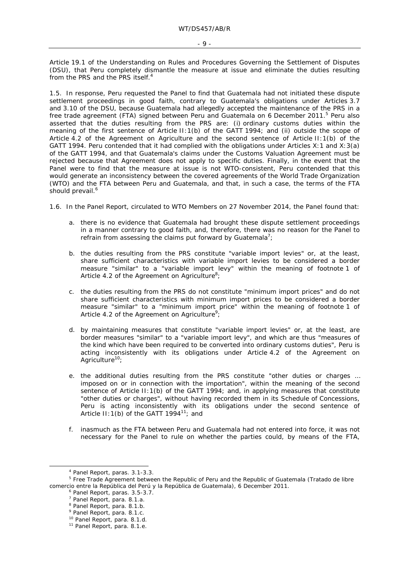Article 19.1 of the Understanding on Rules and Procedures Governing the Settlement of Disputes (DSU), that Peru completely dismantle the measure at issue and eliminate the duties resulting from the PRS and the PRS itself.<sup>4</sup>

1.5. In response, Peru requested the Panel to find that Guatemala had not initiated these dispute settlement proceedings in good faith, contrary to Guatemala's obligations under Articles 3.7 and 3.10 of the DSU, because Guatemala had allegedly accepted the maintenance of the PRS in a free trade agreement (FTA) signed between Peru and Guatemala on 6 December 2011.<sup>5</sup> Peru also asserted that the duties resulting from the PRS are: (i) ordinary customs duties within the meaning of the first sentence of Article II:1(b) of the GATT 1994; and (ii) outside the scope of Article 4.2 of the Agreement on Agriculture and the second sentence of Article II:1(b) of the GATT 1994. Peru contended that it had complied with the obligations under Articles X:1 and X:3(a) of the GATT 1994, and that Guatemala's claims under the Customs Valuation Agreement must be rejected because that Agreement does not apply to specific duties. Finally, in the event that the Panel were to find that the measure at issue is not WTO-consistent, Peru contended that this would generate an inconsistency between the covered agreements of the World Trade Organization (WTO) and the FTA between Peru and Guatemala, and that, in such a case, the terms of the FTA should prevail.<sup>6</sup>

1.6. In the Panel Report, circulated to WTO Members on 27 November 2014, the Panel found that:

- a. there is no evidence that Guatemala had brought these dispute settlement proceedings in a manner contrary to good faith, and, therefore, there was no reason for the Panel to refrain from assessing the claims put forward by Guatemala<sup>7</sup>;
- b. the duties resulting from the PRS constitute "variable import levies" or, at the least, share sufficient characteristics with variable import levies to be considered a border measure "similar" to a "variable import levy" within the meaning of footnote 1 of Article 4.2 of the Agreement on Agriculture<sup>8</sup>;
- c. the duties resulting from the PRS do not constitute "minimum import prices" and do not share sufficient characteristics with minimum import prices to be considered a border measure "similar" to a "minimum import price" within the meaning of footnote 1 of Article 4.2 of the Agreement on Agriculture<sup>9</sup>;
- d. by maintaining measures that constitute "variable import levies" or, at the least, are border measures "similar" to a "variable import levy", and which are thus "measures of the kind which have been required to be converted into ordinary customs duties", Peru is acting inconsistently with its obligations under Article 4.2 of the Agreement on Agriculture<sup>10</sup>;
- e. the additional duties resulting from the PRS constitute "other duties or charges … imposed on or in connection with the importation", within the meaning of the second sentence of Article II: 1(b) of the GATT 1994; and, in applying measures that constitute "other duties or charges", without having recorded them in its Schedule of Concessions, Peru is acting inconsistently with its obligations under the second sentence of Article II: 1(b) of the GATT  $1994^{11}$ ; and
- f. inasmuch as the FTA between Peru and Guatemala had not entered into force, it was not necessary for the Panel to rule on whether the parties could, by means of the FTA,

 $\frac{1}{4}$ <sup>4</sup> Panel Report, paras. 3.1-3.3.

<sup>5</sup> Free Trade Agreement between the Republic of Peru and the Republic of Guatemala (*Tratado de libre comercio entre la República del Perú y la República de Guatemala*), 6 December 2011.

<sup>&</sup>lt;sup>6</sup> Panel Report, paras. 3.5-3.7.

<sup>7</sup> Panel Report, para. 8.1.a.

<sup>&</sup>lt;sup>8</sup> Panel Report, para. 8.1.b.

<sup>&</sup>lt;sup>9</sup> Panel Report, para. 8.1.c.

<sup>&</sup>lt;sup>10</sup> Panel Report, para. 8.1.d.<br><sup>11</sup> Panel Report, para. 8.1.e.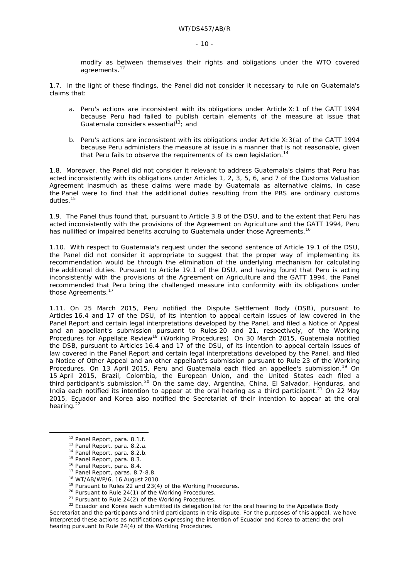modify as between themselves their rights and obligations under the WTO covered agreements.<sup>12</sup>

1.7. In the light of these findings, the Panel did not consider it necessary to rule on Guatemala's claims that:

- a. Peru's actions are inconsistent with its obligations under Article X:1 of the GATT 1994 because Peru had failed to publish certain elements of the measure at issue that Guatemala considers essential $13$ ; and
- b. Peru's actions are inconsistent with its obligations under Article X:3(a) of the GATT 1994 because Peru administers the measure at issue in a manner that is not reasonable, given that Peru fails to observe the requirements of its own legislation.<sup>14</sup>

1.8. Moreover, the Panel did not consider it relevant to address Guatemala's claims that Peru has acted inconsistently with its obligations under Articles 1, 2, 3, 5, 6, and 7 of the Customs Valuation Agreement inasmuch as these claims were made by Guatemala as alternative claims, in case the Panel were to find that the additional duties resulting from the PRS are ordinary customs duties.<sup>15</sup>

1.9. The Panel thus found that, pursuant to Article 3.8 of the DSU, and to the extent that Peru has acted inconsistently with the provisions of the Agreement on Agriculture and the GATT 1994, Peru has nullified or impaired benefits accruing to Guatemala under those Agreements.<sup>16</sup>

1.10. With respect to Guatemala's request under the second sentence of Article 19.1 of the DSU, the Panel did not consider it appropriate to suggest that the proper way of implementing its recommendation would be through the elimination of the underlying mechanism for calculating the additional duties. Pursuant to Article 19.1 of the DSU, and having found that Peru is acting inconsistently with the provisions of the Agreement on Agriculture and the GATT 1994, the Panel recommended that Peru bring the challenged measure into conformity with its obligations under those Agreements.<sup>17</sup>

1.11. On 25 March 2015, Peru notified the Dispute Settlement Body (DSB), pursuant to Articles 16.4 and 17 of the DSU, of its intention to appeal certain issues of law covered in the Panel Report and certain legal interpretations developed by the Panel, and filed a Notice of Appeal and an appellant's submission pursuant to Rules 20 and 21, respectively, of the Working Procedures for Appellate Review<sup>18</sup> (Working Procedures). On 30 March 2015, Guatemala notified the DSB, pursuant to Articles 16.4 and 17 of the DSU, of its intention to appeal certain issues of law covered in the Panel Report and certain legal interpretations developed by the Panel, and filed a Notice of Other Appeal and an other appellant's submission pursuant to Rule 23 of the Working Procedures. On 13 April 2015, Peru and Guatemala each filed an appellee's submission.<sup>19</sup> On 15 April 2015, Brazil, Colombia, the European Union, and the United States each filed a third participant's submission.<sup>20</sup> On the same day, Argentina, China, El Salvador, Honduras, and India each notified its intention to appear at the oral hearing as a third participant.<sup>21</sup> On 22 May 2015, Ecuador and Korea also notified the Secretariat of their intention to appear at the oral hearing.<sup>22</sup>

<sup>&</sup>lt;sup>12</sup> Panel Report, para. 8.1.f.<br><sup>13</sup> Panel Report, para. 8.2.a.<br><sup>14</sup> Panel Report, para. 8.2.b.<br><sup>15</sup> Panel Report, para. 8.3.<br><sup>16</sup> Panel Report, para. 8.3.<br><sup>17</sup> Panel Report, paras. 8.7-8.8.<br><sup>17</sup> Panel Report, paras. 8.7-Secretariat and the participants and third participants in this dispute. For the purposes of this appeal, we have interpreted these actions as notifications expressing the intention of Ecuador and Korea to attend the oral hearing pursuant to Rule 24(4) of the Working Procedures.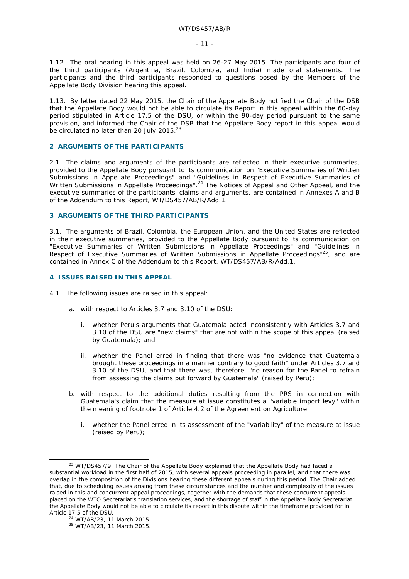1.12. The oral hearing in this appeal was held on 26-27 May 2015. The participants and four of the third participants (Argentina, Brazil, Colombia, and India) made oral statements. The participants and the third participants responded to questions posed by the Members of the Appellate Body Division hearing this appeal.

1.13. By letter dated 22 May 2015, the Chair of the Appellate Body notified the Chair of the DSB that the Appellate Body would not be able to circulate its Report in this appeal within the 60-day period stipulated in Article 17.5 of the DSU, or within the 90-day period pursuant to the same provision, and informed the Chair of the DSB that the Appellate Body report in this appeal would be circulated no later than 20 July 2015.<sup>23</sup>

#### **2 ARGUMENTS OF THE PARTICIPANTS**

2.1. The claims and arguments of the participants are reflected in their executive summaries, provided to the Appellate Body pursuant to its communication on "Executive Summaries of Written Submissions in Appellate Proceedings" and "Guidelines in Respect of Executive Summaries of Written Submissions in Appellate Proceedings".<sup>24</sup> The Notices of Appeal and Other Appeal, and the executive summaries of the participants' claims and arguments, are contained in Annexes A and B of the Addendum to this Report, WT/DS457/AB/R/Add.1.

#### **3 ARGUMENTS OF THE THIRD PARTICIPANTS**

3.1. The arguments of Brazil, Colombia, the European Union, and the United States are reflected in their executive summaries, provided to the Appellate Body pursuant to its communication on "Executive Summaries of Written Submissions in Appellate Proceedings" and "Guidelines in Respect of Executive Summaries of Written Submissions in Appellate Proceedings<sup>"25</sup>, and are contained in Annex C of the Addendum to this Report, WT/DS457/AB/R/Add.1.

#### **4 ISSUES RAISED IN THIS APPEAL**

- 4.1. The following issues are raised in this appeal:
	- a. with respect to Articles 3.7 and 3.10 of the DSU:
		- i. whether Peru's arguments that Guatemala acted inconsistently with Articles 3.7 and 3.10 of the DSU are "new claims" that are not within the scope of this appeal (raised by Guatemala); and
		- ii. whether the Panel erred in finding that there was "no evidence that Guatemala brought these proceedings in a manner contrary to good faith" under Articles 3.7 and 3.10 of the DSU, and that there was, therefore, "no reason for the Panel to refrain from assessing the claims put forward by Guatemala" (raised by Peru);
	- b. with respect to the additional duties resulting from the PRS in connection with Guatemala's claim that the measure at issue constitutes a "variable import levy" within the meaning of footnote 1 of Article 4.2 of the Agreement on Agriculture:
		- i. whether the Panel erred in its assessment of the "variability" of the measure at issue (raised by Peru);

 $23$  WT/DS457/9. The Chair of the Appellate Body explained that the Appellate Body had faced a substantial workload in the first half of 2015, with several appeals proceeding in parallel, and that there was overlap in the composition of the Divisions hearing these different appeals during this period. The Chair added that, due to scheduling issues arising from these circumstances and the number and complexity of the issues raised in this and concurrent appeal proceedings, together with the demands that these concurrent appeals placed on the WTO Secretariat's translation services, and the shortage of staff in the Appellate Body Secretariat, the Appellate Body would not be able to circulate its report in this dispute within the timeframe provided for in

Article 17.5 of the DSU.<br><sup>24</sup> WT/AB/23, 11 March 2015.<br><sup>25</sup> WT/AB/23, 11 March 2015.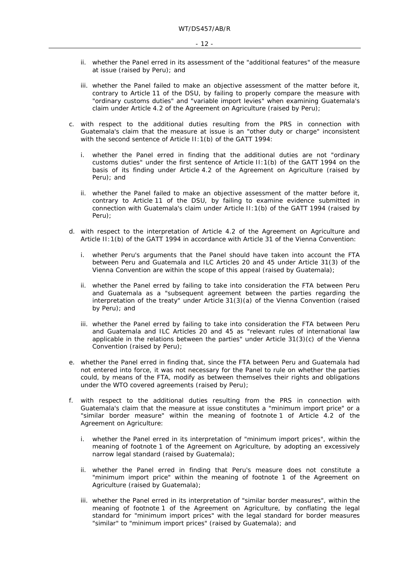- ii. whether the Panel erred in its assessment of the "additional features" of the measure at issue (raised by Peru); and
- iii. whether the Panel failed to make an objective assessment of the matter before it, contrary to Article 11 of the DSU, by failing to properly compare the measure with "ordinary customs duties" and "variable import levies" when examining Guatemala's claim under Article 4.2 of the Agreement on Agriculture (raised by Peru);
- c. with respect to the additional duties resulting from the PRS in connection with Guatemala's claim that the measure at issue is an "other duty or charge" inconsistent with the second sentence of Article II: 1(b) of the GATT 1994:
	- i. whether the Panel erred in finding that the additional duties are not "ordinary customs duties" under the first sentence of Article II:1(b) of the GATT 1994 on the basis of its finding under Article 4.2 of the Agreement on Agriculture (raised by Peru); and
	- ii. whether the Panel failed to make an objective assessment of the matter before it, contrary to Article 11 of the DSU, by failing to examine evidence submitted in connection with Guatemala's claim under Article II:1(b) of the GATT 1994 (raised by Peru);
- d. with respect to the interpretation of Article 4.2 of the Agreement on Agriculture and Article II:1(b) of the GATT 1994 in accordance with Article 31 of the Vienna Convention:
	- i. whether Peru's arguments that the Panel should have taken into account the FTA between Peru and Guatemala and ILC Articles 20 and 45 under Article 31(3) of the Vienna Convention are within the scope of this appeal (raised by Guatemala);
	- ii. whether the Panel erred by failing to take into consideration the FTA between Peru and Guatemala as a "subsequent agreement between the parties regarding the interpretation of the treaty" under Article 31(3)(a) of the Vienna Convention (raised by Peru); and
	- iii. whether the Panel erred by failing to take into consideration the FTA between Peru and Guatemala and ILC Articles 20 and 45 as "relevant rules of international law applicable in the relations between the parties" under Article 31(3)(c) of the Vienna Convention (raised by Peru);
- e. whether the Panel erred in finding that, since the FTA between Peru and Guatemala had not entered into force, it was not necessary for the Panel to rule on whether the parties could, by means of the FTA, modify as between themselves their rights and obligations under the WTO covered agreements (raised by Peru);
- f. with respect to the additional duties resulting from the PRS in connection with Guatemala's claim that the measure at issue constitutes a "minimum import price" or a "similar border measure" within the meaning of footnote 1 of Article 4.2 of the Agreement on Agriculture:
	- i. whether the Panel erred in its interpretation of "minimum import prices", within the meaning of footnote 1 of the Agreement on Agriculture, by adopting an excessively narrow legal standard (raised by Guatemala);
	- ii. whether the Panel erred in finding that Peru's measure does not constitute a "minimum import price" within the meaning of footnote 1 of the Agreement on Agriculture (raised by Guatemala);
	- iii. whether the Panel erred in its interpretation of "similar border measures", within the meaning of footnote 1 of the Agreement on Agriculture, by conflating the legal standard for "minimum import prices" with the legal standard for border measures "similar" to "minimum import prices" (raised by Guatemala); and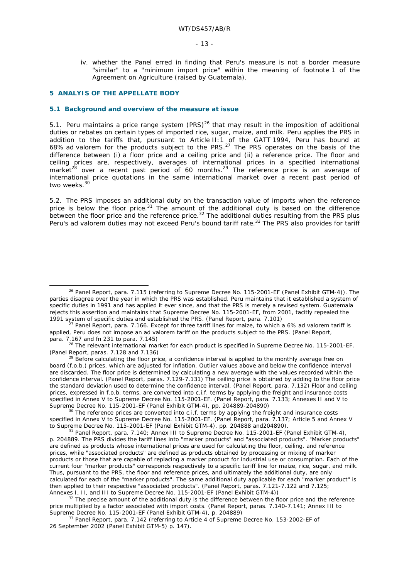iv. whether the Panel erred in finding that Peru's measure is not a border measure "similar" to a "minimum import price" within the meaning of footnote 1 of the Agreement on Agriculture (raised by Guatemala).

#### **5 ANALYIS OF THE APPELLATE BODY**

#### **5.1 Background and overview of the measure at issue**

5.1. Peru maintains a price range system  $(PRS)^{26}$  that may result in the imposition of additional duties or rebates on certain types of imported rice, sugar, maize, and milk. Peru applies the PRS in addition to the tariffs that, pursuant to Article II:1 of the GATT 1994, Peru has bound at 68% *ad valorem* for the products subject to the PRS.27 The PRS operates on the basis of the difference between (i) a floor price and a ceiling price and (ii) a reference price. The floor and ceiling prices are, respectively, averages of international prices in a specified international market<sup>28</sup> over a recent past period of 60 months.<sup>29</sup> The reference price is an average of international price quotations in the same international market over a recent past period of two weeks.<sup>30</sup>

5.2. The PRS imposes an additional duty on the transaction value of imports when the reference price is below the floor price.<sup>31</sup> The amount of the additional duty is based on the difference between the floor price and the reference price.<sup>32</sup> The additional duties resulting from the PRS plus Peru's *ad valorem* duties may not exceed Peru's bound tariff rate.<sup>33</sup> The PRS also provides for tariff

 $^{29}$  Before calculating the floor price, a confidence interval is applied to the monthly average free on board (f.o.b.) prices, which are adjusted for inflation. Outlier values above and below the confidence interval are discarded. The floor price is determined by calculating a new average with the values recorded within the confidence interval. (Panel Report, paras. 7.129-7.131) The ceiling price is obtained by adding to the floor price the standard deviation used to determine the confidence interval. (Panel Report, para. 7.132) Floor and ceiling prices, expressed in f.o.b. terms, are converted into c.i.f. terms by applying the freight and insurance costs specified in Annex V to Supreme Decree No. 115-2001-EF. (Panel Report, para. 7.133; Annexes II and V to Supreme Decree No. 115-2001-EF (Panel Exhibit GTM-4), pp. 204889-204890)

 $30$  The reference prices are converted into c.i.f. terms by applying the freight and insurance costs specified in Annex V to Supreme Decree No. 115-2001-EF. (Panel Report, para. 7.137; Article 5 and Annex V to Supreme Decree No. 115-2001-EF (Panel Exhibit GTM-4), pp. 204888 and 204890).<br><sup>31</sup> Panel Report, para. 7.140; Annex III to Supreme Decree No. 115-2001-EF (Panel Exhibit GTM-4),

p. 204889. The PRS divides the tariff lines into "marker products" and "associated products". "Marker products" are defined as products whose international prices are used for calculating the floor, ceiling, and reference prices, while "associated products" are defined as products obtained by processing or mixing of marker products or those that are capable of replacing a marker product for industrial use or consumption. Each of the current four "marker products" corresponds respectively to a specific tariff line for maize, rice, sugar, and milk. Thus, pursuant to the PRS, the floor and reference prices, and ultimately the additional duty, are only calculated for each of the "marker products". The same additional duty applicable for each "marker product" is then applied to their respective "associated products". (Panel Report, paras. 7.121-7.122 and 7.125;<br>Annexes I, II, and III to Supreme Decree No. 115-2001-EF (Panel Exhibit GTM-4))

 $32$  The precise amount of the additional duty is the difference between the floor price and the reference price multiplied by a factor associated with import costs. (Panel Report, paras. 7.140-7.141; Annex III to Supreme Decree No. 115-2001-EF (Panel Exhibit GTM-4), p. 204889)<br><sup>33</sup> Panel Report, para. 7.142 (referring to Article 4 of Supreme Decree No. 153-2002-EF of

26 September 2002 (Panel Exhibit GTM-5) p. 147).

<sup>&</sup>lt;sup>26</sup> Panel Report, para. 7.115 (referring to Supreme Decree No. 115-2001-EF (Panel Exhibit GTM-4)). The parties disagree over the year in which the PRS was established. Peru maintains that it established a system of specific duties in 1991 and has applied it ever since, and that the PRS is merely a revised system. Guatemala rejects this assertion and maintains that Supreme Decree No. 115-2001-EF, from 2001, tacitly repealed the 1991 system of specific duties and established the PRS. (Panel Report, para. 7.101)

Panel Report, para. 7.166. Except for three tariff lines for maize, to which a 6% *ad valorem* tariff is applied, Peru does not impose an *ad valorem* tariff on the products subject to the PRS. (Panel Report,

para. 7.167 and fn 231 to para. 7.145)<br><sup>28</sup> The relevant international market for each product is specified in Supreme Decree No. 115-2001-EF.<br>(Panel Report, paras. 7.128 and 7.136)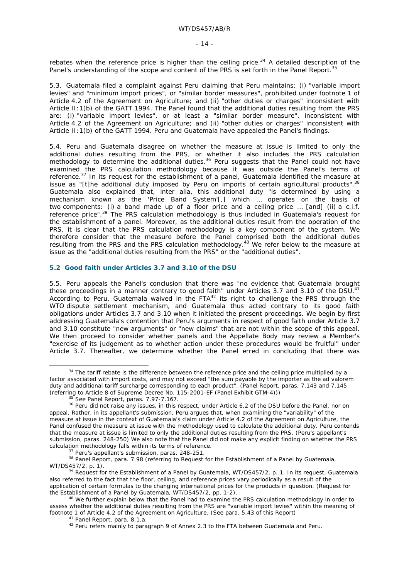rebates when the reference price is higher than the ceiling price.<sup>34</sup> A detailed description of the Panel's understanding of the scope and content of the PRS is set forth in the Panel Report.<sup>35</sup>

5.3. Guatemala filed a complaint against Peru claiming that Peru maintains: (i) "variable import levies" and "minimum import prices", or "similar border measures", prohibited under footnote 1 of Article 4.2 of the Agreement on Agriculture; and (ii) "other duties or charges" inconsistent with Article II:1(b) of the GATT 1994. The Panel found that the additional duties resulting from the PRS are: (i) "variable import levies", or at least a "similar border measure", inconsistent with Article 4.2 of the Agreement on Agriculture; and (ii) "other duties or charges" inconsistent with Article II:1(b) of the GATT 1994. Peru and Guatemala have appealed the Panel's findings.

5.4. Peru and Guatemala disagree on whether the measure at issue is limited to only the additional duties resulting from the PRS, or whether it also includes the PRS calculation methodology to determine the additional duties.<sup>36</sup> Peru suggests that the Panel could not have examined the PRS calculation methodology because it was outside the Panel's terms of reference.37 In its request for the establishment of a panel, Guatemala identified the measure at issue as "[t]he additional duty imposed by Peru on imports of certain agricultural products".  $38$ Guatemala also explained that, *inter alia*, this additional duty "is determined by using a mechanism known as the 'Price Band System'[,] which ... operates on the basis of two components: (i) a band made up of a floor price and a ceiling price ... [and] (ii) a c.i.f. reference price".<sup>39</sup> The PRS calculation methodology is thus included in Guatemala's request for the establishment of a panel. Moreover, as the additional duties result from the operation of the PRS, it is clear that the PRS calculation methodology is a key component of the system. We therefore consider that the measure before the Panel comprised both the additional duties resulting from the PRS and the PRS calculation methodology.<sup>40</sup> We refer below to the measure at issue as the "additional duties resulting from the PRS" or the "additional duties".

#### **5.2 Good faith under Articles 3.7 and 3.10 of the DSU**

5.5. Peru appeals the Panel's conclusion that there was "no evidence that Guatemala brought these proceedings in a manner contrary to good faith" under Articles 3.7 and 3.10 of the DSU.<sup>41</sup> According to Peru, Guatemala waived in the FTA<sup>42</sup> its right to challenge the PRS through the WTO dispute settlement mechanism, and Guatemala thus acted contrary to its good faith obligations under Articles 3.7 and 3.10 when it initiated the present proceedings. We begin by first addressing Guatemala's contention that Peru's arguments in respect of good faith under Article 3.7 and 3.10 constitute "new arguments" or "new claims" that are not within the scope of this appeal. We then proceed to consider whether panels and the Appellate Body may review a Member's "exercise of its judgement as to whether action under these procedures would be fruitful" under Article 3.7. Thereafter, we determine whether the Panel erred in concluding that there was

<sup>&</sup>lt;sup>34</sup> The tariff rebate is the difference between the reference price and the ceiling price multiplied by a factor associated with import costs, and may not exceed "the sum payable by the importer as the *ad valorem*  duty and additional tariff surcharge corresponding to each product". (Panel Report, paras. 7.143 and 7.145 (referring to Article 8 of Supreme Decree No. 115-2001-EF (Panel Exhibit GTM-4)))

<sup>&</sup>lt;sup>35</sup> See Panel Report, paras. 7.97-7.167.<br><sup>36</sup> Peru did not raise any issues, in this respect, under Article 6.2 of the DSU before the Panel, nor on appeal. Rather, in its appellant's submission, Peru argues that, when examining the "variability" of the measure at issue in the context of Guatemala's claim under Article 4.2 of the Agreement on Agriculture, the Panel confused the measure at issue with the methodology used to calculate the additional duty. Peru contends that the measure at issue is limited to only the additional duties resulting from the PRS. (Peru's appellant's submission, paras. 248-250) We also note that the Panel did not make any explicit finding on whether the PRS

calculation methodology falls within its terms of reference.<br><sup>37</sup> Peru's appellant's submission, paras. 248-251.<br><sup>38</sup> Panel Report, para. 7.98 (referring to Request for the Establishment of a Panel by Guatemala,<br>WT/DS457/2

<sup>&</sup>lt;sup>39</sup> Request for the Establishment of a Panel by Guatemala, WT/DS457/2, p. 1. In its request, Guatemala also referred to the fact that the floor, ceiling, and reference prices vary periodically as a result of the application of certain formulas to the changing international prices for the products in question. (Request for the Establishment of a Panel by Guatemala, WT/DS457/2, pp. 1-2).

 $40$  We further explain below that the Panel had to examine the PRS calculation methodology in order to assess whether the additional duties resulting from the PRS are "variable import levies" within the meaning of footnote 1 of Article 4.2 of the Agreement on Agriculture. (See para. 5.43 of this Report)<br><sup>41</sup> Panel Report, para. 8.1.a.<br><sup>42</sup> Peru refers mainly to paragraph 9 of Annex 2.3 to the FTA between Guatemala and Peru.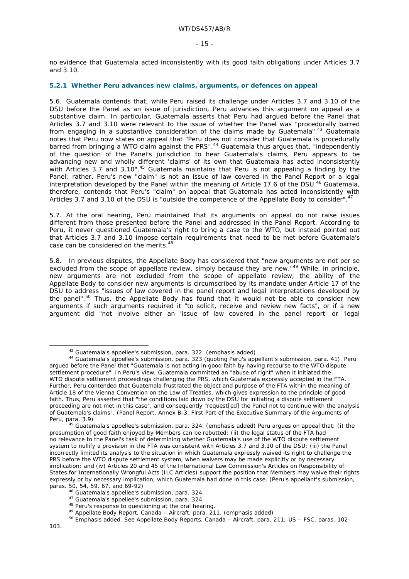no evidence that Guatemala acted inconsistently with its good faith obligations under Articles 3.7 and 3.10.

### **5.2.1 Whether Peru advances new claims, arguments, or defences on appeal**

5.6. Guatemala contends that, while Peru raised its challenge under Articles 3.7 and 3.10 of the DSU before the Panel as an issue of jurisdiction, Peru advances this argument on appeal as a substantive claim. In particular, Guatemala asserts that Peru had argued before the Panel that Articles 3.7 and 3.10 were relevant to the issue of whether the Panel was "*procedurally barred* from engaging in a substantive consideration of the claims made by Guatemala".<sup>43</sup> Guatemala notes that Peru now states on appeal that "Peru does not consider that Guatemala is procedurally barred from bringing a WTO claim against the PRS".44 Guatemala thus argues that, "*independently of the question of the Panel's jurisdiction* to hear Guatemala's claims, Peru appears to be advancing new and wholly different 'claims' of its own that Guatemala has acted inconsistently with Articles 3.7 and 3.10".<sup>45</sup> Guatemala maintains that Peru is not appealing a finding by the Panel; rather, Peru's new "claim" is not an issue of law covered in the Panel Report or a legal interpretation developed by the Panel within the meaning of Article 17.6 of the DSU.<sup>46</sup> Guatemala, therefore, contends that Peru's "claim" on appeal that Guatemala has acted inconsistently with Articles 3.7 and 3.10 of the DSU is "outside the competence of the Appellate Body to consider".<sup>47</sup>

5.7. At the oral hearing, Peru maintained that its arguments on appeal do not raise issues different from those presented before the Panel and addressed in the Panel Report. According to Peru, it never questioned Guatemala's right to bring a case to the WTO, but instead pointed out that Articles 3.7 and 3.10 impose certain requirements that need to be met before Guatemala's case can be considered on the merits.<sup>48</sup>

5.8. In previous disputes, the Appellate Body has considered that "new arguments are not *per se*  excluded from the scope of appellate review, *simply because they are new*."49 While, in principle, new arguments are not excluded from the scope of appellate review, the ability of the Appellate Body to consider new arguments is circumscribed by its mandate under Article 17 of the DSU to address "*issues of law* covered in the panel report and *legal interpretations* developed by the panel".<sup>50</sup> Thus, the Appellate Body has found that it would not be able to consider new arguments if such arguments required it "to solicit, receive and review new facts", or if a new argument did "not involve either an 'issue of law covered in the panel report' or 'legal

<sup>&</sup>lt;sup>43</sup> Guatemala's appellee's submission, para. 322. (emphasis added)<br><sup>44</sup> Guatemala's appellee's submission, para. 323 (quoting Peru's appellant's submission, para. 41). Peru argued before the Panel that "Guatemala is not acting in good faith by having recourse to the WTO dispute settlement procedure". In Peru's view, Guatemala committed an "abuse of right" when it initiated the WTO dispute settlement proceedings challenging the PRS, which Guatemala expressly accepted in the FTA. Further, Peru contended that Guatemala frustrated the object and purpose of the FTA within the meaning of Article 18 of the Vienna Convention on the Law of Treaties, which gives expression to the principle of good faith. Thus, Peru asserted that "the conditions laid down by the DSU for initiating a dispute settlement proceeding are not met in this case", and consequently "request[ed] the Panel not to continue with the analysis of Guatemala's claims". (Panel Report, Annex B-3, First Part of the Executive Summary of the Arguments of Peru, para. 3.9) 45 Guatemala's appellee's submission, para. 324. (emphasis added) Peru argues on appeal that: (i) the

presumption of good faith enjoyed by Members can be rebutted; (ii) the legal status of the FTA had no relevance to the Panel's task of determining whether Guatemala's use of the WTO dispute settlement system to nullify a provision in the FTA was consistent with Articles 3.7 and 3.10 of the DSU; (iii) the Panel incorrectly limited its analysis to the situation in which Guatemala expressly waived its right to challenge the PRS before the WTO dispute settlement system, when waivers may be made explicitly or by necessary implication; and (iv) Articles 20 and 45 of the International Law Commission's Articles on Responsibility of States for Internationally Wrongful Acts (ILC Articles) support the position that Members may waive their rights expressly or by necessary implication, which Guatemala had done in this case. (Peru's appellant's submission, paras. 50, 54, 59, 67, and 69-92)<br>
<sup>46</sup> Guatemala's appellee's submission, para. 324.<br>
<sup>47</sup> Guatemala's appellee's submission, para. 324.<br>
<sup>48</sup> Peru's response to questioning at the oral hearing.<br>
<sup>49</sup> Appellate Body Repo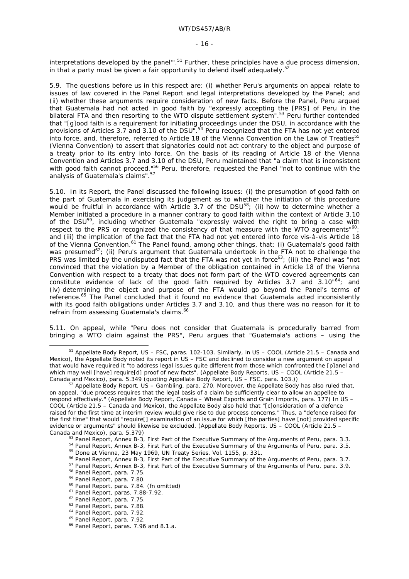#### - 16 -

interpretations developed by the panel"<sup>51</sup> Further, these principles have a due process dimension, in that a party must be given a fair opportunity to defend itself adequately.<sup>52</sup>

5.9. The questions before us in this respect are: (i) whether Peru's arguments on appeal relate to issues of law covered in the Panel Report and legal interpretations developed by the Panel; and (ii) whether these arguments require consideration of new facts. Before the Panel, Peru argued that Guatemala had not acted in good faith by "expressly accepting the [PRS] of Peru in the bilateral FTA and then resorting to the WTO dispute settlement system".53 Peru further contended that "[g]ood faith is a requirement for initiating proceedings under the DSU, in accordance with the provisions of Articles 3.7 and 3.10 of the DSU".<sup>54</sup> Peru recognized that the FTA has not yet entered into force, and, therefore, referred to Article 18 of the Vienna Convention on the Law of Treaties<sup>55</sup> (Vienna Convention) to assert that signatories could not act contrary to the object and purpose of a treaty prior to its entry into force. On the basis of its reading of Article 18 of the Vienna Convention and Articles 3.7 and 3.10 of the DSU, Peru maintained that "a claim that is inconsistent with good faith cannot proceed."<sup>56</sup> Peru, therefore, requested the Panel "not to continue with the analysis of Guatemala's claims".<sup>57</sup>

5.10. In its Report, the Panel discussed the following issues: (i) the presumption of good faith on the part of Guatemala in exercising its judgement as to whether the initiation of this procedure would be fruitful in accordance with Article 3.7 of the DSU<sup>58</sup>; (ii) how to determine whether a Member initiated a procedure in a manner contrary to good faith within the context of Article 3.10 of the DSU<sup>59</sup>, including whether Guatemala "expressly waived the right to bring a case with respect to the PRS or recognized the consistency of that measure with the WTO agreements" $60$ ; and (iii) the implication of the fact that the FTA had not yet entered into force vis-à-vis Article 18 of the Vienna Convention.<sup>61</sup> The Panel found, among other things, that: (i) Guatemala's good faith was presumed<sup>62</sup>; (ii) Peru's argument that Guatemala undertook in the FTA not to challenge the PRS was limited by the undisputed fact that the FTA was not yet in force<sup>63</sup>; (iii) the Panel was "not convinced that the violation by a Member of the obligation contained in Article 18 of the Vienna Convention with respect to a treaty that does not form part of the WTO covered agreements can constitute evidence of lack of the good faith required by Articles 3.7 and 3.10"64; and (iv) determining the object and purpose of the FTA would go beyond the Panel's terms of reference.<sup>65</sup> The Panel concluded that it found no evidence that Guatemala acted inconsistently with its good faith obligations under Articles 3.7 and 3.10, and thus there was no reason for it to refrain from assessing Guatemala's claims.<sup>66</sup>

5.11. On appeal, while "Peru does not consider that Guatemala is procedurally barred from bringing a WTO claim against the PRS", Peru argues that "Guatemala's actions – using the

 <sup>51</sup> Appellate Body Report, *US – FSC*, paras. 102-103. Similarly, in *US – COOL (Article 21.5 – Canada and Mexico)*, the Appellate Body noted its report in *US – FSC* and declined to consider a new argument on appeal that would have required it "to address legal issues quite different from those which confronted the [p]anel and which may well [have] require[d] proof of new facts". (Appellate Body Reports, *US – COOL (Article 21.5 – Canada and Mexico)*, para. 5.349 (quoting Appellate Body Report, *US – FSC*, para. 103.))

<sup>&</sup>lt;sup>52</sup> Appellate Body Report, *US – Gambling*, para. 270. Moreover, the Appellate Body has also ruled that, on appeal, "due process requires that the legal basis of a claim be sufficiently clear to allow an appellee to respond effectively." (Appellate Body Report, *Canada – Wheat Exports and Grain Imports,* para. 177) In *US – COOL (Article 21.5 – Canada and Mexico)*, the Appellate Body also held that "[c]onsideration of a defence raised for the first time at interim review would give rise to due process concerns." Thus, a "defence raised for the first time" that would "require[] examination of an issue for which [the parties] have [not] provided specific evidence or arguments" should likewise be excluded. (Appellate Body Reports, *US – COOL (Article 21.5 –* 

Canada and Mexico), para. 5.379)<br><sup>53</sup> Panel Report, Annex B-3, First Part of the Executive Summary of the Arguments of Peru, para. 3.3.<br><sup>54</sup> Panel Report, Annex B-3, First Part of the Executive Summary of the Arguments of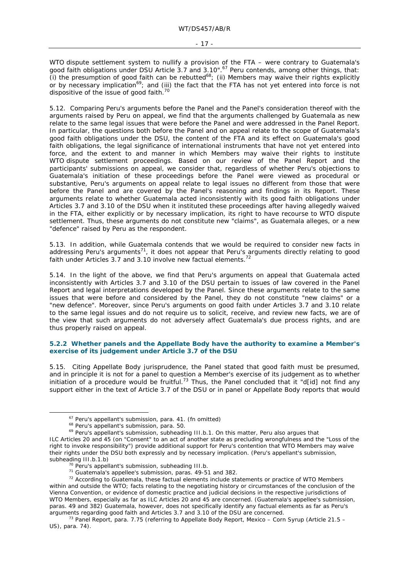WTO dispute settlement system to nullify a provision of the FTA – were contrary to Guatemala's good faith obligations under DSU Article 3.7 and 3.10".<sup>67</sup> Peru contends, among other things, that: (i) the presumption of good faith can be rebutted<sup>68</sup>; (ii) Members may waive their rights explicitly or by necessary implication<sup>69</sup>; and (iii) the fact that the FTA has not yet entered into force is not dispositive of the issue of good faith. $70$ 

5.12. Comparing Peru's arguments before the Panel and the Panel's consideration thereof with the arguments raised by Peru on appeal, we find that the arguments challenged by Guatemala as new relate to the same legal issues that were before the Panel and were addressed in the Panel Report. In particular, the questions both before the Panel and on appeal relate to the scope of Guatemala's good faith obligations under the DSU, the content of the FTA and its effect on Guatemala's good faith obligations, the legal significance of international instruments that have not yet entered into force, and the extent to and manner in which Members may waive their rights to institute WTO dispute settlement proceedings. Based on our review of the Panel Report and the participants' submissions on appeal, we consider that, regardless of whether Peru's objections to Guatemala's initiation of these proceedings before the Panel were viewed as procedural or substantive, Peru's arguments on appeal relate to legal issues no different from those that were before the Panel and are covered by the Panel's reasoning and findings in its Report. These arguments relate to whether Guatemala acted inconsistently with its good faith obligations under Articles 3.7 and 3.10 of the DSU when it instituted these proceedings after having allegedly waived in the FTA, either explicitly or by necessary implication, its right to have recourse to WTO dispute settlement. Thus, these arguments do not constitute new "claims", as Guatemala alleges, or a new "defence" raised by Peru as the respondent.

5.13. In addition, while Guatemala contends that we would be required to consider new facts in addressing Peru's arguments<sup>71</sup>, it does not appear that Peru's arguments directly relating to good faith under Articles 3.7 and 3.10 involve new factual elements.<sup>72</sup>

5.14. In the light of the above, we find that Peru's arguments on appeal that Guatemala acted inconsistently with Articles 3.7 and 3.10 of the DSU pertain to issues of law covered in the Panel Report and legal interpretations developed by the Panel. Since these arguments relate to the same issues that were before and considered by the Panel, they do not constitute "new claims" or a "new defence". Moreover, since Peru's arguments on good faith under Articles 3.7 and 3.10 relate to the same legal issues and do not require us to solicit, receive, and review new facts, we are of the view that such arguments do not adversely affect Guatemala's due process rights, and are thus properly raised on appeal.

### **5.2.2 Whether panels and the Appellate Body have the authority to examine a Member's exercise of its judgement under Article 3.7 of the DSU**

5.15. Citing Appellate Body jurisprudence, the Panel stated that good faith must be presumed, and in principle it is not for a panel to question a Member's exercise of its judgement as to whether initiation of a procedure would be fruitful.<sup>73</sup> Thus, the Panel concluded that it "d[id] not find any support either in the text of Article 3.7 of the DSU or in panel or Appellate Body reports that would

<sup>&</sup>lt;sup>67</sup> Peru's appellant's submission, para. 41. (fn omitted)<br><sup>68</sup> Peru's appellant's submission, para. 50.<br><sup>69</sup> Peru's appellant's submission, subheading III.b.1. On this matter, Peru also argues that

ILC Articles 20 and 45 (on "Consent" to an act of another state as precluding wrongfulness and the "Loss of the right to invoke responsibility") provide additional support for Peru's contention that WTO Members may waive their rights under the DSU both expressly and by necessary implication. (Peru's appellant's submission,

subheading III.b.1.b)<br><sup>70</sup> Peru's appellant's submission, subheading III.b.<br><sup>71</sup> Guatemala's appellee's submission, paras. 49-51 and 382.<br><sup>72</sup> According to Guatemala, these factual elements include statements or practice o within and outside the WTO; facts relating to the negotiating history or circumstances of the conclusion of the Vienna Convention, or evidence of domestic practice and judicial decisions in the respective jurisdictions of WTO Members, especially as far as ILC Articles 20 and 45 are concerned. (Guatemala's appellee's submission, paras. 49 and 382) Guatemala, however, does not specifically identify any factual elements as far as Peru's arguments regarding good faith and Articles 3.7 and 3.10 of the DSU are concerned.<br><sup>73</sup> Panel Report, para. 7.75 (referring to Appellate Body Report, *Mexico – Corn Syrup (Article 21.5 –* 

*US)*, para. 74).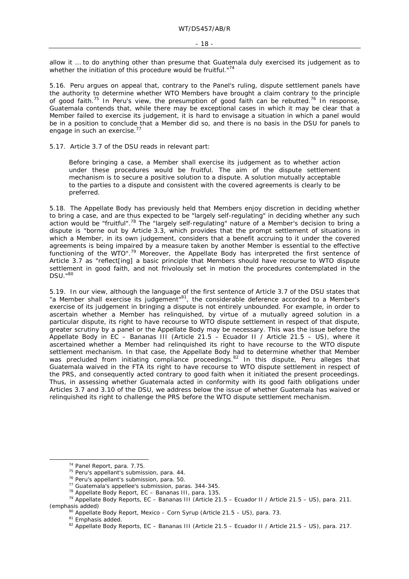allow it … to do anything other than presume that Guatemala duly exercised its judgement as to whether the initiation of this procedure would be fruitful."74

5.16. Peru argues on appeal that, contrary to the Panel's ruling, dispute settlement panels have the authority to determine whether WTO Members have brought a claim contrary to the principle of good faith.<sup>75</sup> In Peru's view, the presumption of good faith can be rebutted.<sup>76</sup> In response, Guatemala contends that, while there may be exceptional cases in which it may be clear that a Member failed to exercise its judgement, it is hard to envisage a situation in which a panel would be in a position to conclude that a Member did so, and there is no basis in the DSU for panels to engage in such an exercise.<sup>77</sup>

5.17. Article 3.7 of the DSU reads in relevant part:

Before bringing a case, a Member shall exercise its judgement as to whether action under these procedures would be fruitful. The aim of the dispute settlement mechanism is to secure a positive solution to a dispute. A solution mutually acceptable to the parties to a dispute and consistent with the covered agreements is clearly to be preferred.

5.18. The Appellate Body has previously held that Members enjoy discretion in deciding whether to bring a case, and are thus expected to be "largely self-regulating" in deciding whether any such action would be "fruitful".<sup>78</sup> The "largely self-regulating" nature of a Member's decision to bring a dispute is "borne out by Article 3.3, which provides that the prompt settlement of situations in which a Member, *in its own judgement*, considers that a benefit accruing to it under the covered agreements is being impaired by a measure taken by another Member is essential to the effective functioning of the WTO".<sup>79</sup> Moreover, the Appellate Body has interpreted the first sentence of Article 3.7 as "reflect[ing] a basic principle that Members should have recourse to WTO dispute settlement in good faith, and not frivolously set in motion the procedures contemplated in the DSU."80

5.19. In our view, although the language of the first sentence of Article 3.7 of the DSU states that "a Member shall exercise *its judgement*"81, the considerable deference accorded to a Member's exercise of its judgement in bringing a dispute is not entirely unbounded. For example, in order to ascertain whether a Member has relinquished, by virtue of a mutually agreed solution in a particular dispute, its right to have recourse to WTO dispute settlement in respect of that dispute, greater scrutiny by a panel or the Appellate Body may be necessary. This was the issue before the Appellate Body in *EC – Bananas III (Article 21.5 – Ecuador II / Article 21.5 – US)*, where it ascertained whether a Member had relinquished its right to have recourse to the WTO dispute settlement mechanism. In that case, the Appellate Body had to determine whether that Member was precluded from initiating compliance proceedings.<sup>82</sup> In this dispute, Peru alleges that Guatemala waived in the FTA its right to have recourse to WTO dispute settlement in respect of the PRS, and consequently acted contrary to good faith when it initiated the present proceedings. Thus, in assessing whether Guatemala acted in conformity with its good faith obligations under Articles 3.7 and 3.10 of the DSU, we address below the issue of whether Guatemala has waived or relinquished its right to challenge the PRS before the WTO dispute settlement mechanism.

<sup>&</sup>lt;sup>74</sup> Panel Report, para. 7.75.<br><sup>75</sup> Peru's appellant's submission, para. 44.<br><sup>76</sup> Peru's appellant's submission, para. 50.<br><sup>77</sup> Guatemala's appellee's submission, paras. 344-345.<br><sup>78</sup> Appellate Body Report, *EC* – *Banana* (emphasis added)<br><sup>80</sup> Appellate Body Report, *Mexico – Corn Syrup (Article 21.5 – US)*, para. 73.<br><sup>81</sup> Emphasis added.<br><sup>82</sup> Appellate Body Reports, *EC – Bananas III (Article 21.5 – Ecuador II / Article 21.5 – US),* para.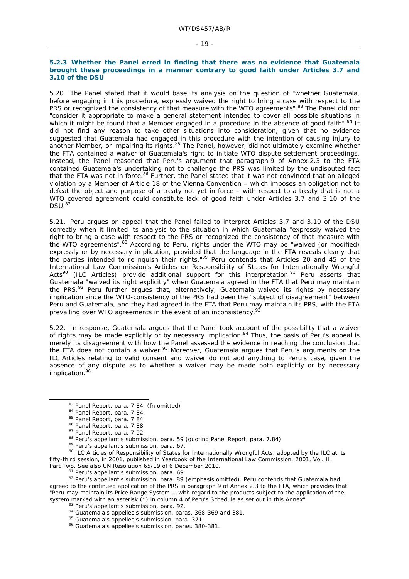#### **5.2.3 Whether the Panel erred in finding that there was no evidence that Guatemala brought these proceedings in a manner contrary to good faith under Articles 3.7 and 3.10 of the DSU**

5.20. The Panel stated that it would base its analysis on the question of "whether Guatemala, before engaging in this procedure, expressly waived the right to bring a case with respect to the PRS or recognized the consistency of that measure with the WTO agreements".<sup>83</sup> The Panel did not "consider it appropriate to make a general statement intended to cover all possible situations in which it might be found that a Member engaged in a procedure in the absence of good faith".<sup>84</sup> It did not find any reason to take other situations into consideration, given that no evidence suggested that Guatemala had engaged in this procedure with the intention of causing injury to another Member, or impairing its rights.<sup>85</sup> The Panel, however, did not ultimately examine whether the FTA contained a waiver of Guatemala's right to initiate WTO dispute settlement proceedings. Instead, the Panel reasoned that Peru's argument that paragraph 9 of Annex 2.3 to the FTA contained Guatemala's undertaking not to challenge the PRS was limited by the undisputed fact that the FTA was not in force.<sup>86</sup> Further, the Panel stated that it was not convinced that an alleged violation by a Member of Article 18 of the Vienna Convention – which imposes an obligation not to defeat the object and purpose of a treaty not yet in force – with respect to a treaty that is not a WTO covered agreement could constitute lack of good faith under Articles 3.7 and 3.10 of the  $DSU.<sup>87</sup>$ 

5.21. Peru argues on appeal that the Panel failed to interpret Articles 3.7 and 3.10 of the DSU correctly when it limited its analysis to the situation in which Guatemala "expressly waived the right to bring a case with respect to the PRS or recognized the consistency of that measure with the WTO agreements".88 According to Peru, rights under the WTO may be "waived (or modified) expressly or by necessary implication, provided that the language in the FTA reveals clearly that the parties intended to relinquish their rights."89 Peru contends that Articles 20 and 45 of the International Law Commission's Articles on Responsibility of States for Internationally Wrongful Acts<sup>90</sup> (ILC Articles) provide additional support for this interpretation.<sup>91</sup> Peru asserts that Guatemala "waived its right explicitly" when Guatemala agreed in the FTA that Peru may maintain the PRS.92 Peru further argues that, alternatively, Guatemala waived its rights by necessary implication since the WTO-consistency of the PRS had been the "subject of disagreement" between Peru and Guatemala, and they had agreed in the FTA that Peru may maintain its PRS, with the FTA prevailing over WTO agreements in the event of an inconsistency.<sup>93</sup>

5.22. In response, Guatemala argues that the Panel took account of the possibility that a waiver of rights may be made explicitly or by necessary implication.<sup>94</sup> Thus, the basis of Peru's appeal is merely its disagreement with how the Panel assessed the evidence in reaching the conclusion that the FTA does not contain a waiver.<sup>95</sup> Moreover, Guatemala argues that Peru's arguments on the ILC Articles relating to valid consent and waiver do not add anything to Peru's case, given the absence of any dispute as to whether a waiver may be made both explicitly or by necessary implication.<sup>96</sup>

<sup>83</sup> Panel Report, para. 7.84. (fn omitted)<br><sup>84</sup> Panel Report, para. 7.84.<br><sup>85</sup> Panel Report, para. 7.84.<br><sup>85</sup> Panel Report, para. 7.88.<br><sup>87</sup> Panel Report, para. 7.92.<br><sup>88</sup> Peru's appellant's submission, para. 59 (quoting fifty-third session, in 2001, published in *Yearbook of the International Law Commission, 2001*, Vol. II,

<sup>&</sup>lt;sup>91</sup> Peru's appellant's submission, para. 69.<br><sup>92</sup> Peru's appellant's submission, para. 89 (emphasis omitted). Peru contends that Guatemala had agreed to the continued application of the PRS in paragraph 9 of Annex 2.3 to the FTA, which provides that "Peru may maintain its Price Range System … with regard to the products subject to the application of the system marked with an asterisk (\*) in column 4 of Peru's Schedule as set out in this Annex".<br><sup>93</sup> Peru's appellant's submission, para. 92.<br><sup>94</sup> Guatemala's appellee's submission, paras. 368-369 and 381.<br><sup>95</sup> Guatemala's ap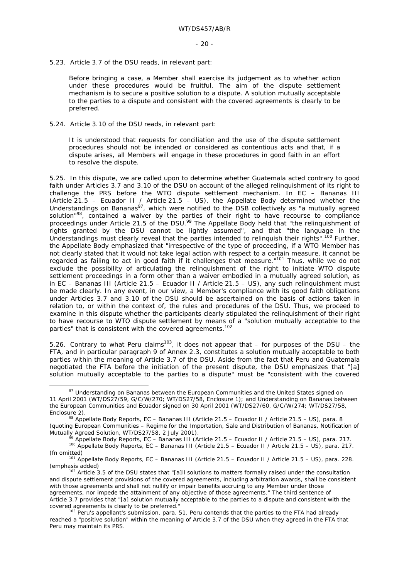5.23. Article 3.7 of the DSU reads, in relevant part:

Before bringing a case, a Member shall exercise its judgement as to whether action under these procedures would be fruitful. The aim of the dispute settlement mechanism is to secure a positive solution to a dispute. A solution mutually acceptable to the parties to a dispute and consistent with the covered agreements is clearly to be preferred.

5.24. Article 3.10 of the DSU reads, in relevant part:

It is understood that requests for conciliation and the use of the dispute settlement procedures should not be intended or considered as contentious acts and that, if a dispute arises, all Members will engage in these procedures in good faith in an effort to resolve the dispute.

5.25. In this dispute, we are called upon to determine whether Guatemala acted contrary to good faith under Articles 3.7 and 3.10 of the DSU on account of the alleged relinquishment of its right to challenge the PRS before the WTO dispute settlement mechanism. In *EC – Bananas III (Article 21.5 – Ecuador II / Article 21.5 – US)*, the Appellate Body determined whether the Understandings on Bananas<sup>97</sup>, which were notified to the DSB collectively as "a mutually agreed solution"<sup>98</sup>, contained a waiver by the parties of their right to have recourse to compliance proceedings under Article 21.5 of the DSU.<sup>99</sup> The Appellate Body held that "the relinquishment of rights granted by the DSU cannot be lightly assumed", and that "the language in the Understandings must clearly reveal that the parties intended to relinquish their rights".<sup>100</sup> Further, the Appellate Body emphasized that "irrespective of the type of proceeding, if a WTO Member has not clearly stated that it would not take legal action with respect to a certain measure, it *cannot be regarded as failing to act in good faith* if it challenges that measure."101 Thus, while we do not exclude the possibility of articulating the relinquishment of the right to initiate WTO dispute settlement proceedings in a form other than a waiver embodied in a mutually agreed solution, as in *EC – Bananas III (Article 21.5 – Ecuador II / Article 21.5 – US)*, any such relinquishment must be made clearly. In any event, in our view, a Member's compliance with its good faith obligations under Articles 3.7 and 3.10 of the DSU should be ascertained on the basis of actions taken in relation to, or within the context of, the rules and procedures of the DSU. Thus, we proceed to examine in this dispute whether the participants clearly stipulated the relinquishment of their right to have recourse to WTO dispute settlement by means of a "solution mutually acceptable to the parties" that is consistent with the covered agreements.<sup>102</sup>

5.26. Contrary to what Peru claims<sup>103</sup>, it does not appear that  $-$  for purposes of the DSU  $-$  the FTA, and in particular paragraph 9 of Annex 2.3, constitutes a solution mutually acceptable to both parties within the meaning of Article 3.7 of the DSU. Aside from the fact that Peru and Guatemala negotiated the FTA before the initiation of the present dispute, the DSU emphasizes that "[a] solution mutually acceptable to the parties to a dispute" must be "consistent with the covered

% Appellate Body Reports, *EC* – Bananas III (Article 21.5 – Ecuador II / Article 21.5 – US), para. 217.<br><sup>99</sup> Appellate Body Reports, *EC* – Bananas III (Article 21.5 – Ecuador II / Article 21.5 – US), para. 217.

<sup>&</sup>lt;sup>97</sup> Understanding on Bananas between the European Communities and the United States signed on 11 April 2001 (WT/DS27/59, G/C/W/270; WT/DS27/58, Enclosure 1); and Understanding on Bananas between the European Communities and Ecuador signed on 30 April 2001 (WT/DS27/60, G/C/W/274; WT/DS27/58, Enclosure 2). 98 Appellate Body Reports, *EC – Bananas III (Article 21.5 – Ecuador II / Article 21.5 – US)*, para. 8

<sup>(</sup>quoting *European Communities – Regime for the Importation, Sale and Distribution of Bananas*, Notification of

<sup>(</sup>fn omitted)<br><sup>101</sup> Appellate Body Reports, *EC – Bananas III (Article 21.5 – Ecuador II / Article 21.5 – US)*, para. 228.<br>(emphasis added)

 $102$  Article 3.5 of the DSU states that "[a]ll solutions to matters formally raised under the consultation and dispute settlement provisions of the covered agreements, including arbitration awards, shall be consistent with those agreements and shall not nullify or impair benefits accruing to any Member under those agreements, nor impede the attainment of any objective of those agreements." The third sentence of Article 3.7 provides that "[a] solution mutually acceptable to the parties to a dispute and consistent with the

covered agreements is clearly to be preferred."<br><sup>103</sup> Peru's appellant's submission, para. 51. Peru contends that the parties to the FTA had already reached a "positive solution" within the meaning of Article 3.7 of the DSU when they agreed in the FTA that Peru may maintain its PRS.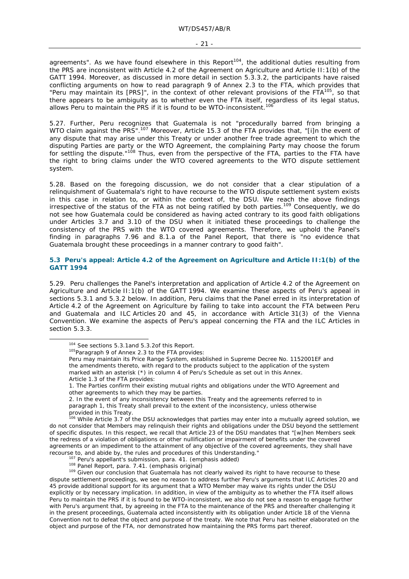agreements". As we have found elsewhere in this Report<sup>104</sup>, the additional duties resulting from the PRS are inconsistent with Article 4.2 of the Agreement on Agriculture and Article II:1(b) of the GATT 1994. Moreover, as discussed in more detail in section 5.3.3.2, the participants have raised conflicting arguments on how to read paragraph 9 of Annex 2.3 to the FTA, which provides that "Peru may maintain its [PRS]", in the context of other relevant provisions of the FTA $^{105}$ , so that there appears to be ambiguity as to whether even the FTA itself, regardless of its legal status, allows Peru to maintain the PRS if it is found to be WTO-inconsistent.<sup>106</sup>

5.27. Further, Peru recognizes that Guatemala is not "procedurally barred *from bringing a WTO claim against the PRS*".<sup>107</sup> Moreover, Article 15.3 of the FTA provides that, "[i]n the event of any dispute that may arise under this Treaty or under another free trade agreement to which the disputing Parties are party or the *WTO Agreement*, the complaining Party may choose the forum for settling the dispute."<sup>108</sup> Thus, even from the perspective of the FTA, parties to the FTA have the right to bring claims under the WTO covered agreements to the WTO dispute settlement system.

5.28. Based on the foregoing discussion, we do not consider that a clear stipulation of a relinquishment of Guatemala's right to have recourse to the WTO dispute settlement system exists in this case in relation to, or within the context of, the DSU. We reach the above findings irrespective of the status of the FTA as not being ratified by both parties.<sup>109</sup> Consequently, we do not see how Guatemala could be considered as having acted contrary to its good faith obligations under Articles 3.7 and 3.10 of the DSU when it initiated these proceedings to challenge the consistency of the PRS with the WTO covered agreements. Therefore, we uphold the Panel's finding in paragraphs 7.96 and 8.1.a of the Panel Report, that there is "no evidence that Guatemala brought these proceedings in a manner contrary to good faith".

#### **5.3 Peru's appeal: Article 4.2 of the Agreement on Agriculture and Article II:1(b) of the GATT 1994**

5.29. Peru challenges the Panel's interpretation and application of Article 4.2 of the Agreement on Agriculture and Article II:1(b) of the GATT 1994. We examine these aspects of Peru's appeal in sections 5.3.1 and 5.3.2 below. In addition, Peru claims that the Panel erred in its interpretation of Article 4.2 of the Agreement on Agriculture by failing to take into account the FTA between Peru and Guatemala and ILC Articles 20 and 45, in accordance with Article 31(3) of the Vienna Convention. We examine the aspects of Peru's appeal concerning the FTA and the ILC Articles in section 5.3.3.

<sup>106</sup> While Article 3.7 of the DSU acknowledges that parties may enter into a mutually agreed solution, we do not consider that Members may relinquish their rights and obligations under the DSU beyond the settlement of specific disputes. In this respect, we recall that Article 23 of the DSU mandates that "[w]hen Members seek the redress of a violation of obligations or other nullification or impairment of benefits under the covered agreements or an impediment to the attainment of any objective of the covered agreements, they shall have

recourse to, and abide by, the rules and procedures of this Understanding."<br>
<sup>107</sup> Peru's appellant's submission, para. 41. (emphasis added)<br>
<sup>108</sup> Panel Report, para. 7.41. (emphasis original)<br>
<sup>109</sup> Given our conclusion dispute settlement proceedings, we see no reason to address further Peru's arguments that ILC Articles 20 and 45 provide additional support for its argument that a WTO Member may waive its rights under the DSU explicitly or by necessary implication. In addition, in view of the ambiguity as to whether the FTA itself allows Peru to maintain the PRS if it is found to be WTO-inconsistent, we also do not see a reason to engage further with Peru's argument that, by agreeing in the FTA to the maintenance of the PRS and thereafter challenging it in the present proceedings, Guatemala acted inconsistently with its obligation under Article 18 of the Vienna Convention not to defeat the object and purpose of the treaty. We note that Peru has neither elaborated on the object and purpose of the FTA, nor demonstrated how maintaining the PRS forms part thereof.

<sup>&</sup>lt;sup>104</sup> See sections 5.3.1and 5.3.2of this Report.<br><sup>105</sup>Paragraph 9 of Annex 2.3 to the FTA provides:

Peru may maintain its Price Range System, established in Supreme Decree No. 1152001EF and the amendments thereto, with regard to the products subject to the application of the system marked with an asterisk (\*) in column 4 of Peru's Schedule as set out in this Annex. Article 1.3 of the FTA provides:

<sup>1.</sup> The Parties confirm their existing mutual rights and obligations under the WTO Agreement and other agreements to which they may be parties.

<sup>2.</sup> In the event of any inconsistency between this Treaty and the agreements referred to in paragraph 1, this Treaty shall prevail to the extent of the inconsistency, unless otherwise provided in this Treaty.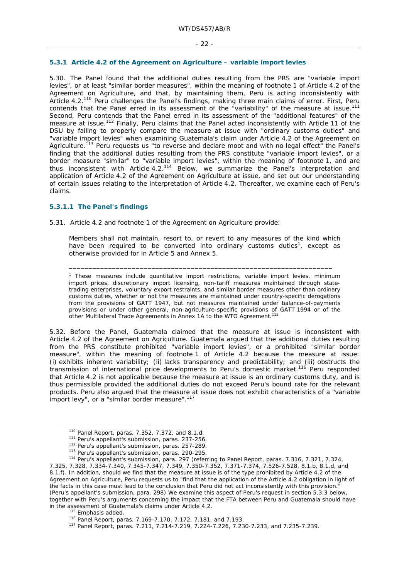#### - 22 -

#### **5.3.1 Article 4.2 of the Agreement on Agriculture – variable import levies**

5.30. The Panel found that the additional duties resulting from the PRS are "variable import levies", or at least "similar border measures", within the meaning of footnote 1 of Article 4.2 of the Agreement on Agriculture, and that, by maintaining them, Peru is acting inconsistently with Article 4.2.110 Peru challenges the Panel's findings, making three main claims of error. First, Peru contends that the Panel erred in its assessment of the "variability" of the measure at issue.<sup>111</sup> Second, Peru contends that the Panel erred in its assessment of the "additional features" of the measure at issue.<sup>112</sup> Finally, Peru claims that the Panel acted inconsistently with Article 11 of the DSU by failing to properly compare the measure at issue with "ordinary customs duties" and "variable import levies" when examining Guatemala's claim under Article 4.2 of the Agreement on Agriculture.<sup>113</sup> Peru requests us "to reverse and declare moot and with no legal effect" the Panel's finding that the additional duties resulting from the PRS constitute "variable import levies", or a border measure "similar" to "variable import levies", within the meaning of footnote 1, and are thus inconsistent with Article  $4.2^{114}$  Below, we summarize the Panel's interpretation and application of Article 4.2 of the Agreement on Agriculture at issue, and set out our understanding of certain issues relating to the interpretation of Article 4.2. Thereafter, we examine each of Peru's claims.

#### **5.3.1.1 The Panel's findings**

5.31. Article 4.2 and footnote 1 of the Agreement on Agriculture provide:

Members shall not maintain, resort to, or revert to any measures of the kind which have been required to be converted into ordinary customs duties<sup>1</sup>, except as otherwise provided for in Article 5 and Annex 5.

\_\_\_\_\_\_\_\_\_\_\_\_\_\_\_\_\_\_\_\_\_\_\_\_\_\_\_\_\_\_\_\_\_\_\_\_\_\_\_\_\_\_\_\_\_\_\_\_\_\_\_\_\_\_\_\_\_\_\_\_\_\_\_\_\_\_\_

1 These measures include quantitative import restrictions, *variable import levies, minimum import prices*, discretionary import licensing, non-tariff measures maintained through statetrading enterprises, voluntary export restraints, *and similar border measures other than ordinary customs duties*, whether or not the measures are maintained under country-specific derogations from the provisions of GATT 1947, but not measures maintained under balance-of-payments provisions or under other general, non-agriculture-specific provisions of GATT 1994 or of the other Multilateral Trade Agreements in Annex 1A to the WTO Agreement.<sup>115</sup>

5.32. Before the Panel, Guatemala claimed that the measure at issue is inconsistent with Article 4.2 of the Agreement on Agriculture. Guatemala argued that the additional duties resulting from the PRS constitute prohibited "variable import levies", or a prohibited "similar border measure", within the meaning of footnote 1 of Article 4.2 because the measure at issue: (i) exhibits inherent variability; (ii) lacks transparency and predictability; and (iii) obstructs the transmission of international price developments to Peru's domestic market.<sup>116</sup> Peru responded that Article 4.2 is not applicable because the measure at issue is an ordinary customs duty, and is thus permissible provided the additional duties do not exceed Peru's bound rate for the relevant products. Peru also argued that the measure at issue does not exhibit characteristics of a "variable import levy", or a "similar border measure".<sup>117</sup>

<sup>&</sup>lt;sup>110</sup> Panel Report, paras. 7.352, 7.372, and 8.1.d.<br><sup>111</sup> Peru's appellant's submission, paras. 237-256.<br><sup>112</sup> Peru's appellant's submission, paras. 257-289.<br><sup>113</sup> Peru's appellant's submission, paras. 290-295.<br><sup>114</sup> Peru' 7.325, 7.328, 7.334-7.340, 7.345-7.347, 7.349, 7.350-7.352, 7.371-7.374, 7.526-7.528, 8.1.b, 8.1.d, and 8.1.f). In addition, should we find that the measure at issue is of the type prohibited by Article 4.2 of the Agreement on Agriculture, Peru requests us to "find that the application of the Article 4.2 obligation in light of the facts in this case must lead to the conclusion that Peru did not act inconsistently with this provision." (Peru's appellant's submission, para. 298) We examine this aspect of Peru's request in section 5.3.3 below, together with Peru's arguments concerning the impact that the FTA between Peru and Guatemala should have in the assessment of Guatemala's claims under Article 4.2.

<sup>115</sup> Emphasis added.<br><sup>116</sup> Panel Report, paras. 7.169-7.170, 7.172, 7.181, and 7.193.<br><sup>117</sup> Panel Report, paras. 7.211, 7.214-7.219, 7.224-7.226, 7.230-7.233, and 7.235-7.239.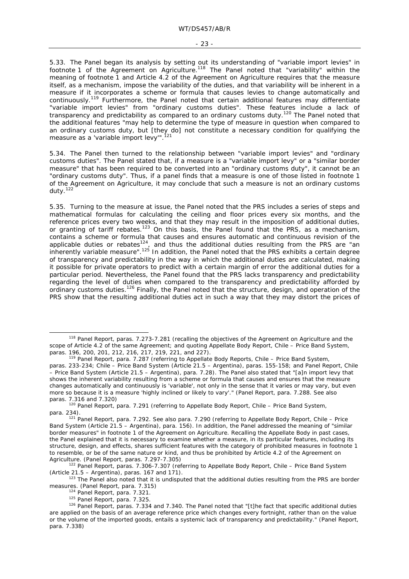5.33. The Panel began its analysis by setting out its understanding of "variable import levies" in footnote 1 of the Agreement on Agriculture.<sup>118</sup> The Panel noted that "variability" within the meaning of footnote 1 and Article 4.2 of the Agreement on Agriculture requires that the measure itself, as a mechanism, impose the variability of the duties, and that variability will be inherent in a measure if it incorporates a scheme or formula that causes levies to change automatically and continuously.119 Furthermore, the Panel noted that certain additional features may differentiate "variable import levies" from "ordinary customs duties". These features include a lack of transparency and predictability as compared to an ordinary customs duty.120 The Panel noted that the additional features "may help to determine the type of measure in question when compared to an ordinary customs duty, but [they do] not constitute a necessary condition for qualifying the measure as a 'variable import levy'".<sup>121</sup>

5.34. The Panel then turned to the relationship between "variable import levies" and "ordinary customs duties". The Panel stated that, if a measure is a "variable import levy" or a "similar border measure" that has been required to be converted into an "ordinary customs duty", it cannot be an "ordinary customs duty". Thus, if a panel finds that a measure is one of those listed in footnote 1 of the Agreement on Agriculture, it may conclude that such a measure is not an ordinary customs duty.<sup>122</sup>

5.35. Turning to the measure at issue, the Panel noted that the PRS includes a series of steps and mathematical formulas for calculating the ceiling and floor prices every six months, and the reference prices every two weeks, and that they may result in the imposition of additional duties, or granting of tariff rebates.<sup>123</sup> On this basis, the Panel found that the PRS, as a mechanism, contains a scheme or formula that causes and ensures automatic and continuous revision of the applicable duties or rebates<sup>124</sup>, and thus the additional duties resulting from the PRS are "an inherently variable measure".<sup>125</sup> In addition, the Panel noted that the PRS exhibits a certain degree of transparency and predictability in the way in which the additional duties are calculated, making it possible for private operators to predict with a certain margin of error the additional duties for a particular period. Nevertheless, the Panel found that the PRS lacks transparency and predictability regarding the level of duties when compared to the transparency and predictability afforded by ordinary customs duties.126 Finally, the Panel noted that the structure, design, and operation of the PRS show that the resulting additional duties act in such a way that they may distort the prices of

 <sup>118</sup> Panel Report, paras. 7.273-7.281 (recalling the objectives of the Agreement on Agriculture and the scope of Article 4.2 of the same Agreement; and quoting Appellate Body Report, *Chile – Price Band System*,

paras. 196, 200, 201, 212, 216, 217, 219, 221, and 227). 119 Panel Report, para. 7.287 (referring to Appellate Body Reports, *Chile – Price Band System*, paras. 233-234; *Chile – Price Band System (Article 21.5 – Argentina),* paras. 155-158; and Panel Report, *Chile – Price Band System (Article 21.5 – Argentina),* para. 7.28). The Panel also stated that "[a]n import levy that shows the inherent variability resulting from a scheme or formula that causes and ensures that the measure changes automatically and continuously is 'variable', not only in the sense that it varies or may vary, but even more so because it is a measure 'highly inclined or likely to vary'." (Panel Report, para. 7.288. See also paras. 7.316 and 7.320)<br><sup>120</sup> Panel Report, para. 7.291 (referring to Appellate Body Report, *Chile – Price Band System*,

para. 234). 121 Panel Report, para. 7.292. See also para. 7.290 (referring to Appellate Body Report, *Chile – Price Band System (Article 21.5 – Argentina),* para. 156). In addition, the Panel addressed the meaning of "similar border measures" in footnote 1 of the Agreement on Agriculture. Recalling the Appellate Body in past cases, the Panel explained that it is necessary to examine whether a measure, in its particular features, including its structure, design, and effects, shares sufficient features with the category of prohibited measures in footnote 1 to resemble, or be of the same nature or kind, and thus be prohibited by Article 4.2 of the Agreement on Agriculture. (Panel Report, paras. 7.297-7.305) 122 Panel Report, paras. 7.306-7.307 (referring to Appellate Body Report, *Chile – Price Band System* 

*<sup>(</sup>Article 21.5 – Argentina)*, paras. 167 and 171).<br><sup>123</sup> The Panel also noted that it is undisputed that the additional duties resulting from the PRS are border

measures. (Panel Report, para. 7.315)<br><sup>124</sup> Panel Report, para. 7.321.<br><sup>125</sup> Panel Report, paras. 7.325. 1<sup>26</sup> Panel Report, paras. 7.334 and 7.340. The Panel noted that "[t]he fact that specific additional duties are applied on the basis of an average reference price which changes every fortnight, rather than on the value or the volume of the imported goods, entails a systemic lack of transparency and predictability." (Panel Report, para. 7.338)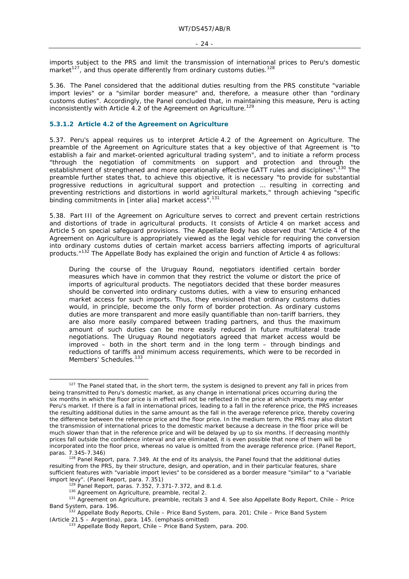imports subject to the PRS and limit the transmission of international prices to Peru's domestic market<sup>127</sup>, and thus operate differently from ordinary customs duties.<sup>128</sup>

5.36. The Panel considered that the additional duties resulting from the PRS constitute "variable import levies" or a "similar border measure" and, therefore, a measure other than "ordinary customs duties". Accordingly, the Panel concluded that, in maintaining this measure, Peru is acting inconsistently with Article 4.2 of the Agreement on Agriculture.<sup>129</sup>

### **5.3.1.2 Article 4.2 of the Agreement on Agriculture**

5.37. Peru's appeal requires us to interpret Article 4.2 of the Agreement on Agriculture. The preamble of the Agreement on Agriculture states that a key objective of that Agreement is "to establish a fair and market-oriented agricultural trading system", and to initiate a reform process "through the negotiation of commitments on support and protection and through the establishment of strengthened and more operationally effective GATT rules and disciplines".<sup>130</sup> The preamble further states that, to achieve this objective, it is necessary "to provide for substantial progressive reductions in agricultural support and protection … resulting in correcting and preventing restrictions and distortions in world agricultural markets," through achieving "specific binding commitments in [*inter alia*] market access".131

5.38. Part III of the Agreement on Agriculture serves to correct and prevent certain restrictions and distortions of trade in agricultural products. It consists of Article 4 on market access and Article 5 on special safeguard provisions. The Appellate Body has observed that "Article 4 of the Agreement on Agriculture is appropriately viewed as the legal vehicle for requiring the conversion into ordinary customs duties of certain market access barriers affecting imports of agricultural products."132 The Appellate Body has explained the origin and function of Article 4 as follows:

During the course of the Uruguay Round, negotiators identified certain border measures which have in common that they restrict the volume or distort the price of imports of agricultural products. The negotiators decided that these border measures should be converted into ordinary customs duties, with a view to ensuring enhanced market access for such imports. Thus, they envisioned that ordinary customs duties would, in principle, become the only form of border protection. As ordinary customs duties are more transparent and more easily quantifiable than non-tariff barriers, they are also more easily compared between trading partners, and thus the maximum amount of such duties can be more easily reduced in future multilateral trade negotiations. The Uruguay Round negotiators agreed that market access would be improved *–* both in the short term and in the long term *–* through bindings and reductions of tariffs and minimum access requirements, which were to be recorded in Members' Schedules.<sup>133</sup>

<sup>&</sup>lt;sup>127</sup> The Panel stated that, in the short term, the system is designed to prevent any fall in prices from being transmitted to Peru's domestic market, as any change in international prices occurring during the six months in which the floor price is in effect will not be reflected in the price at which imports may enter Peru's market. If there is a fall in international prices, leading to a fall in the reference price, the PRS increases the resulting additional duties in the same amount as the fall in the average reference price, thereby covering the difference between the reference price and the floor price. In the medium term, the PRS may also distort the transmission of international prices to the domestic market because a decrease in the floor price will be much slower than that in the reference price and will be delayed by up to six months. If decreasing monthly prices fall outside the confidence interval and are eliminated, it is even possible that none of them will be incorporated into the floor price, whereas no value is omitted from the average reference price. (Panel Report,

paras. 7.345-7.346)<br><sup>128</sup> Panel Report, para. 7.349. At the end of its analysis, the Panel found that the additional duties resulting from the PRS, by their structure, design, and operation, and in their particular features, share sufficient features with "variable import levies" to be considered as a border measure "similar" to a "variable import levy". (Panel Report, para. 7.351)

<sup>&</sup>lt;sup>129</sup> Panel Report, paras. 7.352, 7.371-7.372, and 8.1.d.<br><sup>130</sup> Agreement on Agriculture, preamble, recital 2.<br><sup>130</sup> Agreement on Agriculture, preamble, recitals 3 and 4. See also Appellate Body Report, *Chile – Price Band System*, para. 196.<br><sup>132</sup> Appellate Body Reports, *Chile – Price Band System*, para. 201; *Chile – Price Band System* 

*<sup>(</sup>Article 21.5 – Argentina),* para. 145. (emphasis omitted) 133 Appellate Body Report, *Chile – Price Band System*, para. 200.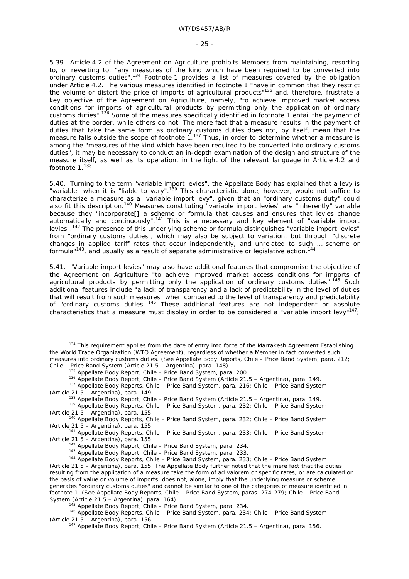#### - 25 -

5.39. Article 4.2 of the Agreement on Agriculture prohibits Members from maintaining, resorting to, or reverting to, "any measures of the kind which have been required to be converted into ordinary customs duties".<sup>134</sup> Footnote 1 provides a list of measures covered by the obligation under Article 4.2. The various measures identified in footnote 1 "have in common that they restrict the volume or distort the price of imports of agricultural products<sup>"135</sup> and, therefore, frustrate a key objective of the Agreement on Agriculture, namely, "to achieve improved market access conditions for imports of agricultural products by permitting only the application of ordinary customs duties".<sup>136</sup> Some of the measures specifically identified in footnote 1 entail the payment of duties at the border, while others do not. The mere fact that a measure *results* in the payment of duties that take the same *form* as ordinary customs duties does not, by itself, mean that the measure falls outside the scope of footnote  $1.^{137}$  Thus, in order to determine whether a measure is among the "measures of the kind which have been required to be converted into ordinary customs duties", it may be necessary to conduct an in-depth examination of the design and structure of the measure itself, as well as its operation, in the light of the relevant language in Article 4.2 and footnote 1.<sup>138</sup>

5.40. Turning to the term "variable import levies", the Appellate Body has explained that a levy is "variable" when it is "liable to vary".<sup>139</sup> This characteristic alone, however, would not suffice to characterize a measure as a "variable import levy", given that an "ordinary customs duty" could also fit this description.<sup>140</sup> Measures constituting "variable import levies" are "inherently" variable because they "incorporate[] a scheme or formula that causes and ensures that levies change automatically and continuously".141 This is a necessary and key element of "variable import levies".<sup>142</sup> The presence of this underlying scheme or formula distinguishes "variable import levies" from "ordinary customs duties", which may also be subject to variation, but through "discrete changes in applied tariff rates that occur independently, and unrelated to such … scheme or formula"<sup>143</sup>, and usually as a result of separate administrative or legislative action.<sup>144</sup>

5.41. "Variable import levies" may also have additional features that compromise the objective of the Agreement on Agriculture "to achieve improved market access conditions for imports of agricultural products by permitting only the application of ordinary customs duties".<sup>145</sup> Such additional features include "a lack of transparency and a lack of predictability in the level of duties that will result from such measures" when compared to the level of transparency and predictability of "ordinary customs duties".146 These additional features are *not* independent or absolute characteristics that a measure must display in order to be considered a "variable import levy"<sup>147</sup>;

<sup>&</sup>lt;sup>134</sup> This requirement applies from the date of entry into force of the Marrakesh Agreement Establishing the World Trade Organization (WTO Agreement), regardless of whether a Member *in fact* converted such measures into ordinary customs duties. (See Appellate Body Reports, *Chile – Price Band System*, para. 212;

<sup>&</sup>lt;sup>135</sup> Appellate Body Report, *Chile – Price Band System*, para. 200.<br><sup>136</sup> Appellate Body Report, *Chile – Price Band System (Article 21.5 – Argentina)*, para. 149.<br><sup>137</sup> Appellate Body Reports, *Chile – Price Band System* 

<sup>&</sup>lt;sup>138</sup> Appellate Body Report, *Chile – Price Band System (Article 21.5 – Argentina)*, para. 149.<br><sup>139</sup> Appellate Body Reports, *Chile – Price Band System*, para. 232; *Chile – Price Band System* 

*<sup>(</sup>Article 21.5 – Argentina),* para. 155. 140 Appellate Body Reports, *Chile – Price Band System*, para. 232; *Chile – Price Band System* 

*<sup>(</sup>Article 21.5 – Argentina),* para. 155. 141 Appellate Body Reports, *Chile – Price Band System*, para. 233; *Chile – Price Band System*  (Article 21.5 – Argentina), para. 155.<br>
<sup>142</sup> Appellate Body Report, *Chile – Price Band System*, para. 234.<br>
<sup>143</sup> Appellate Body Report, *Chile – Price Band System*, para. 233.<br>
<sup>144</sup> Appellate Body Reports, *Chile – Pri* 

*<sup>(</sup>Article 21.5 – Argentina),* para. 155. The Appellate Body further noted that the mere fact that the duties resulting from the application of a measure take the form of *ad valorem* or specific rates, or are calculated on the basis of value or volume of imports, does not, alone, imply that the underlying measure or scheme generates "ordinary customs duties" and cannot be similar to one of the categories of measure identified in footnote 1. (See Appellate Body Reports, *Chile – Price Band System*, paras. 274-279; *Chile – Price Band*  System (Article 21.5 – Argentina), para. 164)<br><sup>145</sup> Appellate Body Report, *Chile – Price Band System*, para. 234.<br><sup>146</sup> Appellate Body Reports, *Chile – Price Band System*, para. 234; *Chile – Price Band System* 

*<sup>(</sup>Article 21.5 – Argentina),* para. 156. 147 Appellate Body Report, *Chile – Price Band System (Article 21.5 – Argentina),* para. 156.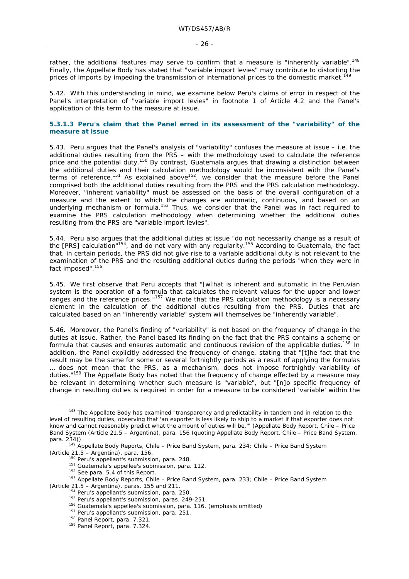rather, the additional features may serve to confirm that a measure is "inherently variable".<sup>148</sup> Finally, the Appellate Body has stated that "variable import levies" may contribute to distorting the prices of imports by impeding the transmission of international prices to the domestic market.

5.42. With this understanding in mind, we examine below Peru's claims of error in respect of the Panel's interpretation of "variable import levies" in footnote 1 of Article 4.2 and the Panel's application of this term to the measure at issue.

### **5.3.1.3 Peru's claim that the Panel erred in its assessment of the "variability" of the measure at issue**

5.43. Peru argues that the Panel's analysis of "variability" confuses the measure at issue *–* i.e. the additional duties resulting from the PRS *–* with the methodology used to calculate the reference price and the potential duty.150 By contrast, Guatemala argues that drawing a distinction between the additional duties and their calculation methodology would be inconsistent with the Panel's the additional duties and their calculation increasingly about  $\approx$  accretions of reference.<sup>151</sup> As explained above<sup>152</sup>, we consider that the measure before the Panel comprised both the additional duties resulting from the PRS and the PRS calculation methodology. Moreover, "inherent variability" must be assessed on the basis of the overall configuration of a measure and the extent to which the changes are automatic, continuous, and based on an underlying mechanism or formula.<sup>153</sup> Thus, we consider that the Panel was in fact required to examine the PRS calculation methodology when determining whether the additional duties resulting from the PRS are "variable import levies".

5.44. Peru also argues that the additional duties at issue "do not necessarily change as a result of the [PRS] calculation"154, and do not vary with any regularity.155 According to Guatemala, the fact that, in certain periods, the PRS did not give rise to a variable additional duty is not relevant to the examination of the PRS and the resulting additional duties during the periods "when they were in fact imposed".<sup>156</sup>

5.45. We first observe that Peru accepts that "[w]hat is inherent and automatic in the Peruvian system is the operation of a formula that calculates the relevant values for the upper and lower ranges and the reference prices."157 We note that the PRS calculation methodology is a necessary element in the calculation of the additional duties resulting from the PRS. Duties that are calculated based on an "inherently variable" system will themselves be "inherently variable".

5.46. Moreover, the Panel's finding of "variability" is not based on the frequency of change in the duties at issue. Rather, the Panel based its finding on the fact that the PRS contains a scheme or formula that causes and ensures automatic and continuous revision of the applicable duties.<sup>158</sup> In addition, the Panel explicitly addressed the frequency of change, stating that "[t]he fact that the result may be the same for some or several fortnightly periods as a result of applying the formulas … does not mean that the PRS, as a mechanism, does not impose fortnightly variability of duties."159 The Appellate Body has noted that the frequency of change effected by a measure may be relevant in determining whether such measure is "variable", but "[n]o specific frequency of change in resulting duties is required in order for a measure to be considered 'variable' within the

<sup>&</sup>lt;sup>148</sup> The Appellate Body has examined "transparency and predictability in tandem and in relation to the level of resulting duties, observing that 'an exporter is less likely to ship to a market if that exporter does not know and cannot reasonably predict what the amount of duties will be.'" (Appellate Body Report, *Chile – Price Band System (Article 21.5 – Argentina),* para. 156 (quoting Appellate Body Report, *Chile – Price Band System*,

para. 234))<br>
<sup>149</sup> Appellate Body Reports, *Chile – Price Band System*, para. 234; *Chile – Price Band System*<br> *(Article 21.5 – Argentina),* para. 156.<br>
<sup>150</sup> Peru's appellant's submission, para. 248.

<sup>&</sup>lt;sup>151</sup> Guatemala's appellee's submission, para. 112.<br><sup>152</sup> See para. 5.4 of this Report.<br><sup>152</sup> Appellate Body Reports, *Chile – Price Band System*, para. 233; *Chile – Price Band System* (Article 21.5 – Argentina), paras. 155 and 211.<br>
<sup>154</sup> Peru's appellant's submission, para. 250.<br>
<sup>155</sup> Peru's appellant's submission, para. 249-251.<br>
<sup>155</sup> Guatemala's appellee's submission, para. 116. (emphasis omitted)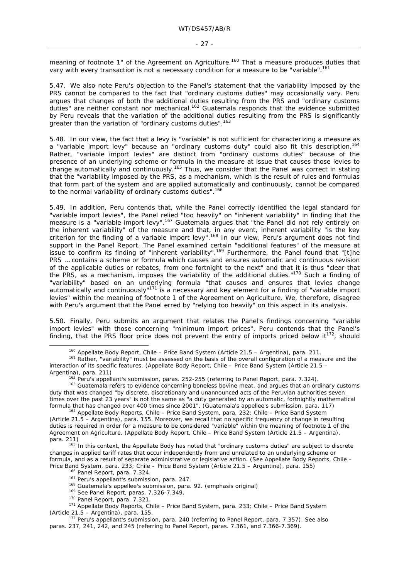meaning of footnote 1" of the Agreement on Agriculture.<sup>160</sup> That a measure produces duties that vary with *every* transaction is not a necessary condition for a measure to be "variable".161

5.47. We also note Peru's objection to the Panel's statement that the variability imposed by the PRS cannot be compared to the fact that "ordinary customs duties" may occasionally vary. Peru argues that changes of both the additional duties resulting from the PRS and "ordinary customs duties" are neither constant nor mechanical.162 Guatemala responds that the evidence submitted by Peru reveals that the variation of the additional duties resulting from the PRS is significantly greater than the variation of "ordinary customs duties".<sup>163</sup>

5.48. In our view, the fact that a levy is "variable" is not sufficient for characterizing a measure as a "variable import levy" because an "ordinary customs duty" could also fit this description.<sup>164</sup> Rather, "variable import levies" are distinct from "ordinary customs duties" because of the presence of an underlying scheme or formula in the measure at issue that causes those levies to change automatically and continuously.<sup>165</sup> Thus, we consider that the Panel was correct in stating that the "variability imposed by the PRS, as a mechanism, which is the result of rules and formulas that form part of the system and are applied automatically and continuously, cannot be compared to the normal variability of ordinary customs duties".<sup>166</sup>

5.49. In addition, Peru contends that, while the Panel correctly identified the legal standard for "variable import levies", the Panel relied "too heavily" on "inherent variability" in finding that the measure is a "variable import levy".<sup>167</sup> Guatemala argues that "the Panel did not rely entirely on the inherent variability" of the measure and that, in any event, inherent variability "*is* the key criterion for the finding of a variable import levy".168 In our view, Peru's argument does not find support in the Panel Report. The Panel examined certain "additional features" of the measure at issue to confirm its finding of "inherent variability".169 Furthermore, the Panel found that "[t]he PRS … contains a scheme or formula which causes and ensures automatic and continuous revision of the applicable duties or rebates, from one fortnight to the next" and that it is thus "clear that the PRS, as a mechanism, imposes the variability of the additional duties."<sup>170</sup> Such a finding of "variability" based on an underlying formula "that causes and ensures that levies change automatically and continuously"<sup>171</sup> is a necessary and key element for a finding of "variable import levies" within the meaning of footnote 1 of the Agreement on Agriculture. We, therefore, disagree with Peru's argument that the Panel erred by "relying too heavily" on this aspect in its analysis.

5.50. Finally, Peru submits an argument that relates the Panel's findings concerning "variable import levies" with those concerning "minimum import prices". Peru contends that the Panel's finding, that the PRS floor price does not prevent the entry of imports priced below  $it^{172}$ , should

<sup>&</sup>lt;sup>160</sup> Appellate Body Report, *Chile – Price Band System (Article 21.5 – Argentina)*, para. 211.<br><sup>161</sup> Rather, "variability" must be assessed on the basis of the overall configuration of a measure and the interaction of its specific features. (Appellate Body Report, *Chile – Price Band System (Article 21.5 –* 

<sup>&</sup>lt;sup>162</sup> Peru's appellant's submission, paras. 252-255 (referring to Panel Report, para. 7.324).<br><sup>163</sup> Guatemala refers to evidence concerning boneless bovine meat, and argues that an ordinary customs duty that was changed "by discrete, discretionary and unannounced acts of the Peruvian authorities seven times over the past 23 years" is not the same as "a duty generated by an automatic, fortnightly mathematical formula that has changed over 400 times since 2001". (Guatemala's appellee's submission, para. 117) 164 Appellate Body Reports, *Chile – Price Band System*, para. 232; *Chile – Price Band System* 

*<sup>(</sup>Article 21.5 – Argentina),* para. 155. Moreover, we recall that no specific frequency of change in resulting duties is required in order for a measure to be considered "variable" within the meaning of footnote 1 of the Agreement on Agriculture. (Appellate Body Report, *Chile – Price Band System (Article 21.5 – Argentina)*, para. 211)<br>165 In this context, the Appellate Body has noted that "ordinary customs duties" are subject to discrete

changes in applied tariff rates that occur independently from and unrelated to an underlying scheme or formula, and as a result of separate administrative or legislative action. (See Appellate Body Reports, *Chile –* 

Price Band System, para. 233; Chile – Price Band System (Article 21.5 – Argentina), para. 155)<br><sup>166</sup> Panel Report, para. 7.324.<br><sup>167</sup> Peru's appellant's submission, para. 247.<br><sup>168</sup> Guatemala's appellee's submission, para *(Article 21.5 – Argentina)*, para. 155. 172 Peru's appellant's submission, para. 240 (referring to Panel Report, para. 7.357). See also

paras. 237, 241, 242, and 245 (referring to Panel Report, paras. 7.361, and 7.366-7.369).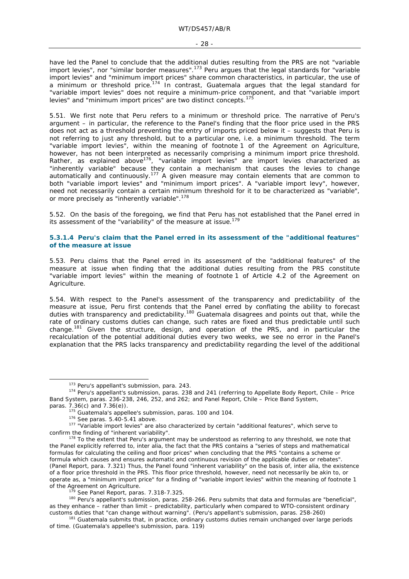have led the Panel to conclude that the additional duties resulting from the PRS are not "variable import levies", nor "similar border measures".<sup>173</sup> Peru argues that the legal standards for "variable import levies" and "minimum import prices" share common characteristics, in particular, the use of a minimum or threshold price.<sup>174</sup> In contrast, Guatemala argues that the legal standard for "variable import levies" does not require a minimum-price component, and that "variable import levies" and "minimum import prices" are two distinct concepts.<sup>175</sup>

5.51. We first note that Peru refers to a minimum *or* threshold price. The narrative of Peru's argument *–* in particular*,* the reference to the Panel's finding that the floor price used in the PRS does not act as a threshold preventing the entry of imports priced below it *–* suggests that Peru is not referring to just any threshold, but to a particular one, i.e. a minimum threshold. The term "variable import levies", within the meaning of footnote 1 of the Agreement on Agriculture, however, has not been interpreted as necessarily comprising a minimum import price threshold. Rather, as explained above<sup>176</sup>, "variable import levies" are import levies characterized as "inherently variable" because they contain a mechanism that causes the levies to change automatically and continuously.177 A given measure may contain elements that are common to both "variable import levies" and "minimum import prices". A "variable import levy", however, need not necessarily contain a certain *minimum* threshold for it to be characterized as "variable", or more precisely as "inherently variable".<sup>178</sup>

5.52. On the basis of the foregoing, we find that Peru has not established that the Panel erred in its assessment of the "variability" of the measure at issue.<sup>179</sup>

#### **5.3.1.4 Peru's claim that the Panel erred in its assessment of the "additional features" of the measure at issue**

5.53. Peru claims that the Panel erred in its assessment of the "additional features" of the measure at issue when finding that the additional duties resulting from the PRS constitute "variable import levies" within the meaning of footnote 1 of Article 4.2 of the Agreement on Agriculture.

5.54. With respect to the Panel's assessment of the transparency and predictability of the measure at issue, Peru first contends that the Panel erred by conflating the ability to forecast duties with transparency and predictability.<sup>180</sup> Guatemala disagrees and points out that, while the rate of ordinary customs duties can change, such rates are fixed and thus predictable until such change.181 Given the structure, design, and operation of the PRS, and in particular the recalculation of the potential additional duties every two weeks, we see no error in the Panel's explanation that the PRS lacks transparency and predictability regarding the level of the additional

<sup>&</sup>lt;sup>173</sup> Peru's appellant's submission, para. 243.<br><sup>174</sup> Peru's appellant's submission, paras. 238 and 241 (referring to Appellate Body Report, *Chile – Price Band System*, paras. 236-238, 246, 252, and 262; and Panel Report, *Chile – Price Band System*,

<sup>&</sup>lt;sup>175</sup> Guatemala's appellee's submission, paras. 100 and 104.<br><sup>176</sup> See paras. 5.40-5.41 above.<br><sup>177</sup> "Variable import levies" are also characterized by certain "additional features", which serve to

confirm the finding of "inherent variability".<br><sup>178</sup> To the extent that Peru's argument may be understood as referring to *any* threshold, we note that the Panel explicitly referred to, *inter alia*, the fact that the PRS contains a "series of steps and mathematical formulas for calculating the ceiling and floor prices" when concluding that the PRS "contains a scheme or formula which causes and ensures automatic and continuous revision of the applicable duties or rebates". (Panel Report, para. 7.321) Thus, the Panel found "inherent variability" on the basis of, *inter alia*, the existence of a floor price threshold in the PRS. This floor price threshold, however, need not necessarily be akin to, or operate as, a "minimum import price" for a finding of "variable import levies" within the meaning of footnote 1 of the Agreement on Agriculture.<br>
<sup>179</sup> See Panel Report, paras. 7.318-7.325.<br>
<sup>180</sup> Peru's appellant's submission, paras. 258-266. Peru submits that data and formulas are "beneficial",

as they enhance – rather than limit – predictability, particularly when compared to WTO-consistent ordinary customs duties that "can change without warning". (Peru's appellant's submission, paras. 258-260)<br><sup>181</sup> Guatemala submits that, in practice, ordinary customs duties remain unchanged over large periods

of time. (Guatemala's appellee's submission, para. 119)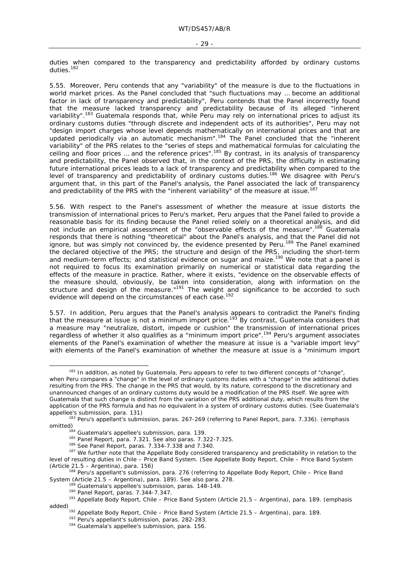duties when compared to the transparency and predictability afforded by ordinary customs duties.<sup>182</sup>

5.55. Moreover, Peru contends that any "variability" of the measure is due to the fluctuations in world market prices. As the Panel concluded that "such fluctuations may … become an additional factor in lack of transparency and predictability", Peru contends that the Panel incorrectly found that the measure lacked transparency and predictability *because* of its alleged "inherent variability".<sup>183</sup> Guatemala responds that, while Peru may rely on international prices to adjust its ordinary customs duties "through discrete and independent acts of its authorities", Peru may not "design import charges whose level depends mathematically on international prices and that are updated periodically via an automatic mechanism".<sup>184</sup> The Panel concluded that the "inherent variability" of the PRS relates to the "series of steps and mathematical formulas for calculating the ceiling and floor prices ... and the reference prices".<sup>185</sup> By contrast, in its analysis of transparency and predictability, the Panel observed that, in the context of the PRS, the difficulty in estimating future international prices leads to a lack of transparency and predictability when compared to the level of transparency and predictability of ordinary customs duties.<sup>186</sup> We disagree with Peru's argument that, in this part of the Panel's analysis, the Panel associated the lack of transparency and predictability of the PRS with the "inherent variability" of the measure at issue.<sup>187</sup>

5.56. With respect to the Panel's assessment of whether the measure at issue distorts the transmission of international prices to Peru's market, Peru argues that the Panel failed to provide a reasonable basis for its finding because the Panel relied solely on a theoretical analysis, and did not include an empirical assessment of the "observable effects of the measure".<sup>188</sup> Guatemala responds that there is nothing "theoretical" about the Panel's analysis, and that the Panel did not ignore, but was simply not convinced by, the evidence presented by Peru.<sup>189</sup> The Panel examined the declared objective of the PRS; the structure and design of the PRS, including the short-term and medium-term effects; and statistical evidence on sugar and maize.<sup>190</sup> We note that a panel is not required to focus its examination primarily on numerical or statistical data regarding the effects of the measure in practice. Rather, where it exists, "evidence on the observable effects of the measure should, obviously, be taken into consideration, along with information on the structure and design of the measure."<sup>191</sup> The weight and significance to be accorded to such evidence will depend on the circumstances of each case.<sup>192</sup>

5.57. In addition, Peru argues that the Panel's analysis appears to contradict the Panel's finding that the measure at issue is not a minimum import price.<sup>193</sup> By contrast, Guatemala considers that a measure may "neutralize, distort, impede or cushion" the transmission of international prices regardless of whether it also qualifies as a "minimum import price".194 Peru's argument associates elements of the Panel's examination of whether the measure at issue is a "variable import levy" with elements of the Panel's examination of whether the measure at issue is a "minimum import

<sup>&</sup>lt;sup>182</sup> In addition, as noted by Guatemala, Peru appears to refer to two different concepts of "change", when Peru compares a "change" in the level of ordinary customs duties with a "change" in the additional duties resulting from the PRS. The change in the PRS that would, by its nature, correspond to the discretionary and unannounced changes of an ordinary customs duty would be a *modification* of the PRS itself. We agree with Guatemala that such change is distinct from the variation of the PRS additional duty, which results from the application of the PRS formula and has no equivalent in a system of ordinary customs duties. (See Guatemala's appellee's submission, para. 131)<br><sup>183</sup> Peru's appellant's submission, paras. 267-269 (referring to Panel Report, para. 7.336). (emphasis

omitted)<br>
<sup>184</sup> Guatemala's appellee's submission, para. 139.<br>
<sup>185</sup> Panel Report, para. 7.321. See also paras. 7.322-7.325.<br>
<sup>186</sup> See Panel Report, paras. 7.334-7.338 and 7.340.<br>
<sup>187</sup> We further note that the Appellate

level of resulting duties in *Chile – Price Band System.* (See Appellate Body Report, *Chile – Price Band System* 

*<sup>(</sup>Article 21.5 – Argentina)*, para. 156) 188 Peru's appellant's submission, para. 276 (referring to Appellate Body Report, *Chile – Price Band* 

<sup>&</sup>lt;sup>189</sup> Guatemala's appellee's submission, paras. 148-149.<br><sup>190</sup> Panel Report, paras. 7.344-7.347.<br><sup>191</sup> Appellate Body Report, *Chile – Price Band System (Article 21.5 – Argentina)*, para. 189. (emphasis added)<br><sup>192</sup> Appellate Body Report, *Chile – Price Band System (Article 21.5 – Argentina)*, para. 189.<br><sup>193</sup> Peru's appellant's submission, para. 282-283.<br><sup>194</sup> Guatemala's appellee's submission, para. 156.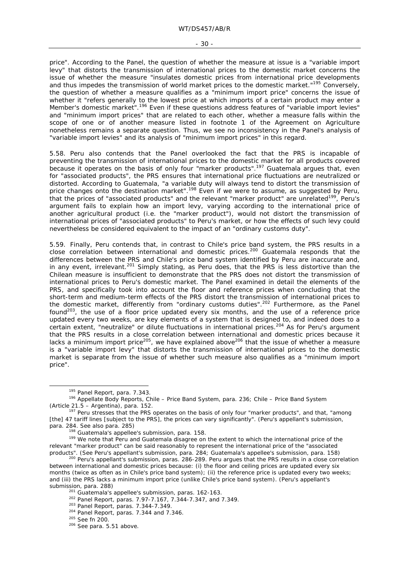price". According to the Panel, the question of whether the measure at issue is a "variable import levy" that distorts the transmission of international prices to the domestic market concerns the issue of whether the measure "insulates domestic prices from international price developments and thus impedes the transmission of world market prices to the domestic market."<sup>195</sup> Conversely, the question of whether a measure qualifies as a "minimum import price" concerns the issue of whether it "refers generally to the lowest price at which imports of a certain product may enter a Member's domestic market".<sup>196</sup> Even if these questions address features of "variable import levies" and "minimum import prices" that are related to each other, whether a measure falls within the scope of one or of another measure listed in footnote 1 of the Agreement on Agriculture nonetheless remains a separate question. Thus, we see no inconsistency in the Panel's analysis of "variable import levies" and its analysis of "minimum import prices" in this regard.

5.58. Peru also contends that the Panel overlooked the fact that the PRS is incapable of preventing the transmission of international prices to the domestic market for all products covered because it operates on the basis of only four "marker products".<sup>197</sup> Guatemala argues that, even for "associated products", the PRS ensures that international price fluctuations are neutralized or distorted. According to Guatemala, "a variable duty will always tend to distort the transmission of price changes onto the destination market".<sup>198</sup> Even if we were to assume, as suggested by Peru, that the prices of "associated products" and the relevant "marker product" are unrelated<sup>199</sup>, Peru's argument fails to explain how an import levy, varying according to the international price of another agricultural product (i.e. the "marker product"), would not distort the transmission of international prices of "associated products" to Peru's market, or how the effects of such levy could nevertheless be considered equivalent to the impact of an "ordinary customs duty".

5.59. Finally, Peru contends that, in contrast to Chile's price band system, the PRS results in a close correlation between international and domestic prices.200 Guatemala responds that the differences between the PRS and Chile's price band system identified by Peru are inaccurate and, in any event, irrelevant.<sup>201</sup> Simply stating, as Peru does, that the PRS is less distortive than the Chilean measure is insufficient to demonstrate that the PRS does not distort the transmission of international prices to Peru's domestic market. The Panel examined in detail the elements of the PRS, and specifically took into account the floor and reference prices when concluding that the short-term and medium-term effects of the PRS distort the transmission of international prices to the domestic market, differently from "ordinary customs duties".<sup>202</sup> Furthermore, as the Panel found<sup>203</sup>, the use of a floor price updated every six months, and the use of a reference price updated every two weeks, are key elements of a system that is designed to, and indeed does to a certain extent, "neutralize" or dilute fluctuations in international prices.<sup>204</sup> As for Peru's argument that the PRS results in a close correlation between international and domestic prices because it lacks a minimum import price<sup>205</sup>, we have explained above<sup>206</sup> that the issue of whether a measure is a "variable import levy" that distorts the transmission of international prices to the domestic market is separate from the issue of whether such measure also qualifies as a "minimum import price".

 <sup>195</sup> Panel Report, para. 7.343. 196 Appellate Body Reports, *Chile – Price Band System*, para. 236; *Chile – Price Band System* 

<sup>&</sup>lt;sup>197</sup> Peru stresses that the PRS operates on the basis of only four "marker products", and that, "among [the] 47 tariff lines [subject to the PRS], the prices can vary significantly". (Peru's appellant's submission,

para. 284. See also para. 285)<br><sup>198</sup> Guatemala's appellee's submission, para. 158.<br><sup>199</sup> We note that Peru and Guatemala disagree on the extent to which the international price of the relevant "marker product" can be said reasonably to represent the international price of the "associated

products". (See Peru's appellant's submission, para. 284; Guatemala's appellee's submission, para. 158) 200 Peru's appellant's submission, paras. 286-289. Peru argues that the PRS results in a close correlation between international and domestic prices because: (i) the floor and ceiling prices are updated every six months (twice as often as in Chile's price band system); (ii) the reference price is updated every two weeks; and (iii) the PRS lacks a minimum import price (unlike Chile's price band system). (Peru's appellant's submission, para. 288)<br>
<sup>201</sup> Guatemala's appellee's submission, paras. 162-163.<br>
<sup>202</sup> Panel Report, paras. 7.97-7.167, 7.344-7.347, and 7.349.<br>
<sup>203</sup> Panel Report, paras. 7.344-7.349.<br>
<sup>204</sup> Panel Report, paras. 7.344 a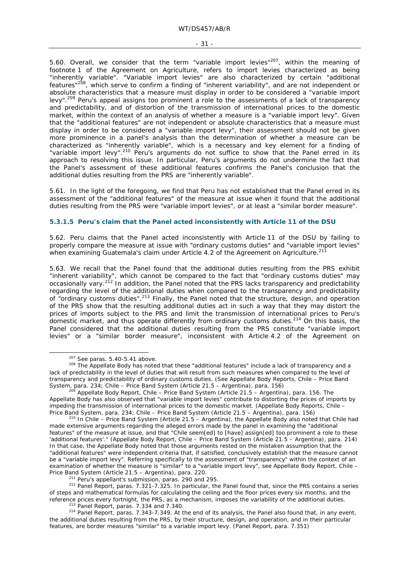5.60. Overall, we consider that the term "variable import levies" $207$ , within the meaning of footnote 1 of the Agreement on Agriculture, refers to import levies characterized as being "inherently variable". "Variable import levies" are also characterized by certain "additional features"208, which serve to confirm a finding of "inherent variability", and are *not* independent or absolute characteristics that a measure must display in order to be considered a "variable import levy".<sup>209</sup> Peru's appeal assigns too prominent a role to the assessments of a lack of transparency and predictability, and of distortion of the transmission of international prices to the domestic market, within the context of an analysis of whether a measure is a "variable import levy". Given that the "additional features" are not independent or absolute characteristics that a measure must display in order to be considered a "variable import levy", their assessment should not be given more prominence in a panel's analysis than the determination of whether a measure can be characterized as "inherently variable", which is a necessary and key element for a finding of "variable import levy".<sup>210</sup> Peru's arguments do not suffice to show that the Panel erred in its approach to resolving this issue. In particular, Peru's arguments do not undermine the fact that the Panel's assessment of these additional features confirms the Panel's conclusion that the additional duties resulting from the PRS are "inherently variable".

5.61. In the light of the foregoing, we find that Peru has not established that the Panel erred in its assessment of the "additional features" of the measure at issue when it found that the additional duties resulting from the PRS were "variable import levies", or at least a "similar border measure".

#### **5.3.1.5 Peru's claim that the Panel acted inconsistently with Article 11 of the DSU**

5.62. Peru claims that the Panel acted inconsistently with Article 11 of the DSU by failing to properly compare the measure at issue with "ordinary customs duties" and "variable import levies" when examining Guatemala's claim under Article 4.2 of the Agreement on Agriculture.<sup>21</sup>

5.63. We recall that the Panel found that the additional duties resulting from the PRS exhibit "inherent variability", which cannot be compared to the fact that "ordinary customs duties" may occasionally vary.<sup>212</sup> In addition, the Panel noted that the PRS lacks transparency and predictability regarding the level of the additional duties when compared to the transparency and predictability of "ordinary customs duties".213 Finally, the Panel noted that the structure, design, and operation of the PRS show that the resulting additional duties act in such a way that they may distort the prices of imports subject to the PRS and limit the transmission of international prices to Peru's domestic market, and thus operate differently from ordinary customs duties.<sup>214</sup> On this basis, the Panel considered that the additional duties resulting from the PRS constitute "variable import levies" or a "similar border measure", inconsistent with Article 4.2 of the Agreement on

<sup>&</sup>lt;sup>207</sup> See paras. 5.40-5.41 above.<br><sup>208</sup> The Appellate Body has noted that these "additional features" include a lack of transparency and a lack of predictability in the level of duties that will result from such measures when compared to the level of transparency and predictability of ordinary customs duties. (See Appellate Body Reports, *Chile – Price Band System*, para. 234; *Chile – Price Band System (Article 21.5 – Argentina)*, para. 156)<br><sup>209</sup> Appellate Body Report, *Chile – Price Band System (Article 21.5 – Argentina)*, para. 156. The

Appellate Body has also observed that "variable import levies" contribute to distorting the prices of imports by impeding the transmission of international prices to the domestic market. (Appellate Body Reports, *Chile – Price Band System*, para. 234; *Chile – Price Band System (Article 21.5 – Argentina)*, para. 156)

*Price Band System*, para. 234; *Chile – Price Band System (Article 21.5 – Argentina),* para. 156) 210 In *Chile – Price Band System (Article 21.5 – Argentina)*, the Appellate Body also noted that Chile had made extensive arguments regarding the alleged errors made by the panel in examining the "additional features" of the measure at issue, and that "Chile seem[ed] to [have] assign[ed] too prominent a role to these 'additional features'." (Appellate Body Report, *Chile – Price Band System (Article 21.5 – Argentina),* para. 214) In that case, the Appellate Body noted that those arguments rested on the mistaken assumption that the "additional features" were independent criteria that, if satisfied, conclusively establish that the measure cannot be a "variable import levy". Referring specifically to the assessment of "transparency" within the context of an examination of whether the measure is "similar" to a "variable import levy", see Appellate Body Report, *Chile –* 

Price Band System (Article 21.5 – Argentina), para. 220.<br><sup>211</sup> Peru's appellant's submission, paras. 290 and 295.<br><sup>212</sup> Panel Report, paras. 7.321-7.325. In particular, the Panel found that, since the PRS contains a series of steps and mathematical formulas for calculating the ceiling and the floor prices every six months, and the reference prices every fortnight, the PRS, as a mechanism, imposes the variability of the additional duties.<br><sup>213</sup> Panel Report, paras. 7.334 and 7.340.<br><sup>214</sup> Panel Report, paras. 7.343-7.349. At the end of its analysis, t

the additional duties resulting from the PRS, by their structure, design, and operation, and in their particular features, are border measures "similar" to a variable import levy. (Panel Report, para. 7.351)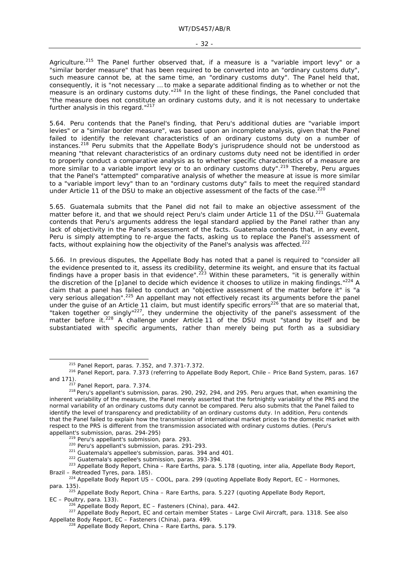#### - 32 -

Agriculture.<sup>215</sup> The Panel further observed that, if a measure is a "variable import levy" or a "similar border measure" that has been required to be converted into an "ordinary customs duty", such measure cannot be, at the same time, an "ordinary customs duty". The Panel held that, consequently, it is "not necessary … to make a separate additional finding as to whether or not the measure is an ordinary customs duty."<sup>216</sup> In the light of these findings, the Panel concluded that "the measure does not constitute an ordinary customs duty, and it is not necessary to undertake further analysis in this regard."<sup>217</sup>

5.64. Peru contends that the Panel's finding, that Peru's additional duties are "variable import levies" or a "similar border measure", was based upon an incomplete analysis, given that the Panel failed to identify the relevant characteristics of an ordinary customs duty on a number of instances.218 Peru submits that the Appellate Body's jurisprudence should not be understood as meaning "that relevant characteristics of an ordinary customs duty need not be identified in order to properly conduct a comparative analysis as to whether specific characteristics of a measure are more similar to a variable import levy or to an ordinary customs duty".<sup>219</sup> Thereby, Peru arques that the Panel's "attempted" comparative analysis of whether the measure at issue is more similar to a "variable import levy" than to an "ordinary customs duty" fails to meet the required standard under Article 11 of the DSU to make an objective assessment of the facts of the case.<sup>220</sup>

5.65. Guatemala submits that the Panel did not fail to make an objective assessment of the matter before it, and that we should reject Peru's claim under Article 11 of the DSU.<sup>221</sup> Guatemala contends that Peru's arguments address the legal standard applied by the Panel rather than any lack of objectivity in the Panel's assessment of the facts. Guatemala contends that, in any event, Peru is simply attempting to re-argue the facts, asking us to replace the Panel's assessment of facts, without explaining how the objectivity of the Panel's analysis was affected.<sup>222</sup>

5.66. In previous disputes, the Appellate Body has noted that a panel is required to "consider all the evidence presented to it, assess its credibility, determine its weight, and ensure that its factual findings have a proper basis in that evidence".<sup>223</sup> Within these parameters, "it is generally within the discretion of the [p]anel to decide which evidence it chooses to utilize in making findings."<sup>224</sup> A claim that a panel has failed to conduct an "objective assessment of the matter before it" is "a very serious allegation".<sup>225</sup> An appellant may not effectively recast its arguments before the panel under the guise of an Article 11 claim, but must identify specific errors<sup>226</sup> that are so material that, "taken together or singly"227, they undermine the objectivity of the panel's assessment of the matter before it.<sup>228</sup> A challenge under Article 11 of the DSU must "stand by itself and be substantiated with specific arguments, rather than merely being put forth as a subsidiary

<sup>&</sup>lt;sup>215</sup> Panel Report, paras. 7.352, and 7.371-7.372.<br><sup>216</sup> Panel Report, para. 7.373 (referring to Appellate Body Report, *Chile – Price Band System*, paras. 167<br><sup>217</sup> Panel Report. para. 7.374.

 $^{218}$  Peru's appellant's submission, paras. 290, 292, 294, and 295. Peru argues that, when examining the inherent variability of the measure, the Panel merely asserted that the fortnightly variability of the PRS and the normal variability of an ordinary customs duty cannot be compared. Peru also submits that the Panel failed to identify the level of transparency and predictability of an ordinary customs duty. In addition, Peru contends that the Panel failed to explain how the transmission of international market prices to the domestic market with respect to the PRS is different from the transmission associated with ordinary customs duties. (Peru's

appellant's submission, paras. 294-295)<br>
<sup>219</sup> Peru's appellant's submission, para. 293.<br>
<sup>220</sup> Peru's appellant's submission, paras. 291-293.<br>
<sup>221</sup> Guatemala's appellee's submission, paras. 394 and 401.<br>
<sup>222</sup> Guatemala' *Brazil – Retreaded Tyres*, para. 185). 224 Appellate Body Report *US – COOL*, para. 299 (quoting Appellate Body Report, *EC – Hormones*,

para. 135). 225 Appellate Body Report, *China – Rare Earths*, para. 5.227 (quoting Appellate Body Report,

*EC – Poultry*, para. 133). 226 Appellate Body Report, *EC – Fasteners (China)*, para. 442. 227 Appellate Body Report, *EC and certain member States – Large Civil Aircraft*, para. 1318. See also Appellate Body Report, *EC – Fasteners (China)*, para. 499. 228 Appellate Body Report, *China – Rare Earths*, para. 5.179.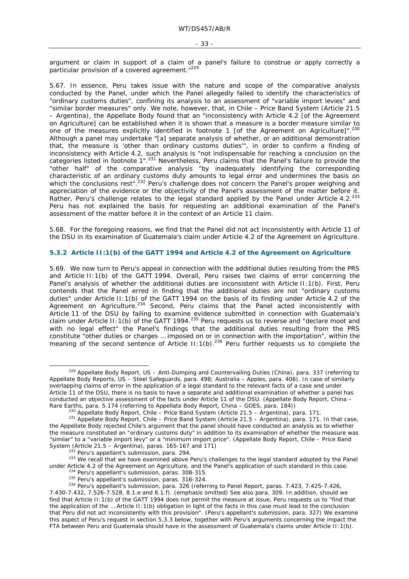argument or claim in support of a claim of a panel's failure to construe or apply correctly a particular provision of a covered agreement."<sup>229</sup>

5.67. In essence, Peru takes issue with the nature and scope of the comparative analysis conducted by the Panel, under which the Panel allegedly failed to identify the characteristics of "ordinary customs duties", confining its analysis to an assessment of "variable import levies" and "similar border measures" only. We note, however, that, in *Chile – Price Band System (Article 21.5 – Argentina)*, the Appellate Body found that an "inconsistency with Article 4.2 [of the Agreement on Agriculture] can be established when it is shown that a measure is a border measure similar to one of the measures explicitly identified in footnote 1 [of the Agreement on Agriculture]".<sup>230</sup> Although a panel may undertake "[a] separate analysis of whether, or an additional demonstration that, the measure is 'other than ordinary customs duties'", in order to confirm a finding of inconsistency with Article 4.2, such analysis is "not indispensable for reaching a conclusion on the categories listed in footnote 1".<sup>231</sup> Nevertheless, Peru claims that the Panel's failure to provide the "other half" of the comparative analysis "by inadequately identifying the corresponding characteristic of an ordinary customs duty amounts to legal error and undermines the basis on which the conclusions rest".<sup>232</sup> Peru's challenge does not concern the Panel's proper weighing and appreciation of the evidence or the objectivity of the Panel's assessment of the matter before it. Rather, Peru's challenge relates to the legal standard applied by the Panel under Article 4.2.<sup>233</sup> Peru has not explained the basis for requesting an *additional* examination of the Panel's assessment of the matter before it in the context of an Article 11 claim.

5.68. For the foregoing reasons, we find that the Panel did not act inconsistently with Article 11 of the DSU in its examination of Guatemala's claim under Article 4.2 of the Agreement on Agriculture.

#### **5.3.2 Article II:1(b) of the GATT 1994 and Article 4.2 of the Agreement on Agriculture**

5.69. We now turn to Peru's appeal in connection with the additional duties resulting from the PRS and Article II:1(b) of the GATT 1994. Overall, Peru raises two claims of error concerning the Panel's analysis of whether the additional duties are inconsistent with Article II:1(b). First, Peru contends that the Panel erred in finding that the additional duties are not "ordinary customs duties" under Article II:1(b) of the GATT 1994 on the basis of its finding under Article 4.2 of the Agreement on Agriculture.<sup>234</sup> Second, Peru claims that the Panel acted inconsistently with Article 11 of the DSU by failing to examine evidence submitted in connection with Guatemala's claim under Article II:1(b) of the GATT 1994.<sup>235</sup> Peru requests us to reverse and "declare moot and with no legal effect" the Panel's findings that the additional duties resulting from the PRS constitute "other duties or charges … imposed on or in connection with the importation", within the meaning of the second sentence of Article II:1(b).<sup>236</sup> Peru further requests us to complete the

under Article 4.2 of the Agreement on Agriculture, and the Panel's application of such standard in this case.<br><sup>234</sup> Peru's appellant's submission, paras. 308-315.<br><sup>235</sup> Peru's appellant's submission, paras. 316-324.<br><sup>236</sup>

 <sup>229</sup> Appellate Body Report, *US – Anti-Dumping and Countervailing Duties (China)*, para. 337 (referring to Appellate Body Reports, *US – Steel Safeguards*, para. 498; *Australia – Apples*, para. 406). In case of similarly overlapping claims of error in the application of a legal standard to the relevant facts of a case and under Article 11 of the DSU, there is no basis to have a separate and additional examination of whether a panel has conducted an objective assessment of the facts under Article 11 of the DSU. (Appellate Body Report, *China – Rare Earths, para.* 5.174 (referring to Appellate Body Report, *China e GOES, para.* 184))

<sup>&</sup>lt;sup>230</sup> Appellate Body Report, *Chile – Price Band System (Article 21.5 – Argentina)*, para. 171.<br><sup>231</sup> Appellate Body Report, *Chile – Price Band System (Article 21.5 – Argentina)*, para. 171. In that case, the Appellate Body rejected Chile's argument that the panel should have conducted an analysis as to whether the measure constituted an "ordinary customs duty" in addition to its examination of whether the measure was "similar" to a "variable import levy" or a "minimum import price". (Appellate Body Report, *Chile – Price Band System (Article 21.5 – Argentina)*, paras. 165-167 and 171)<br><sup>232</sup> Peru's appellant's submission, para. 294.<br><sup>233</sup> We recall that we have examined above Peru's challenges to the legal standard adopted by the Panel

<sup>7.430-7.432, 7.526-7.528, 8.1.</sup>e and 8.1.f). (emphasis omitted) See also para. 309. In addition, should we find that Article II:1(b) of the GATT 1994 does not permit the measure at issue, Peru requests us to "find that the application of the … Article II:1(b) obligation in light of the facts in this case must lead to the conclusion that Peru did not act inconsistently with this provision". (Peru's appellant's submission, para. 327) We examine this aspect of Peru's request in section 5.3.3 below, together with Peru's arguments concerning the impact the FTA between Peru and Guatemala should have in the assessment of Guatemala's claims under Article II: 1(b).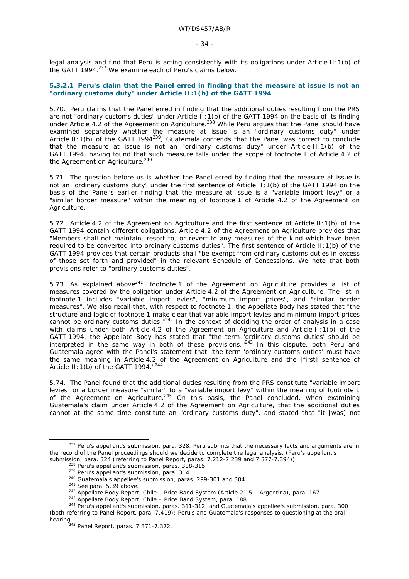legal analysis and find that Peru is acting consistently with its obligations under Article II:1(b) of the GATT 1994.<sup>237</sup> We examine each of Peru's claims below.

#### **5.3.2.1 Peru's claim that the Panel erred in finding that the measure at issue is not an "ordinary customs duty" under Article II:1(b) of the GATT 1994**

5.70. Peru claims that the Panel erred in finding that the additional duties resulting from the PRS are not "ordinary customs duties" under Article II: 1(b) of the GATT 1994 on the basis of its finding under Article 4.2 of the Agreement on Agriculture.<sup>238</sup> While Peru argues that the Panel should have examined separately whether the measure at issue is an "ordinary customs duty" under Article II:1(b) of the GATT 1994<sup>239</sup>, Guatemala contends that the Panel was correct to conclude that the measure at issue is not an "ordinary customs duty" under Article II:1(b) of the GATT 1994, having found that such measure falls under the scope of footnote 1 of Article 4.2 of the Agreement on Agriculture.<sup>240</sup>

5.71. The question before us is whether the Panel erred by finding that the measure at issue is not an "ordinary customs duty" under the first sentence of Article II:1(b) of the GATT 1994 on the basis of the Panel's earlier finding that the measure at issue is a "variable import levy" or a "similar border measure" within the meaning of footnote 1 of Article 4.2 of the Agreement on Agriculture.

5.72. Article 4.2 of the Agreement on Agriculture and the first sentence of Article II:1(b) of the GATT 1994 contain different obligations. Article 4.2 of the Agreement on Agriculture provides that "Members shall not maintain, resort to, or revert to any measures of the kind which have been required to be converted into ordinary customs duties". The first sentence of Article II:1(b) of the GATT 1994 provides that certain products shall "be exempt from ordinary customs duties in excess of those set forth and provided" in the relevant Schedule of Concessions. We note that both provisions refer to "ordinary customs duties".

5.73. As explained above $241$ , footnote 1 of the Agreement on Agriculture provides a list of measures covered by the obligation under Article 4.2 of the Agreement on Agriculture. The list in footnote 1 includes "variable import levies", "minimum import prices", and "similar border measures". We also recall that, with respect to footnote 1, the Appellate Body has stated that "the structure and logic of footnote 1 make clear that variable import levies and minimum import prices cannot be ordinary customs duties."242 In the context of deciding the order of analysis in a case with claims under both Article 4.2 of the Agreement on Agriculture and Article II:1(b) of the GATT 1994, the Appellate Body has stated that "the term 'ordinary customs duties' should be interpreted in the same way in both of these provisions."243 In this dispute, both Peru and Guatemala agree with the Panel's statement that "the term 'ordinary customs duties' must have the same meaning in Article 4.2 of the Agreement on Agriculture and the [first] sentence of Article II:1(b) of the GATT 1994."<sup>244</sup>

5.74. The Panel found that the additional duties resulting from the PRS constitute "variable import levies" or a border measure "similar" to a "variable import levy" within the meaning of footnote 1 of the Agreement on Agriculture.<sup>245</sup> On this basis, the Panel concluded, when examining Guatemala's claim under Article 4.2 of the Agreement on Agriculture, that the additional duties cannot at the same time constitute an "ordinary customs duty", and stated that "it [was] not

<sup>&</sup>lt;sup>237</sup> Peru's appellant's submission, para. 328. Peru submits that the necessary facts and arguments are in the record of the Panel proceedings should we decide to complete the legal analysis. (Peru's appellant's

submission, para. 324 (referring to Panel Report, paras. 7.212-7.239 and 7.377-7.394))<br>
<sup>238</sup> Peru's appellant's submission, paras. 308-315.<br>
<sup>239</sup> Peru's appellant's submission, para. 314.<br>
<sup>240</sup> Guatemala's appellee's s (both referring to Panel Report, para. 7.419); Peru's and Guatemala's responses to questioning at the oral hearing.<br><sup>245</sup> Panel Report, paras. 7.371-7.372.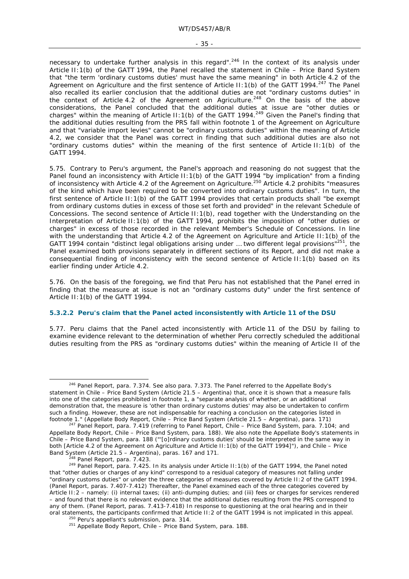necessary to undertake further analysis in this regard".<sup>246</sup> In the context of its analysis under Article II:1(b) of the GATT 1994, the Panel recalled the statement in *Chile – Price Band System*  that "the term 'ordinary customs duties' must have the same meaning" in both Article 4.2 of the Agreement on Agriculture and the first sentence of Article II: 1(b) of the GATT 1994.<sup>247</sup> The Panel also recalled its earlier conclusion that the additional duties are not "ordinary customs duties" in the context of Article 4.2 of the Agreement on Agriculture.<sup>248</sup> On the basis of the above considerations, the Panel concluded that the additional duties at issue are "other duties or charges" within the meaning of Article II:1(b) of the GATT 1994.<sup>249</sup> Given the Panel's finding that the additional duties resulting from the PRS fall within footnote 1 of the Agreement on Agriculture and that "variable import levies" cannot be "ordinary customs duties" within the meaning of Article 4.2, we consider that the Panel was correct in finding that such additional duties are also not "ordinary customs duties" within the meaning of the first sentence of Article II:1(b) of the GATT 1994.

5.75. Contrary to Peru's argument, the Panel's approach and reasoning do not suggest that the Panel found an inconsistency with Article II: 1(b) of the GATT 1994 "by implication" from a finding of inconsistency with Article 4.2 of the Agreement on Agriculture.250 Article 4.2 prohibits "measures of the kind which have been required to be converted into ordinary customs duties". In turn, the first sentence of Article II:1(b) of the GATT 1994 provides that certain products shall "be exempt from ordinary customs duties in excess of those set forth and provided" in the relevant Schedule of Concessions. The second sentence of Article II:1(b), read together with the Understanding on the Interpretation of Article II:1(b) of the GATT 1994, prohibits the imposition of "other duties or charges" in excess of those recorded in the relevant Member's Schedule of Concessions. In line with the understanding that Article 4.2 of the Agreement on Agriculture and Article II:1(b) of the GATT 1994 contain "distinct legal obligations arising under ... two different legal provisions" $^{251}$ , the Panel examined both provisions separately in different sections of its Report, and did not make a consequential finding of inconsistency with the second sentence of Article II:1(b) based on its earlier finding under Article 4.2.

5.76. On the basis of the foregoing, we find that Peru has not established that the Panel erred in finding that the measure at issue is not an "ordinary customs duty" under the first sentence of Article II:1(b) of the GATT 1994.

#### **5.3.2.2 Peru's claim that the Panel acted inconsistently with Article 11 of the DSU**

5.77. Peru claims that the Panel acted inconsistently with Article 11 of the DSU by failing to examine evidence relevant to the determination of whether Peru correctly scheduled the additional duties resulting from the PRS as "ordinary customs duties" within the meaning of Article II of the

<sup>&</sup>lt;sup>246</sup> Panel Report, para. 7.374. See also para. 7.373. The Panel referred to the Appellate Body's statement in *Chile – Price Band System (Article 21.5 – Argentina)* that, once it is shown that a measure falls into one of the categories prohibited in footnote 1, a "separate analysis of whether, or an additional demonstration that, the measure is 'other than ordinary customs duties' may also be undertaken to confirm such a finding. However, these are not indispensable for reaching a conclusion on the categories listed in footnote 1." (Appellate Body Report, *Chile – Price Band System (Article 21.5 – Argentina)*, para. 171)

footnote 1." (Appellate Body Report, *Chile – Price Band System (Article 21.5 – Argentina)*, para. 171) 247 Panel Report, para. 7.419 (referring to Panel Report, *Chile – Price Band System*, para. 7.104; and Appellate Body Report, *Chile – Price Band System*, para. 188). We also note the Appellate Body's statements in *Chile – Price Band System*, para. 188 ("'[o]rdinary customs duties' should be interpreted in the same way in both [Article 4.2 of the Agreement on Agriculture and Article II:1(b) of the GATT 1994]"), and *Chile – Price* 

*Band System (Article 21.5 – Argentina)*, paras. 167 and 171. 248 Panel Report, para. 7.423. 249 Panel Report, para. 7.425. In its analysis under Article II:1(b) of the GATT 1994, the Panel noted that "other duties or charges of any kind" correspond to a residual category of measures not falling under "ordinary customs duties" or under the three categories of measures covered by Article II:2 of the GATT 1994. (Panel Report, paras. 7.407-7.412) Thereafter, the Panel examined each of the three categories covered by Article II:2 *–* namely: (i) internal taxes; (ii) anti-dumping duties; and (iii) fees or charges for services rendered *–* and found that there is no relevant evidence that the additional duties resulting from the PRS correspond to any of them. (Panel Report, paras. 7.413-7.418) In response to questioning at the oral hearing and in their oral statements, the participants confirmed that Article II:2 of the GATT 1994 is not implicated in this appeal.<br><sup>250</sup> Peru's appellant's submission, para. 314.<br><sup>251</sup> Appellate Body Report, *Chile – Price Band System*, par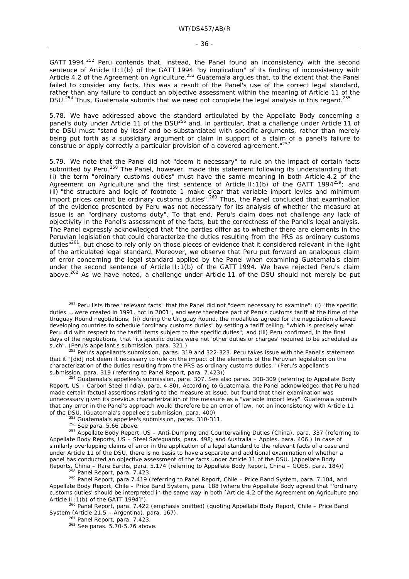- 36 -

GATT 1994.<sup>252</sup> Peru contends that, instead, the Panel found an inconsistency with the second sentence of Article II:1(b) of the GATT 1994 "by implication" of its finding of inconsistency with Article 4.2 of the Agreement on Agriculture.<sup>253</sup> Guatemala argues that, to the extent that the Panel failed to consider any facts, this was a result of the Panel's use of the correct legal standard, rather than any failure to conduct an objective assessment within the meaning of Article 11 of the DSU.<sup>254</sup> Thus, Guatemala submits that we need not complete the legal analysis in this regard.<sup>255</sup>

5.78. We have addressed above the standard articulated by the Appellate Body concerning a panel's duty under Article 11 of the DSU<sup>256</sup> and, in particular, that a challenge under Article 11 of the DSU must "stand by itself and be substantiated with specific arguments, rather than merely being put forth as a subsidiary argument or claim in support of a claim of a panel's failure to construe or apply correctly a particular provision of a covered agreement."<sup>257</sup>

5.79. We note that the Panel did not "deem it necessary" to rule on the impact of certain facts submitted by Peru.<sup>258</sup> The Panel, however, made this statement following its understanding that: (i) the term "ordinary customs duties" must have the same meaning in both Article 4.2 of the Agreement on Agriculture and the first sentence of Article II:1(b) of the GATT 1994<sup>259</sup>; and (ii) "the structure and logic of footnote 1 make clear that variable import levies and minimum import prices cannot be ordinary customs duties".<sup>260</sup> Thus, the Panel concluded that examination of the evidence presented by Peru was not necessary for its analysis of whether the measure at issue is an "ordinary customs duty". To that end, Peru's claim does not challenge any lack of objectivity in the Panel's assessment of the facts, but the correctness of the Panel's legal analysis. The Panel expressly acknowledged that "the parties differ as to whether there are elements in the Peruvian legislation that could characterize the duties resulting from the PRS as ordinary customs duties"261, but chose to rely only on those pieces of evidence that it considered relevant in the light of the articulated legal standard. Moreover, we observe that Peru put forward an analogous claim of error concerning the legal standard applied by the Panel when examining Guatemala's claim under the second sentence of Article II:1(b) of the GATT 1994. We have rejected Peru's claim ahac. ..... **2021.... Extreme in the set of the 11** of the DSU should not merely be put above.<sup>262</sup> As we have noted, a challenge under Article 11 of the DSU should not merely be put

<sup>&</sup>lt;sup>252</sup> Peru lists three "relevant facts" that the Panel did not "deem necessary to examine": (i) "the specific duties … were created in 1991, not in 2001", and were therefore part of Peru's customs tariff at the time of the Uruguay Round negotiations; (ii) during the Uruguay Round, the modalities agreed for the negotiation allowed developing countries to schedule "ordinary customs duties" by setting a tariff ceiling, "which is precisely what Peru did with respect to the tariff items subject to the specific duties"; and (iii) Peru confirmed, in the final days of the negotiations, that "its specific duties were not 'other duties or charges' required to be scheduled as<br>such". (Peru's appellant's submission, para. 321.)

 $\frac{253}{1}$  Peru's appellant's submission, paras. 319 and 322-323. Peru takes issue with the Panel's statement that it "[did] not deem it necessary to rule on the impact of the elements of the Peruvian legislation on the characterization of the duties resulting from the PRS as ordinary customs duties." (Peru's appellant's submission, para. 319 (referring to Panel Report, para. 7.423))

<sup>&</sup>lt;sup>254</sup> Guatemala's appellee's submission, para. 307. See also paras. 308-309 (referring to Appellate Body Report, *US – Carbon Steel (India)*, para. 4.80). According to Guatemala, the Panel acknowledged that Peru had made certain factual assertions relating to the measure at issue, but found that their examination was unnecessary given its previous characterization of the measure as a "variable import levy". Guatemala submits that any error in the Panel's approach would therefore be an error of law, not an inconsistency with Article 11 of the DSU. (Guatemala's appellee's submission, para. 400)

<sup>&</sup>lt;sup>255</sup> Guatemala's appellee's submission, paras. 310-311.<br><sup>256</sup> See para. 5.66 above.<br><sup>257</sup> Appellate Body Report, *US – Anti-Dumping and Countervailing Duties (China)*, para. 337 (referring to Appellate Body Reports, *US – Steel Safeguards*, para. 498; and *Australia – Apples*, para. 406.) In case of similarly overlapping claims of error in the application of a legal standard to the relevant facts of a case and under Article 11 of the DSU, there is no basis to have a separate and additional examination of whether a panel has conducted an objective assessment of the facts under Article 11 of the DSU. (Appellate Body

Reports, *China – Rare Earths*, para. 5.174 (referring to Appellate Body Report, *China – GOES*, para. 184))<br><sup>258</sup> Panel Report, para. 7.423.<br><sup>259</sup> Panel Report, para 7.419 (referring to Panel Report, *Chile – Price Band S* Appellate Body Report, *Chile – Price Band* System, para. 188 (where the Appellate Body agreed that "'ordinary customs duties' should be interpreted in the same way in both [Article 4.2 of the Agreement on Agriculture and Article II:1(b) of the GATT 1994]"). 260 Panel Report, para. 7.422 (emphasis omitted) (quoting Appellate Body Report, *Chile – Price Band* 

*System (Article 21.5 – Argentina)*, para. 167).<br><sup>261</sup> Panel Report, para. 7.423.<br><sup>262</sup> See paras. 5.70-5.76 above.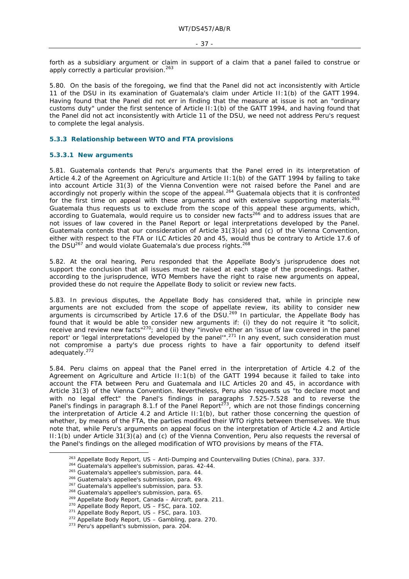forth as a subsidiary argument or claim in support of a claim that a panel failed to construe or apply correctly a particular provision.<sup>263</sup>

5.80. On the basis of the foregoing, we find that the Panel did not act inconsistently with Article 11 of the DSU in its examination of Guatemala's claim under Article II:1(b) of the GATT 1994. Having found that the Panel did not err in finding that the measure at issue is not an "ordinary customs duty" under the first sentence of Article II:1(b) of the GATT 1994, and having found that the Panel did not act inconsistently with Article 11 of the DSU, we need not address Peru's request to complete the legal analysis.

### **5.3.3 Relationship between WTO and FTA provisions**

#### **5.3.3.1 New arguments**

5.81. Guatemala contends that Peru's arguments that the Panel erred in its interpretation of Article 4.2 of the Agreement on Agriculture and Article II:1(b) of the GATT 1994 by failing to take into account Article 31(3) of the Vienna Convention were not raised before the Panel and are accordingly not properly within the scope of the appeal.<sup>264</sup> Guatemala objects that it is confronted for the first time on appeal with these arguments and with extensive supporting materials.<sup>265</sup> Guatemala thus requests us to exclude from the scope of this appeal these arguments, which, according to Guatemala, would require us to consider new facts266 and to address issues that are not issues of law covered in the Panel Report or legal interpretations developed by the Panel. Guatemala contends that our consideration of Article 31(3)(a) and (c) of the Vienna Convention, either with respect to the FTA or ILC Articles 20 and 45, would thus be contrary to Article 17.6 of the DSU $^{267}$  and would violate Guatemala's due process rights. $^{268}$ 

5.82. At the oral hearing, Peru responded that the Appellate Body's jurisprudence does not support the conclusion that all issues must be raised at each stage of the proceedings. Rather, according to the jurisprudence, WTO Members have the right to raise new arguments on appeal, provided these do not require the Appellate Body to solicit or review new facts.

5.83. In previous disputes, the Appellate Body has considered that, while in principle new arguments are not excluded from the scope of appellate review, its ability to consider new arguments is circumscribed by Article 17.6 of the DSU.<sup>269</sup> In particular, the Appellate Body has found that it would be able to consider new arguments if: (i) they do not require it "to solicit, receive and review new facts<sup>"270</sup>; and (ii) they "involve either an 'issue of law covered in the panel<br> $\frac{270}{100}$  and (ii) they "involve either an 'issue of law covered in the panel report' or 'legal interpretations developed by the panel"<sup>271</sup> In any event, such consideration must not compromise a party's due process rights to have a fair opportunity to defend itself adequately.272

5.84. Peru claims on appeal that the Panel erred in the interpretation of Article 4.2 of the Agreement on Agriculture and Article II:1(b) of the GATT 1994 because it failed to take into account the FTA between Peru and Guatemala and ILC Articles 20 and 45, in accordance with Article 31(3) of the Vienna Convention. Nevertheless, Peru also requests us "to *declare moot and with no legal effect*" the Panel's findings in paragraphs 7.525-7.528 and to reverse the Panel's findings in paragraph 8.1.f of the Panel Report<sup>273</sup>, which are not those findings concerning the interpretation of Article 4.2 and Article II:1(b), but rather those concerning the question of whether, by means of the FTA, the parties modified their WTO rights between themselves. We thus note that, while Peru's arguments on appeal focus on the interpretation of Article 4.2 and Article II:1(b) under Article 31(3)(a) and (c) of the Vienna Convention, Peru also requests the reversal of the Panel's findings on the alleged modification of WTO provisions by means of the FTA.

<sup>&</sup>lt;sup>263</sup> Appellate Body Report, *US – Anti-Dumping and Countervailing Duties (China)*, para. 337.<br><sup>264</sup> Guatemala's appellee's submission, paras. 42-44.<br><sup>265</sup> Guatemala's appellee's submission, para. 44.<br><sup>266</sup> Guatemala's ap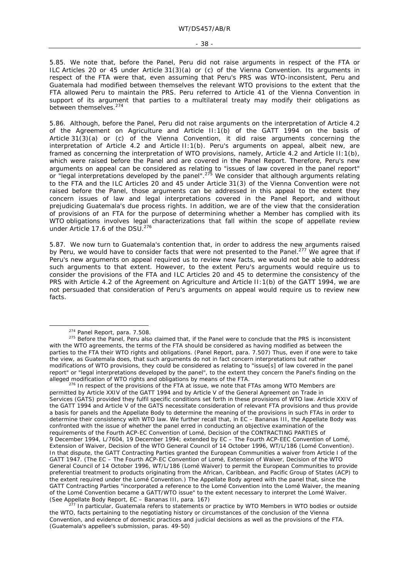5.85. We note that, before the Panel, Peru did not raise arguments in respect of the FTA or ILC Articles 20 or 45 under Article 31(3)(a) or (c) of the Vienna Convention. Its arguments in respect of the FTA were that, even assuming that Peru's PRS was WTO-inconsistent, Peru and Guatemala had *modified* between themselves the relevant WTO provisions to the extent that the FTA allowed Peru to maintain the PRS. Peru referred to Article 41 of the Vienna Convention in support of its argument that parties to a multilateral treaty may modify their obligations as between themselves.<sup>274</sup>

5.86. Although, before the Panel, Peru did not raise arguments on the interpretation of Article 4.2 of the Agreement on Agriculture and Article II:1(b) of the GATT 1994 on the basis of Article 31(3)(a) or (c) of the Vienna Convention, it did raise arguments concerning the interpretation of Article 4.2 and Article II:1(b). Peru's arguments on appeal, albeit new, are framed as concerning the interpretation of WTO provisions, namely, Article 4.2 and Article II:1(b), which were raised before the Panel and are covered in the Panel Report. Therefore, Peru's new arguments on appeal can be considered as relating to "issues of law covered in the panel report" or "legal interpretations developed by the panel".<sup>275</sup> We consider that although arguments relating to the FTA and the ILC Articles 20 and 45 under Article 31(3) of the Vienna Convention were not raised before the Panel, those arguments can be addressed in this appeal to the extent they concern issues of law and legal interpretations covered in the Panel Report, and without prejudicing Guatemala's due process rights. In addition, we are of the view that the consideration of provisions of an FTA for the purpose of determining whether a Member has complied with its WTO obligations involves legal characterizations that fall within the scope of appellate review under Article 17.6 of the DSU.<sup>276</sup>

5.87. We now turn to Guatemala's contention that, in order to address the new arguments raised by Peru, we would have to consider facts that were not presented to the Panel.<sup>277</sup> We agree that if Peru's new arguments on appeal required us to review new facts, we would not be able to address such arguments to that extent. However, to the extent Peru's arguments would require us to consider the provisions of the FTA and ILC Articles 20 and 45 to determine the consistency of the PRS with Article 4.2 of the Agreement on Agriculture and Article II:1(b) of the GATT 1994, we are not persuaded that consideration of Peru's arguments on appeal would require us to review new facts.

 $276$  In respect of the provisions of the FTA at issue, we note that FTAs among WTO Members are permitted by Article XXIV of the GATT 1994 and by Article V of the General Agreement on Trade in Services (GATS) provided they fulfil specific conditions set forth in these provisions of WTO law. Article XXIV of the GATT 1994 and Article V of the GATS necessitate consideration of relevant FTA provisions and thus provide a basis for panels and the Appellate Body to determine the meaning of the provisions in such FTAs in order to determine their consistency with WTO law. We further recall that, in *EC – Bananas III*, the Appellate Body was confronted with the issue of whether the panel erred in conducting an objective examination of the requirements of the Fourth ACP-EC Convention of Lomé, Decision of the CONTRACTING PARTIES of 9 December 1994, L/7604, 19 December 1994; extended by EC – The Fourth ACP-EEC Convention of Lomé, Extension of Waiver, Decision of the WTO General Council of 14 October 1996, WT/L/186 (Lomé Convention). In that dispute, the GATT Contracting Parties granted the European Communities a waiver from Article I of the GATT 1947. (The EC – The Fourth ACP-EC Convention of Lomé, Extension of Waiver, Decision of the WTO General Council of 14 October 1996, WT/L/186 (Lomé Waiver) to permit the European Communities to provide preferential treatment to products originating from the African, Caribbean, and Pacific Group of States (ACP) to the extent required under the Lomé Convention.) The Appellate Body agreed with the panel that, since the GATT Contracting Parties "incorporated a reference to the Lomé Convention into the Lomé Waiver, the meaning of the Lomé Convention became a GATT/WTO issue" to the extent necessary to interpret the Lomé Waiver. (See Appellate Body Report, *EC – Bananas III*, para. 167)<br><sup>277</sup> In particular, Guatemala refers to statements or practice by WTO Members in WTO bodies or outside

the WTO, facts pertaining to the negotiating history or circumstances of the conclusion of the Vienna Convention, and evidence of domestic practices and judicial decisions as well as the provisions of the FTA. (Guatemala's appellee's submission, paras. 49-50)

 $274$  Panel Report, para. 7.508.<br> $275$  Before the Panel, Peru also claimed that, if the Panel were to conclude that the PRS is inconsistent with the WTO agreements, the terms of the FTA should be considered as having modified as between the parties to the FTA their WTO rights and obligations. (Panel Report, para. 7.507) Thus, even if one were to take the view, as Guatemala does, that such arguments do not in fact concern interpretations but rather modifications of WTO provisions, they could be considered as relating to "issue[s] of law covered in the panel report" or "legal interpretations developed by the panel", to the extent they concern the Panel's finding on the alleged modification of WTO rights and obligations by means of the FTA.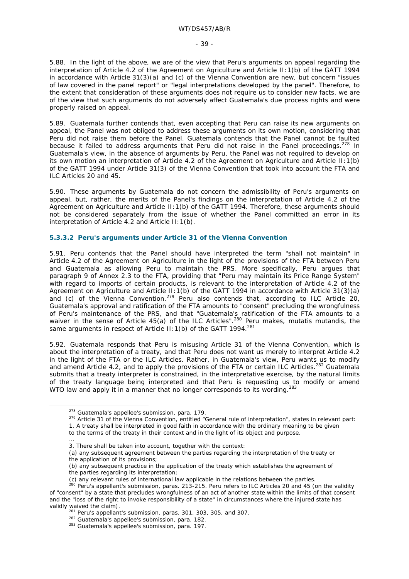5.88. In the light of the above, we are of the view that Peru's arguments on appeal regarding the interpretation of Article 4.2 of the Agreement on Agriculture and Article II:1(b) of the GATT 1994 in accordance with Article 31(3)(a) and (c) of the Vienna Convention are new, but concern "issues of law covered in the panel report" or "legal interpretations developed by the panel". Therefore, to the extent that consideration of these arguments does not require us to consider new facts, we are of the view that such arguments do not adversely affect Guatemala's due process rights and were properly raised on appeal.

5.89. Guatemala further contends that, even accepting that Peru can raise its new arguments on appeal, the Panel was not obliged to address these arguments on its own motion, considering that Peru did not raise them before the Panel. Guatemala contends that the Panel cannot be faulted because it failed to address arguments that Peru did not raise in the Panel proceedings.<sup>278</sup> In Guatemala's view, in the absence of arguments by Peru, the Panel was not required to develop on its own motion an interpretation of Article 4.2 of the Agreement on Agriculture and Article II:1(b) of the GATT 1994 under Article 31(3) of the Vienna Convention that took into account the FTA and ILC Articles 20 and 45.

5.90. These arguments by Guatemala do not concern the *admissibility* of Peru's arguments on appeal, but, rather, the *merits* of the Panel's findings on the interpretation of Article 4.2 of the Agreement on Agriculture and Article II:1(b) of the GATT 1994. Therefore, these arguments should not be considered separately from the issue of whether the Panel committed an error in its interpretation of Article 4.2 and Article II:1(b).

### **5.3.3.2 Peru's arguments under Article 31 of the Vienna Convention**

5.91. Peru contends that the Panel should have interpreted the term "shall not maintain" in Article 4.2 of the Agreement on Agriculture in the light of the provisions of the FTA between Peru and Guatemala as allowing Peru to maintain the PRS. More specifically, Peru argues that paragraph 9 of Annex 2.3 to the FTA, providing that "Peru may maintain its Price Range System" with regard to imports of certain products, is relevant to the interpretation of Article 4.2 of the Agreement on Agriculture and Article II:1(b) of the GATT 1994 in accordance with Article 31(3)(a) and (c) of the Vienna Convention.<sup>279</sup> Peru also contends that, according to ILC Article 20, Guatemala's approval and ratification of the FTA amounts to "consent" precluding the wrongfulness of Peru's maintenance of the PRS, and that "Guatemala's ratification of the FTA amounts to a waiver in the sense of Article 45(a) of the ILC Articles".280 Peru makes, *mutatis mutandis*, the same arguments in respect of Article II: 1(b) of the GATT 1994.<sup>281</sup>

5.92. Guatemala responds that Peru is misusing Article 31 of the Vienna Convention, which is about the *interpretation* of a treaty, and that Peru does not want us merely to *interpret* Article 4.2 in the light of the FTA or the ILC Articles. Rather, in Guatemala's view, Peru wants us to *modify*  and *amend* Article 4.2, and to *apply* the provisions of the FTA or certain ILC Articles.282 Guatemala submits that a treaty interpreter is constrained, in the interpretative exercise, by the natural limits of the treaty language being interpreted and that Peru is requesting us to modify or amend WTO law and *apply* it in a manner that no longer corresponds to its wording.<sup>283</sup>

<sup>&</sup>lt;sup>278</sup> Guatemala's appellee's submission, para. 179.<br><sup>279</sup> Article 31 of the Vienna Convention, entitled "General rule of interpretation", states in relevant part:

<sup>1.</sup> A treaty shall be interpreted in good faith in accordance with the ordinary meaning to be given to the terms of the treaty in their context and in the light of its object and purpose.

<sup>…</sup>  3. There shall be taken into account, together with the context:

<sup>(</sup>a) any subsequent agreement between the parties regarding the interpretation of the treaty or the application of its provisions;

<sup>(</sup>b) any subsequent practice in the application of the treaty which establishes the agreement of

the parties regarding its interpretation;

<sup>(</sup>c) any relevant rules of international law applicable in the relations between the parties.<br><sup>280</sup> Peru's appellant's submission, paras. 213-215. Peru refers to ILC Articles 20 and 45 (on the validity of "consent" by a state that precludes wrongfulness of an act of another state within the limits of that consent and the "loss of the right to invoke responsibility of a state" in circumstances where the injured state has validly waived the claim).

<sup>&</sup>lt;sup>281</sup> Peru's appellant's submission, paras. 301, 303, 305, and 307.<br><sup>282</sup> Guatemala's appellee's submission, para. 182.<br><sup>283</sup> Guatemala's appellee's submission, para. 197.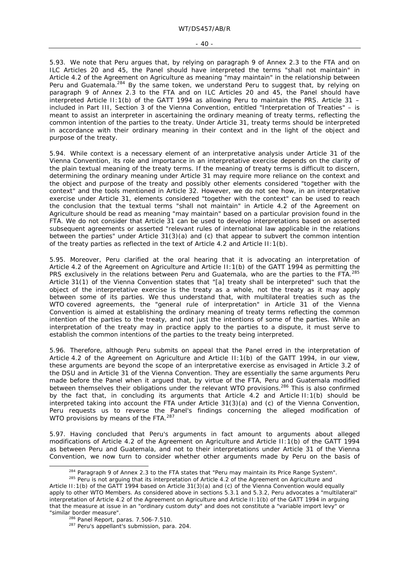5.93. We note that Peru argues that, by relying on paragraph 9 of Annex 2.3 to the FTA and on ILC Articles 20 and 45, the Panel should have interpreted the terms "shall not maintain" in Article 4.2 of the Agreement on Agriculture as meaning "may maintain" in the relationship between Peru and Guatemala.<sup>284</sup> By the same token, we understand Peru to suggest that, by relying on paragraph 9 of Annex 2.3 to the FTA and on ILC Articles 20 and 45, the Panel should have interpreted Article II:1(b) of the GATT 1994 as allowing Peru to maintain the PRS. Article 31 *–*  included in Part III, Section 3 of the Vienna Convention, entitled "Interpretation of Treaties" *–* is meant to assist an interpreter in ascertaining the ordinary meaning of treaty terms, reflecting the common intention of the parties to the treaty. Under Article 31, treaty terms should be interpreted in accordance with their ordinary meaning in their context and in the light of the object and purpose of the treaty.

5.94. While context is a necessary element of an interpretative analysis under Article 31 of the Vienna Convention, its role and importance in an interpretative exercise depends on the clarity of the plain textual meaning of the treaty terms. If the meaning of treaty terms is difficult to discern, determining the ordinary meaning under Article 31 may require more reliance on the context and the object and purpose of the treaty and possibly other elements considered "together with the context" and the tools mentioned in Article 32. However, we do not see how, in an interpretative exercise under Article 31, elements considered "together with the context" can be used to reach the conclusion that the textual terms "shall not maintain" in Article 4.2 of the Agreement on Agriculture should be read as meaning "may maintain" based on a particular provision found in the FTA. We do not consider that Article 31 can be used to develop interpretations based on asserted subsequent agreements or asserted "relevant rules of international law applicable in the relations between the parties" under Article 31(3)(a) and (c) that appear to subvert the common intention of the treaty parties as reflected in the text of Article 4.2 and Article II:1(b).

5.95. Moreover, Peru clarified at the oral hearing that it is advocating an interpretation of Article 4.2 of the Agreement on Agriculture and Article II:1(b) of the GATT 1994 as permitting the PRS exclusively in the relations between Peru and Guatemala, who are the parties to the FTA.<sup>285</sup> Article 31(1) of the Vienna Convention states that "[a] treaty shall be interpreted" such that the object of the interpretative exercise is the treaty as a whole, not the treaty as it may apply between some of its parties. We thus understand that, with multilateral treaties such as the WTO covered agreements, the "general rule of interpretation" in Article 31 of the Vienna Convention is aimed at establishing the ordinary meaning of treaty terms reflecting the common intention of the parties to the treaty, and not just the intentions of some of the parties. While an interpretation of the treaty may in practice apply to the parties to a dispute, it must serve to establish the common intentions of the parties to the treaty being interpreted.

5.96. Therefore, although Peru submits on appeal that the Panel erred in the interpretation of Article 4.2 of the Agreement on Agriculture and Article II:1(b) of the GATT 1994, in our view, these arguments are beyond the scope of an interpretative exercise as envisaged in Article 3.2 of the DSU and in Article 31 of the Vienna Convention. They are essentially the same arguments Peru made before the Panel when it argued that, by virtue of the FTA, Peru and Guatemala modified between themselves their obligations under the relevant WTO provisions.<sup>286</sup> This is also confirmed by the fact that, in concluding its arguments that Article 4.2 and Article II:1(b) should be interpreted taking into account the FTA under Article 31(3)(a) and (c) of the Vienna Convention, Peru requests us to reverse the Panel's findings concerning the alleged modification of WTO provisions by means of the FTA.<sup>287</sup>

5.97. Having concluded that Peru's arguments in fact amount to arguments about alleged modifications of Article 4.2 of the Agreement on Agriculture and Article II:1(b) of the GATT 1994 as between Peru and Guatemala, and not to their interpretations under Article 31 of the Vienna Convention, we now turn to consider whether other arguments made by Peru on the basis of

<sup>&</sup>lt;sup>284</sup> Paragraph 9 of Annex 2.3 to the FTA states that "Peru may maintain its Price Range System".<br><sup>285</sup> Peru is not arguing that its interpretation of Article 4.2 of the Agreement on Agriculture and

Article II:1(b) of the GATT 1994 based on Article 31(3)(a) and (c) of the Vienna Convention would equally apply to other WTO Members. As considered above in sections 5.3.1 and 5.3.2, Peru advocates a "multilateral" interpretation of Article 4.2 of the Agreement on Agriculture and Article II:1(b) of the GATT 1994 in arguing that the measure at issue in an "ordinary custom duty" and does not constitute a "variable import levy" or "similar border measure". 286 Panel Report, paras. 7.506-7.510. 287 Peru's appellant's submission, para. 204.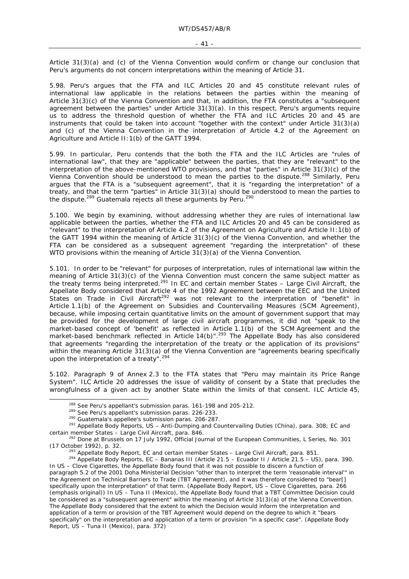Article 31(3)(a) and (c) of the Vienna Convention would confirm or change our conclusion that Peru's arguments do not concern interpretations within the meaning of Article 31.

5.98. Peru's argues that the FTA and ILC Articles 20 and 45 constitute relevant rules of international law applicable in the relations between the parties within the meaning of Article 31(3)(c) of the Vienna Convention and that, in addition, the FTA constitutes a "subsequent agreement between the parties" under Article 31(3)(a). In this respect, Peru's arguments require us to address the threshold question of whether the FTA and ILC Articles 20 and 45 are instruments that could be taken into account "together with the context" under Article 31(3)(a) and (c) of the Vienna Convention in the interpretation of Article 4.2 of the Agreement on Agriculture and Article II:1(b) of the GATT 1994.

5.99. In particular, Peru contends that the both the FTA and the ILC Articles are "rules of international law", that they are "applicable" between the parties, that they are "relevant" to the interpretation of the above-mentioned WTO provisions, and that "parties" in Article 31(3)(c) of the Vienna Convention should be understood to mean the parties to the dispute.288 Similarly, Peru argues that the FTA is a "subsequent agreement", that it is "regarding the interpretation" of a treaty, and that the term "parties" in Article 31(3)(a) should be understood to mean the parties to the dispute.<sup>289</sup> Guatemala rejects all these arguments by Peru.<sup>290</sup>

5.100. We begin by examining, without addressing whether they are rules of international law applicable between the parties, whether the FTA and ILC Articles 20 and 45 can be considered as "relevant" to the interpretation of Article 4.2 of the Agreement on Agriculture and Article II:1(b) of the GATT 1994 within the meaning of Article 31(3)(c) of the Vienna Convention, and whether the FTA can be considered as a subsequent agreement "regarding the interpretation" of these WTO provisions within the meaning of Article 31(3)(a) of the Vienna Convention.

5.101. In order to be "relevant" for purposes of interpretation, rules of international law within the meaning of Article 31(3)(c) of the Vienna Convention must concern the same subject matter as the treaty terms being interpreted.291 In *EC and certain member States – Large Civil Aircraft*, the Appellate Body considered that Article 4 of the 1992 Agreement between the EEC and the United States on Trade in Civil Aircraft<sup>292</sup> was not relevant to the interpretation of "benefit" in Article 1.1(b) of the Agreement on Subsidies and Countervailing Measures (SCM Agreement), because, while imposing certain quantitative limits on the amount of government support that may be provided for the development of large civil aircraft programmes, it did not "speak to the market-based concept of 'benefit' as reflected in Article 1.1(b) of the SCM Agreement and the market-based benchmark reflected in Article  $14(b)$ ".<sup>293</sup> The Appellate Body has also considered that agreements "regarding the interpretation of the treaty or the application of its provisions" within the meaning Article 31(3)(a) of the Vienna Convention are "agreements bearing specifically upon the interpretation of a treaty".<sup>294</sup>

5.102. Paragraph 9 of Annex 2.3 to the FTA states that "Peru may maintain its Price Range System". ILC Article 20 addresses the issue of validity of consent by a State that precludes the wrongfulness of a given act by another State within the limits of that consent. ILC Article 45,

<sup>&</sup>lt;sup>288</sup> See Peru's appellant's submission paras. 161-198 and 205-212.<br><sup>289</sup> See Peru's appellant's submission paras. 226-233.<br><sup>290</sup> Guatemala's appellee's submission paras. 206-287.<br><sup>291</sup> Appellate Body Reports, *US – Anti-*

*certain member States – Large Civil Aircraft*, para. 846. 292 Done at Brussels on 17 July 1992, *Official Journal of the European Communities*, L Series, No. 301 (17 October 1992), p. 32.<br><sup>293</sup> Appellate Body Report, *EC and certain member States – Large Civil Aircraft*, para. 851.<br><sup>294</sup> Appellate Body Reports, *EC – Bananas III (Article 21.5 – Ecuador II / Article 21.5 – US)*, par

In *US – Clove Cigarettes*, the Appellate Body found that it was not possible to discern a function of

paragraph 5.2 of the 2001 Doha Ministerial Decision "*other than* to interpret the term 'reasonable interval'" in the Agreement on Technical Barriers to Trade (TBT Agreement), and it was therefore considered to "*bear[] specifically* upon the interpretation" of that term. (Appellate Body Report, *US – Clove Cigarettes*, para. 266 (emphasis original)) In *US – Tuna II (Mexico)*, the Appellate Body found that a TBT Committee Decision could be considered as a "subsequent agreement" within the meaning of Article 31(3)(a) of the Vienna Convention. The Appellate Body considered that the extent to which the Decision would inform the interpretation and application of a term or provision of the TBT Agreement would depend on the degree to which it "bears specifically" on the interpretation and application of a term or provision "in a specific case". (Appellate Body Report, *US – Tuna II (Mexico)*, para. 372)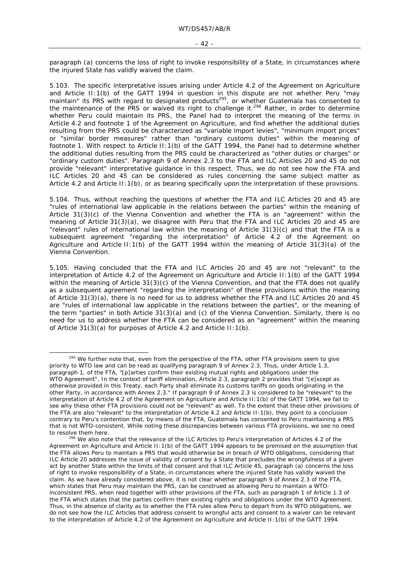paragraph (a) concerns the loss of right to invoke responsibility of a State, in circumstances where the injured State has validly waived the claim.

5.103. The specific interpretative issues arising under Article 4.2 of the Agreement on Agriculture and Article II:1(b) of the GATT 1994 in question in this dispute are not whether Peru "may maintain" its PRS with regard to designated products<sup>295</sup>, or whether Guatemala has consented to the maintain" its PRS with regard to designated products<sup>295</sup>, or whether Guatemala has consented to the maintenance of the PRS or waived its right to challenge it.296 Rather, in order to determine whether Peru could maintain its PRS, the Panel had to interpret the meaning of the terms in Article 4.2 and footnote 1 of the Agreement on Agriculture, and find whether the additional duties resulting from the PRS could be characterized as "variable import levies", "minimum import prices" or "similar border measures" rather than "ordinary customs duties" within the meaning of footnote 1. With respect to Article II:1(b) of the GATT 1994, the Panel had to determine whether the additional duties resulting from the PRS could be characterized as "other duties or charges" or "ordinary custom duties". Paragraph 9 of Annex 2.3 to the FTA and ILC Articles 20 and 45 do not provide "relevant" interpretative guidance in this respect. Thus, we do not see how the FTA and ILC Articles 20 and 45 can be considered as rules concerning the same subject matter as Article 4.2 and Article II:1(b), or as bearing specifically upon the interpretation of these provisions.

5.104. Thus, without reaching the questions of whether the FTA and ILC Articles 20 and 45 are "rules of international law applicable in the relations between the parties" within the meaning of Article  $31(3)(c)$  of the Vienna Convention and whether the FTA is an "agreement" within the meaning of Article 31(3)(a), we disagree with Peru that the FTA and ILC Articles 20 and 45 are "relevant" rules of international law within the meaning of Article 31(3)(c) and that the FTA is a subsequent agreement "regarding the interpretation" of Article 4.2 of the Agreement on Agriculture and Article II:1(b) of the GATT 1994 within the meaning of Article 31(3)(a) of the Vienna Convention.

5.105. Having concluded that the FTA and ILC Articles 20 and 45 are not "relevant" to the interpretation of Article 4.2 of the Agreement on Agriculture and Article II:1(b) of the GATT 1994 within the meaning of Article 31(3)(c) of the Vienna Convention, and that the FTA does not qualify as a subsequent agreement "regarding the interpretation" of these provisions within the meaning of Article 31(3)(a), there is no need for us to address whether the FTA and ILC Articles 20 and 45 are "rules of international law applicable in the relations between the parties", or the meaning of the term "parties" in both Article 31(3)(a) and (c) of the Vienna Convention. Similarly, there is no need for us to address whether the FTA can be considered as an "agreement" within the meaning of Article 31(3)(a) for purposes of Article 4.2 and Article II:1(b).

 $295$  We further note that, even from the perspective of the FTA, other FTA provisions seem to give priority to WTO law and can be read as qualifying paragraph 9 of Annex 2.3. Thus, under Article 1.3, paragraph 1, of the FTA, "[p]arties confirm their existing mutual rights and obligations under the WTO Agreement". In the context of tariff elimination, Article 2.3, paragraph 2 provides that "[e]xcept as otherwise provided in this Treaty, each Party shall eliminate its customs tariffs on goods originating in the other Party, in accordance with Annex 2.3." If paragraph 9 of Annex 2.3 is considered to be "relevant" to the interpretation of Article 4.2 of the Agreement on Agriculture and Article II:1(b) of the GATT 1994, we fail to see why these other FTA provisions could not be "relevant" as well. To the extent that these other provisions of the FTA are also "relevant" to the interpretation of Article 4.2 and Article II:1(b), they point to a conclusion contrary to Peru's contention that, by means of the FTA, Guatemala has consented to Peru maintaining a PRS that is not WTO-consistent. While noting these discrepancies between various FTA provisions, we see no need to resolve them here.<br><sup>296</sup> We also note that the relevance of the ILC Articles to Peru's interpretation of Articles 4.2 of the

Agreement on Agriculture and Article II:1(b) of the GATT 1994 appears to be premised on the assumption that the FTA allows Peru to maintain a PRS that would otherwise be in breach of WTO obligations, considering that ILC Article 20 addresses the issue of validity of consent by a State that precludes the wrongfulness of a given act by another State within the limits of that consent and that ILC Article 45, paragraph (a) concerns the loss of right to invoke responsibility of a State, in circumstances where the injured State has validly waived the claim. As we have already considered above, it is not clear whether paragraph 9 of Annex 2.3 of the FTA, which states that Peru may maintain the PRS, can be construed as allowing Peru to maintain a WTOinconsistent PRS, when read together with other provisions of the FTA, such as paragraph 1 of Article 1.3 of the FTA which states that the parties confirm their existing rights and obligations under the WTO Agreement. Thus, in the absence of clarity as to whether the FTA rules allow Peru to depart from its WTO obligations, we do not see how the ILC Articles that address consent to wrongful acts and consent to a waiver can be relevant to the interpretation of Article 4.2 of the Agreement on Agriculture and Article II:1(b) of the GATT 1994.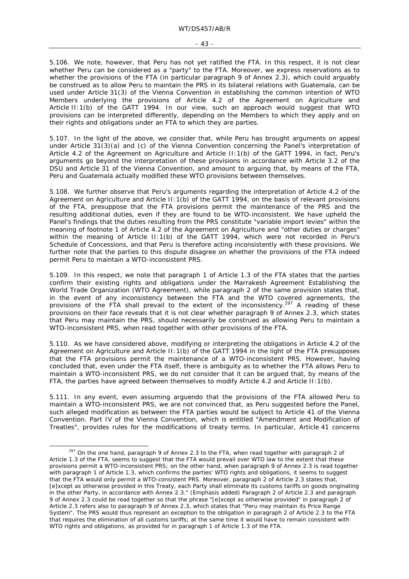5.106. We note, however, that Peru has not yet ratified the FTA. In this respect, it is not clear whether Peru can be considered as a "party" to the FTA. Moreover, we express reservations as to whether the provisions of the FTA (in particular paragraph 9 of Annex 2.3), which could arguably be construed as to allow Peru to maintain the PRS in its bilateral relations with Guatemala, can be used under Article 31(3) of the Vienna Convention in establishing the *common* intention of WTO Members underlying the provisions of Article 4.2 of the Agreement on Agriculture and Article II:1(b) of the GATT 1994. In our view, such an approach would suggest that WTO provisions can be interpreted differently, depending on the Members to which they apply and on their rights and obligations under an FTA to which they are parties.

5.107. In the light of the above, we consider that, while Peru has brought arguments on appeal under Article 31(3)(a) and (c) of the Vienna Convention concerning the Panel's interpretation of Article 4.2 of the Agreement on Agriculture and Article II:1(b) of the GATT 1994, in fact, Peru's arguments go beyond the interpretation of these provisions in accordance with Article 3.2 of the DSU and Article 31 of the Vienna Convention, and amount to arguing that, by means of the FTA, Peru and Guatemala actually modified these WTO provisions between themselves.

5.108. We further observe that Peru's arguments regarding the interpretation of Article 4.2 of the Agreement on Agriculture and Article II:1(b) of the GATT 1994, on the basis of relevant provisions of the FTA, presuppose that the FTA provisions permit the maintenance of the PRS and the resulting additional duties, even if they are found to be WTO-inconsistent. We have upheld the Panel's findings that the duties resulting from the PRS constitute "variable import levies" within the meaning of footnote 1 of Article 4.2 of the Agreement on Agriculture and "other duties or charges" within the meaning of Article II:1(b) of the GATT 1994, which were not recorded in Peru's Schedule of Concessions, and that Peru is therefore acting inconsistently with these provisions. We further note that the parties to this dispute disagree on whether the provisions of the FTA indeed permit Peru to maintain a WTO-inconsistent PRS.

5.109. In this respect, we note that paragraph 1 of Article 1.3 of the FTA states that the parties confirm their existing rights and obligations under the Marrakesh Agreement Establishing the World Trade Organization (WTO Agreement), while paragraph 2 of the same provision states that, in the event of any inconsistency between the FTA and the WTO covered agreements, the provisions of the FTA shall prevail to the extent of the inconsistency.<sup>297</sup> A reading of these provisions on their face reveals that it is not clear whether paragraph 9 of Annex 2.3, which states that Peru may maintain the PRS, should necessarily be construed as allowing Peru to maintain a WTO-inconsistent PRS, when read together with other provisions of the FTA.

5.110. As we have considered above, modifying or interpreting the obligations in Article 4.2 of the Agreement on Agriculture and Article II:1(b) of the GATT 1994 in the light of the FTA presupposes that the FTA provisions permit the maintenance of a WTO-inconsistent PRS. However, having concluded that, even under the FTA itself, there is ambiguity as to whether the FTA allows Peru to maintain a WTO-inconsistent PRS, we do not consider that it can be argued that, by means of the FTA, the parties have agreed between themselves to modify Article  $4.2$  and Article II:1(b).

5.111. In any event, even assuming *arguendo* that the provisions of the FTA allowed Peru to maintain a WTO-inconsistent PRS, we are not convinced that, as Peru suggested before the Panel, such alleged modification as between the FTA parties would be subject to Article 41 of the Vienna Convention. Part IV of the Vienna Convention, which is entitled "Amendment and Modification of Treaties", provides rules for the modifications of treaty terms. In particular, Article 41 concerns

<sup>&</sup>lt;sup>297</sup> On the one hand, paragraph 9 of Annex 2.3 to the FTA, when read together with paragraph 2 of Article 1.3 of the FTA, seems to suggest that the FTA would prevail over WTO law to the extent that these provisions permit a WTO-inconsistent PRS; on the other hand, when paragraph 9 of Annex 2.3 is read together with paragraph 1 of Article 1.3, which confirms the parties' WTO rights and obligations, it seems to suggest that the FTA would only permit a WTO-consistent PRS. Moreover, paragraph 2 of Article 2.3 states that, [e]xcept as otherwise provided in this Treaty, each Party shall eliminate its customs tariffs on goods originating in the other Party, in accordance with Annex 2.3." (Emphasis added) Paragraph 2 of Article 2.3 and paragraph 9 of Annex 2.3 could be read together so that the phrase "[e]xcept as otherwise provided" in paragraph 2 of Article 2.3 refers also to paragraph 9 of Annex 2.3, which states that "Peru may maintain its Price Range System". The PRS would thus represent an exception to the obligation in paragraph 2 of Article 2.3 to the FTA that requires the elimination of all customs tariffs; at the same time it would have to remain consistent with WTO rights and obligations, as provided for in paragraph 1 of Article 1.3 of the FTA.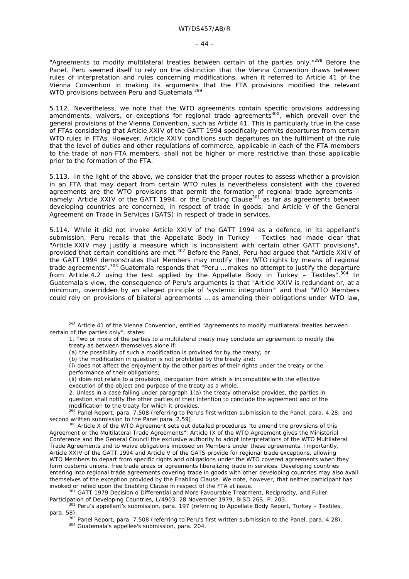"Agreements to modify multilateral treaties between certain of the parties only."<sup>298</sup> Before the Panel, Peru seemed itself to rely on the distinction that the Vienna Convention draws between rules of interpretation and rules concerning modifications, when it referred to Article 41 of the Vienna Convention in making its arguments that the FTA provisions modified the relevant WTO provisions between Peru and Guatemala.<sup>299</sup>

5.112. Nevertheless, we note that the WTO agreements contain specific provisions addressing amendments, waivers, or exceptions for regional trade agreements<sup>300</sup>, which prevail over the general provisions of the Vienna Convention, such as Article 41. This is particularly true in the case of FTAs considering that Article XXIV of the GATT 1994 specifically permits departures from certain WTO rules in FTAs. However, Article XXIV conditions such departures on the fulfilment of the rule that the level of duties and other regulations of commerce, applicable in each of the FTA members to the trade of non-FTA members, shall not be higher or more restrictive than those applicable prior to the formation of the FTA.

5.113. In the light of the above, we consider that the proper routes to assess whether a provision in an FTA that may depart from certain WTO rules is nevertheless consistent with the covered agreements are the WTO provisions that permit the formation of regional trade agreements *–*  namely: Article XXIV of the GATT 1994, or the Enabling Clause<sup>301</sup> as far as agreements between developing countries are concerned, in respect of trade in goods; and Article V of the General Agreement on Trade in Services (GATS) in respect of trade in services.

5.114. While it did not invoke Article XXIV of the GATT 1994 as a defence, in its appellant's submission, Peru recalls that the Appellate Body in *Turkey – Textiles* had made clear that "Article XXIV may justify a measure which is inconsistent with certain other GATT provisions", provided that certain conditions are met.302 Before the Panel, Peru had argued that "Article XXIV of the GATT 1994 demonstrates that Members may modify their WTO rights by means of regional trade agreements".303 Guatemala responds that "Peru … makes no attempt to justify the departure from Article 4.2 using the test applied by the Appellate Body in *Turkey – Textiles*".304 In Guatemala's view, the consequence of Peru's arguments is that "Article XXIV is redundant or, at a minimum, overridden by an alleged principle of 'systemic integration'" and that "WTO Members could rely on provisions of bilateral agreements … as amending their obligations under WTO law,

<sup>299</sup> Panel Report, para. 7.508 (referring to Peru's first written submission to the Panel, para. 4.28; and second written submission to the Panel para. 2.59).

<sup>&</sup>lt;sup>298</sup> Article 41 of the Vienna Convention, entitled "Agreements to modify multilateral treaties between certain of the parties only", states:

<sup>1.</sup> Two or more of the parties to a multilateral treaty may conclude an agreement to modify the treaty as between themselves alone if:

<sup>(</sup>a) the possibility of such a modification is provided for by the treaty; or

<sup>(</sup>b) the modification in question is not prohibited by the treaty and:

<sup>(</sup>i) does not affect the enjoyment by the other parties of their rights under the treaty or the performance of their obligations;

<sup>(</sup>ii) does not relate to a provision, derogation from which is incompatible with the effective execution of the object and purpose of the treaty as a whole.

<sup>2.</sup> Unless in a case falling under paragraph 1(a) the treaty otherwise provides, the parties in question shall notify the other parties of their intention to conclude the agreement and of the modification to the treaty for which it provides.

second written submission written submitteries written submission to the Panel and the provisions of this also Article X of the WTO Agreement sets out detailed procedures "to amend the provisions of this Agreement or the Multilateral Trade Agreements". Article IX of the WTO Agreement gives the Ministerial Conference and the General Council the exclusive authority to adopt interpretations of the WTO Multilateral Trade Agreements and to waive obligations imposed on Members under these agreements. Importantly, Article XXIV of the GATT 1994 and Article V of the GATS provide for regional trade exceptions, allowing WTO Members to depart from specific rights and obligations under the WTO covered agreements when they form customs unions, free trade areas or agreements liberalizing trade in services. Developing countries entering into regional trade agreements covering trade in goods with other developing countries may also avail themselves of the exception provided by the Enabling Clause. We note, however, that neither participant has invoked or relied upon the Enabling Clause in respect of the FTA at issue.<br><sup>301</sup> GATT 1979 Decision o Differential and More Favourable Treatment, Reciprocity, and Fuller

Participation of Developing Countries, L/4903, 28 November 1979, BISD 26S, P. 203.<br><sup>302</sup> Peru's appellant's submission, para. 197 (referring to Appellate Body Report, *Turkey – Textiles*,

para. 58).<br><sup>303</sup> Panel Report, para. 7.508 (referring to Peru's first written submission to the Panel, para. 4.28).<br><sup>304</sup> Guatemala's appellee's submission, para. 204.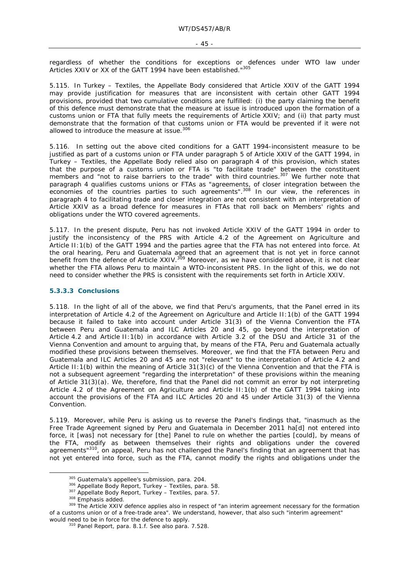regardless of whether the conditions for exceptions or defences under WTO law under Articles XXIV or XX of the GATT 1994 have been established."305

5.115. In *Turkey – Textiles,* the Appellate Body considered that Article XXIV of the GATT 1994 may provide justification for measures that are inconsistent with certain other GATT 1994 provisions, provided that two cumulative conditions are fulfilled: (i) the party claiming the benefit of this defence must demonstrate that the measure at issue is introduced upon the formation of a customs union or FTA that fully meets the requirements of Article XXIV; and (ii) that party must demonstrate that the formation of that customs union or FTA would be prevented if it were not allowed to introduce the measure at issue.<sup>306</sup>

5.116. In setting out the above cited conditions for a GATT 1994-inconsistent measure to be justified as part of a customs union or FTA under paragraph 5 of Article XXIV of the GATT 1994, in *Turkey – Textiles*, the Appellate Body relied also on paragraph 4 of this provision, which states that the purpose of a customs union or FTA is "to facilitate trade" between the constituent members and "not to raise barriers to the trade" with third countries.<sup>307</sup> We further note that paragraph 4 qualifies customs unions or FTAs as "agreements, of *closer* integration between the economies of the countries parties to such agreements".<sup>308</sup> In our view, the references in paragraph 4 to facilitating trade and closer integration are not consistent with an interpretation of Article XXIV as a broad defence for measures in FTAs that roll back on Members' rights and obligations under the WTO covered agreements.

5.117. In the present dispute, Peru has not invoked Article XXIV of the GATT 1994 in order to justify the inconsistency of the PRS with Article 4.2 of the Agreement on Agriculture and Article II:1(b) of the GATT 1994 and the parties agree that the FTA has not entered into force. At the oral hearing, Peru and Guatemala agreed that an agreement that is not yet in force cannot benefit from the defence of Article XXIV.<sup>309</sup> Moreover, as we have considered above, it is not clear whether the FTA allows Peru to maintain a WTO-inconsistent PRS. In the light of this, we do not need to consider whether the PRS is consistent with the requirements set forth in Article XXIV.

#### **5.3.3.3 Conclusions**

5.118. In the light of all of the above, we find that Peru's arguments, that the Panel erred in its interpretation of Article 4.2 of the Agreement on Agriculture and Article II:1(b) of the GATT 1994 because it failed to take into account under Article 31(3) of the Vienna Convention the FTA between Peru and Guatemala and ILC Articles 20 and 45, go beyond the interpretation of Article 4.2 and Article II:1(b) in accordance with Article 3.2 of the DSU and Article 31 of the Vienna Convention and amount to arguing that, by means of the FTA, Peru and Guatemala actually modified these provisions between themselves. Moreover, we find that the FTA between Peru and Guatemala and ILC Articles 20 and 45 are not "relevant" to the interpretation of Article 4.2 and Article II:1(b) within the meaning of Article 31(3)(c) of the Vienna Convention and that the FTA is not a subsequent agreement "regarding the interpretation" of these provisions within the meaning of Article 31(3)(a). We, therefore, find that the Panel did not commit an error by not interpreting Article 4.2 of the Agreement on Agriculture and Article II:1(b) of the GATT 1994 taking into account the provisions of the FTA and ILC Articles 20 and 45 under Article 31(3) of the Vienna Convention.

5.119. Moreover, while Peru is asking us to reverse the Panel's findings that, "inasmuch as the Free Trade Agreement signed by Peru and Guatemala in December 2011 ha[d] not entered into force, it [was] not necessary for [the] Panel to rule on whether the parties [could], by means of the FTA, modify as between themselves their rights and obligations under the covered agreements"<sup>310</sup>, on appeal, Peru has not challenged the Panel's finding that an agreement that has not yet entered into force, such as the FTA, cannot modify the rights and obligations under the

<sup>&</sup>lt;sup>305</sup> Guatemala's appellee's submission, para. 204.<br><sup>306</sup> Appellate Body Report, *Turkey – Textiles*, para. 58.<br><sup>307</sup> Appellate Body Report, *Turkey – Textiles*, para. 57.<br><sup>308</sup> Emphasis added.<br><sup>309</sup> The Article XXIV defen of a customs union or of a free-trade area". We understand, however, that also such "interim agreement" would need to be in force for the defence to apply.<br><sup>310</sup> Panel Report, para. 8.1.f. See also para. 7.528.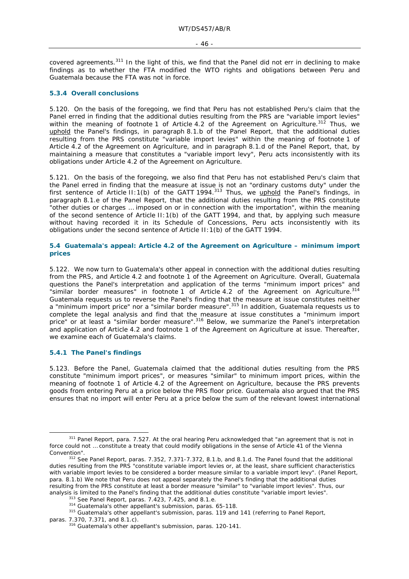covered agreements.<sup>311</sup> In the light of this, we find that the Panel did not err in declining to make findings as to whether the FTA modified the WTO rights and obligations between Peru and Guatemala because the FTA was not in force.

#### **5.3.4 Overall conclusions**

5.120. On the basis of the foregoing, we find that Peru has not established Peru's claim that the Panel erred in finding that the additional duties resulting from the PRS are "variable import levies" within the meaning of footnote 1 of Article 4.2 of the Agreement on Agriculture.<sup>312</sup> Thus, we uphold the Panel's findings, in paragraph 8.1.b of the Panel Report, that the additional duties resulting from the PRS constitute "variable import levies" within the meaning of footnote 1 of Article 4.2 of the Agreement on Agriculture, and in paragraph 8.1.d of the Panel Report, that, by maintaining a measure that constitutes a "variable import levy", Peru acts inconsistently with its obligations under Article 4.2 of the Agreement on Agriculture.

5.121. On the basis of the foregoing, we also find that Peru has not established Peru's claim that the Panel erred in finding that the measure at issue is not an "ordinary customs duty" under the first sentence of Article II:1(b) of the GATT 1994.<sup>313</sup> Thus, we uphold the Panel's findings, in paragraph 8.1.e of the Panel Report, that the additional duties resulting from the PRS constitute "other duties or charges … imposed on or in connection with the importation", within the meaning of the second sentence of Article II:1(b) of the GATT 1994, and that, by applying such measure without having recorded it in its Schedule of Concessions, Peru acts inconsistently with its obligations under the second sentence of Article II:1(b) of the GATT 1994.

### **5.4 Guatemala's appeal: Article 4.2 of the Agreement on Agriculture – minimum import prices**

5.122. We now turn to Guatemala's other appeal in connection with the additional duties resulting from the PRS, and Article 4.2 and footnote 1 of the Agreement on Agriculture. Overall, Guatemala questions the Panel's interpretation and application of the terms "minimum import prices" and "similar border measures" in footnote 1 of Article 4.2 of the Agreement on Agriculture.314 Guatemala requests us to reverse the Panel's finding that the measure at issue constitutes neither a "minimum import price" nor a "similar border measure".315 In addition, Guatemala requests us to complete the legal analysis and find that the measure at issue constitutes a "minimum import price" or at least a "similar border measure".316 Below, we summarize the Panel's interpretation and application of Article 4.2 and footnote 1 of the Agreement on Agriculture at issue. Thereafter, we examine each of Guatemala's claims.

#### **5.4.1 The Panel's findings**

5.123. Before the Panel, Guatemala claimed that the additional duties resulting from the PRS constitute "minimum import prices", or measures "similar" to minimum import prices, within the meaning of footnote 1 of Article 4.2 of the Agreement on Agriculture, because the PRS prevents goods from entering Peru at a price below the PRS floor price. Guatemala also argued that the PRS ensures that no import will enter Peru at a price below the sum of the relevant lowest international

<sup>311</sup> Panel Report, para. 7.527. At the oral hearing Peru acknowledged that "an agreement that is not in force could not … constitute a treaty that could modify obligations in the sense of Article 41 of the Vienna Convention". 312 See Panel Report, paras. 7.352, 7.371-7.372, 8.1.b, and 8.1.d. The Panel found that the additional

duties resulting from the PRS "constitute variable import levies or, at the least, share sufficient characteristics with variable import levies to be considered a border measure similar to a variable import levy". (Panel Report, para. 8.1.b) We note that Peru does not appeal separately the Panel's finding that the additional duties resulting from the PRS constitute at least a border measure "similar" to "variable import levies". Thus, our analysis is limited to the Panel's finding that the additional duties constitute "variable import levies".

 $313$  See Panel Report, paras. 7.423, 7.425, and 8.1.e.<br> $314$  Guatemala's other appellant's submission, paras. 65-118.<br> $315$  Guatemala's other appellant's submission, paras. 119 and 141 (referring to Panel Report,

paras. 7.370, 7.371, and 8.1.c). <sup>316</sup> Guatemala's other appellant's submission, paras. 120-141.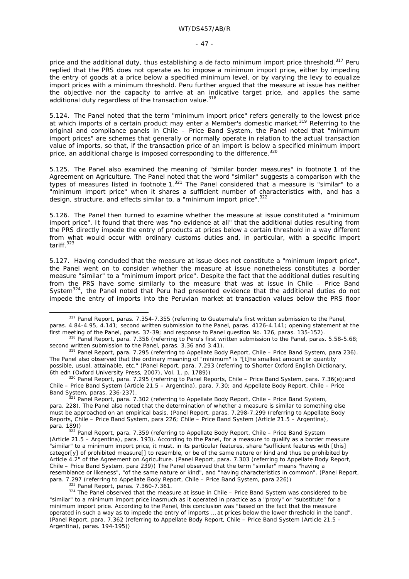#### $-47 -$

price and the additional duty, thus establishing a *de facto* minimum import price threshold.<sup>317</sup> Peru replied that the PRS does not operate as to impose a minimum import price, either by impeding the entry of goods at a price below a specified minimum level, or by varying the levy to equalize import prices with a minimum threshold. Peru further argued that the measure at issue has neither the objective nor the capacity to arrive at an indicative target price, and applies the same additional duty regardless of the transaction value.<sup>318</sup>

5.124. The Panel noted that the term "minimum import price" refers generally to the lowest price at which imports of a certain product may enter a Member's domestic market.<sup>319</sup> Referring to the original and compliance panels in *Chile – Price Band System*, the Panel noted that "minimum import prices" are schemes that generally or normally operate in relation to the actual transaction value of imports, so that, if the transaction price of an import is below a specified minimum import price, an additional charge is imposed corresponding to the difference.<sup>320</sup>

5.125. The Panel also examined the meaning of "similar border measures" in footnote 1 of the Agreement on Agriculture. The Panel noted that the word "similar" suggests a comparison with the types of measures listed in footnote 1.<sup>321</sup> The Panel considered that a measure is "similar" to a "minimum import price" when it shares a sufficient number of characteristics with, and has a design, structure, and effects similar to, a "minimum import price".<sup>322</sup>

5.126. The Panel then turned to examine whether the measure at issue constituted a "minimum import price". It found that there was "no evidence at all" that the additional duties resulting from the PRS directly impede the entry of products at prices below a certain threshold in a way different from what would occur with ordinary customs duties and, in particular, with a specific import tariff.323

5.127. Having concluded that the measure at issue does not constitute a "minimum import price", the Panel went on to consider whether the measure at issue nonetheless constitutes a border measure "similar" to a "minimum import price". Despite the fact that the additional duties resulting from the PRS have some similarly to the measure that was at issue in *Chile – Price Band System*324, the Panel noted that Peru had presented evidence that the additional duties do not impede the entry of imports into the Peruvian market at transaction values below the PRS floor

 <sup>317</sup> Panel Report, paras. 7.354-7.355 (referring to Guatemala's first written submission to the Panel, paras. 4.84-4.95, 4.141; second written submission to the Panel, paras. 4126-4.141; opening statement at the

first meeting of the Panel, paras. 37-39; and response to Panel question No. 126, paras. 135-152).<br><sup>318</sup> Panel Report, para. 7.356 (referring to Peru's first written submission to the Panel, paras. 5.58-5.68;<br>second writte

<sup>&</sup>lt;sup>319</sup> Panel Report, para. 7.295 (referring to Appellate Body Report, *Chile – Price Band System*, para 236). The Panel also observed that the ordinary meaning of "minimum" is "[t]he smallest amount or quantity possible, usual, attainable, etc." (Panel Report, para. 7.293 (referring to *Shorter Oxford English Dictionary*,

<sup>&</sup>lt;sup>320</sup> Panel Report, para. 7.295 (referring to Panel Reports, *Chile – Price Band System*, para. 7.36(e);and Chile *– Price Band System (Article 21.5 – Argentina),* para. 7.30; and Appellate Body Report, *Chile – Price* 

*Band System*, paras. 236-237). 321 Panel Report, para. 7.302 (referring to Appellate Body Report, *Chile – Price Band System*, para. 228). The Panel also noted that the determination of whether a measure is similar to something else must be approached on an empirical basis. (Panel Report, paras. 7.298-7.299 (referring to Appellate Body Reports, *Chile – Price Band System*, para 226; *Chile – Price Band System (Article 21.5 – Argentina),*  para. 189)) 322 Panel Report, para. 7.359 (referring to Appellate Body Report, *Chile – Price Band System* 

*<sup>(</sup>Article 21.5 – Argentina),* para. 193). According to the Panel, for a measure to qualify as a border measure "similar" to a minimum import price, it must, in its particular features, share "sufficient features with [this] categor[y] of prohibited measure[] to resemble, or be of the same nature or kind and thus be prohibited by Article 4.2" of the Agreement on Agriculture. (Panel Report, para. 7.303 (referring to Appellate Body Report, *Chile – Price Band System*, para 239)) The Panel observed that the term "similar" means "having a resemblance or likeness", "of the same nature or kind", and "having characteristics in common". (Panel Report, para . 7.297 (referring to Appellate Body Report, *Chile - Price Band System*, para 226))

<sup>323</sup> Panel Report, paras. 7.360-7.361.<br><sup>323</sup> Panel Report, paras. 7.360-7.361.<br><sup>324</sup> The Panel observed that the measure at issue in *Chile – Price Band System* was considered to be "similar" to a minimum import price inasmuch as it operated in practice as a "proxy" or "substitute" for a minimum import price. According to the Panel, this conclusion was "based on the fact that the measure operated in such a way as to impede the entry of imports … at prices below the lower threshold in the band". (Panel Report, para. 7.362 (referring to Appellate Body Report, *Chile – Price Band System (Article 21.5 – Argentina)*, paras. 194-195))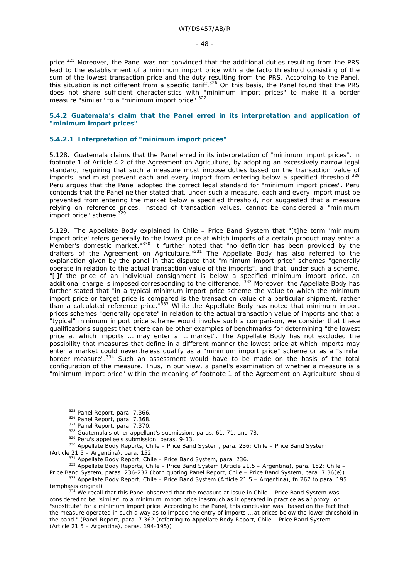price.<sup>325</sup> Moreover, the Panel was not convinced that the additional duties resulting from the PRS lead to the establishment of a minimum import price with a *de facto* threshold consisting of the sum of the lowest transaction price and the duty resulting from the PRS. According to the Panel, this situation is not different from a specific tariff.<sup>326</sup> On this basis, the Panel found that the PRS does not share sufficient characteristics with "minimum import prices" to make it a border measure "similar" to a "minimum import price".<sup>327</sup>

### **5.4.2 Guatemala's claim that the Panel erred in its interpretation and application of "minimum import prices"**

### **5.4.2.1 Interpretation of "minimum import prices"**

5.128. Guatemala claims that the Panel erred in its interpretation of "minimum import prices", in footnote 1 of Article 4.2 of the Agreement on Agriculture, by adopting an excessively narrow legal standard, requiring that such a measure must impose duties based on the transaction value of imports, and must prevent each and every import from entering below a specified threshold.<sup>328</sup> Peru argues that the Panel adopted the correct legal standard for "minimum import prices". Peru contends that the Panel neither stated that, under such a measure, each and every import must be prevented from entering the market below a specified threshold, nor suggested that a measure relying on reference prices, instead of transaction values, cannot be considered a "minimum import price" scheme.<sup>329</sup>

5.129. The Appellate Body explained in *Chile – Price Band System* that "[t]he term 'minimum import price' refers generally to the lowest price at which imports of a certain product may enter a Member's domestic market."330 It further noted that "no definition has been provided by the drafters of the Agreement on Agriculture."331 The Appellate Body has also referred to the explanation given by the panel in that dispute that "minimum import price" schemes "generally operate in relation to the actual transaction value of the imports", and that, under such a scheme, "[i]f the price of an individual consignment is below a specified minimum import price, an additional charge is imposed corresponding to the difference."<sup>332</sup> Moreover, the Appellate Body has further stated that "in a typical minimum import price scheme the value to which the minimum import price or target price is compared is the *transaction value* of a particular shipment, rather than a calculated reference price."333 While the Appellate Body has noted that minimum import prices schemes "generally operate" in relation to the actual transaction value of imports and that a "typical" minimum import price scheme would involve such a comparison, we consider that these qualifications suggest that there can be other examples of benchmarks for determining "the lowest price at which imports … may enter a … market". The Appellate Body has not excluded the possibility that measures that define in a different manner the lowest price at which imports may enter a market could nevertheless qualify as a "minimum import price" scheme or as a "similar border measure".334 Such an assessment would have to be made on the basis of the total configuration of the measure. Thus, in our view, a panel's examination of whether a measure is a "minimum import price" within the meaning of footnote 1 of the Agreement on Agriculture should

<sup>&</sup>lt;sup>325</sup> Panel Report, para. 7.366.<br><sup>326</sup> Panel Report, para. 7.368.<br><sup>327</sup> Panel Report, para. 7.370.<br><sup>328</sup> Guatemala's other appellant's submission, paras. 61, 71, and 73.<br><sup>329</sup> Peru's appellee's submission, paras. 9-13.<br><sup>3</sup>

<sup>(</sup>Article 21.5 – Argentina), para. 152.<br><sup>331</sup> Appellate Body Report, *Chile – Price Band System*, para. 236.<br><sup>332</sup> Appellate Body Reports, *Chile – Price Band System (Article 21.5 – Argentina),* para. 152; *Chile –* 

Price Band System, paras. 236-237 (both quoting Panel Report, Chile – Price Band System, para. 7.36(e)).<br><sup>333</sup> Appellate Body Report, Chile – Price Band System (Article 21.5 – Argentina), fn 267 to para. 195.<br>(emphasis ori

<sup>&</sup>lt;sup>334</sup> We recall that this Panel observed that the measure at issue in *Chile – Price Band System* was considered to be "similar" to a minimum import price inasmuch as it operated in practice as a "proxy" or "substitute" for a minimum import price. According to the Panel, this conclusion was "based on the fact that the measure operated in such a way as to impede the entry of imports … at prices below the lower threshold in the band." (Panel Report, para. 7.362 (referring to Appellate Body Report, *Chile – Price Band System (Article 21.5 – Argentina)*, paras. 194-195))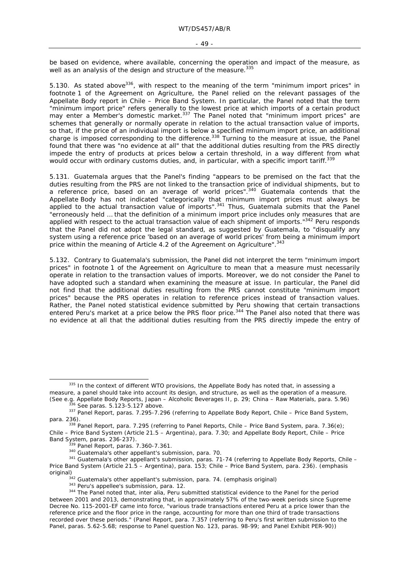be based on evidence, where available, concerning the operation and impact of the measure, as well as an analysis of the design and structure of the measure.<sup>335</sup>

5.130. As stated above<sup>336</sup>, with respect to the meaning of the term "minimum import prices" in footnote 1 of the Agreement on Agriculture, the Panel relied on the relevant passages of the Appellate Body report in *Chile – Price Band System*. In particular, the Panel noted that the term "minimum import price" refers generally to the lowest price at which imports of a certain product may enter a Member's domestic market.<sup>337</sup> The Panel noted that "minimum import prices" are schemes that generally or normally operate in relation to the actual transaction value of imports, so that, if the price of an individual import is below a specified minimum import price, an additional charge is imposed corresponding to the difference.<sup>338</sup> Turning to the measure at issue, the Panel found that there was "no evidence at all" that the additional duties resulting from the PRS directly impede the entry of products at prices below a certain threshold, in a way different from what would occur with ordinary customs duties, and, in particular, with a specific import tariff.<sup>339</sup>

5.131. Guatemala argues that the Panel's finding "appears to be premised on the fact that the duties resulting from the PRS are not linked to the transaction price of individual shipments, but to a reference price, based on an average of world prices".<sup>340</sup> Guatemala contends that the Appellate Body has not indicated "categorically that minimum import prices must *always* be applied to the actual transaction value of imports".<sup>341</sup> Thus, Guatemala submits that the Panel "erroneously held … that the definition of a minimum import price includes *only* measures that are applied with respect to the actual transaction value of each shipment of imports."<sup>342</sup> Peru responds that the Panel did not adopt the legal standard, as suggested by Guatemala, to "disqualify any system using a reference price 'based on an average of world prices' from being a minimum import price within the meaning of Article 4.2 of the Agreement on Agriculture". 343

5.132. Contrary to Guatemala's submission, the Panel did not interpret the term "minimum import prices" in footnote 1 of the Agreement on Agriculture to mean that a measure must necessarily operate in relation to the transaction values of imports. Moreover, we do not consider the Panel to have adopted such a standard when examining the measure at issue. In particular, the Panel did not find that the additional duties resulting from the PRS cannot constitute "minimum import prices" because the PRS operates in relation to reference prices instead of transaction values. Rather, the Panel noted statistical evidence submitted by Peru showing that certain transactions entered Peru's market at a price below the PRS floor price.<sup>344</sup> The Panel also noted that there was no evidence at all that the additional duties resulting from the PRS directly impede the entry of

<sup>335</sup> In the context of different WTO provisions, the Appellate Body has noted that, in assessing a measure, a panel should take into account its design, and structure, as well as the operation of a measure.

<sup>(</sup>See e.g. Appellate Body Reports, Japan – Alcoholic Beverages II, p. 29; China – Raw Materials, para. 5.96)<br><sup>336</sup> See paras. 5.123-5.127 above.<br><sup>337</sup> Panel Report, paras. 7.295-7.296 (referring to Appellate Body Report, *C* 

para. 236). 338 Panel Report, para. 7.295 (referring to Panel Reports, *Chile – Price Band System*, para. 7.36(e); *Chile – Price Band System (Article 21.5 – Argentina),* para. 7.30; and Appellate Body Report, *Chile – Price* 

Band System, paras. 236-237).<br><sup>339</sup> Panel Report, paras. 7.360-7.361.<br><sup>340</sup> Guatemala's other appellant's submission, para. 70.<br><sup>341</sup> Guatemala's other appellant's submission, paras. 71-74 (referring to Appellate Body Repo *Price Band System (Article 21.5 – Argentina),* para. 153; *Chile – Price Band System*, para. 236). (emphasis original)<br>
<sup>342</sup> Guatemala's other appellant's submission, para. 74. (emphasis original)<br>
<sup>343</sup> Peru's appellee's submission, para. 12.<br>
<sup>344</sup> The Panel noted that, *inter alia*, Peru submitted statistical evidence to the

between 2001 and 2013, demonstrating that, in approximately 57% of the two-week periods since Supreme Decree No. 115-2001-EF came into force, "various trade transactions entered Peru at a price lower than the reference price and the floor price in the range, accounting for more than one third of trade transactions recorded over these periods." (Panel Report, para. 7.357 (referring to Peru's first written submission to the Panel, paras. 5.62-5.68; response to Panel question No. 123, paras. 98-99; and Panel Exhibit PER-90))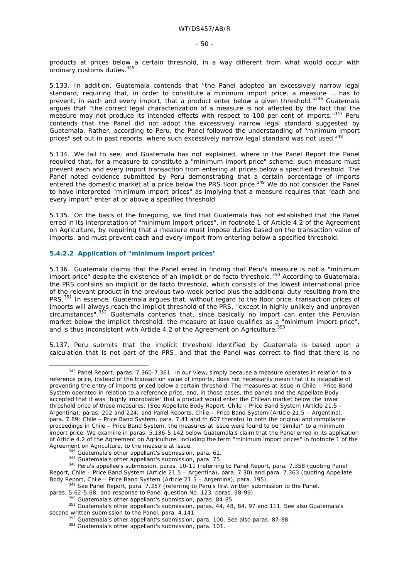products at prices below a certain threshold, in a way different from what would occur with ordinary customs duties.<sup>345</sup>

5.133. In addition, Guatemala contends that "the Panel adopted an excessively narrow legal standard, requiring that, in order to constitute a minimum import price, a measure … has to prevent, in each and every import, that a product enter below a given threshold."<sup>346</sup> Guatemala argues that "the correct legal characterization of a measure is not affected by the fact that the measure may not produce its intended effects with respect to 100 per cent of imports."<sup>347</sup> Peru contends that the Panel did not adopt the excessively narrow legal standard suggested by Guatemala. Rather, according to Peru, the Panel followed the understanding of "minimum import prices" set out in past reports, where such excessively narrow legal standard was not used.<sup>348</sup>

5.134. We fail to see, and Guatemala has not explained, where in the Panel Report the Panel required that, for a measure to constitute a "minimum import price" scheme, such measure must prevent each and every import transaction from entering at prices below a specified threshold. The Panel noted evidence submitted by Peru demonstrating that a certain percentage of imports entered the domestic market at a price below the PRS floor price.<sup>349</sup> We do not consider the Panel to have interpreted "minimum import prices" as implying that a measure requires that "each and every import" enter at or above a specified threshold.

5.135. On the basis of the foregoing, we find that Guatemala has not established that the Panel erred in its interpretation of "minimum import prices", in footnote 1 of Article 4.2 of the Agreement on Agriculture, by requiring that a measure must impose duties based on the transaction value of imports, and must prevent each and every import from entering below a specified threshold.

#### **5.4.2.2 Application of "minimum import prices"**

5.136. Guatemala claims that the Panel erred in finding that Peru's measure is not a "minimum import price" despite the existence of an implicit or *de facto* threshold.350 According to Guatemala, the PRS contains an implicit or *de facto* threshold, which consists of the lowest international price of the relevant product in the previous two-week period plus the additional duty resulting from the PRS.<sup>351</sup> In essence, Guatemala argues that, without regard to the floor price, transaction prices of imports will always reach the implicit threshold of the PRS, "except in highly unlikely and unproven circumstances".<sup>352</sup> Guatemala contends that, since basically no import can enter the Peruvian market below the implicit threshold, the measure at issue qualifies as a "minimum import price", and is thus inconsistent with Article 4.2 of the Agreement on Agriculture.<sup>353</sup>

5.137. Peru submits that the implicit threshold identified by Guatemala is based upon a calculation that is not part of the PRS, and that the Panel was correct to find that there is no

<sup>345</sup> Panel Report, paras. 7.360-7.361. In our view, simply because a measure operates in relation to a reference price, instead of the transaction value of imports, does not *necessarily* mean that it is incapable of preventing the entry of imports priced below a certain threshold. The measures at issue in *Chile – Price Band System* operated in relation to a reference price, and, in those cases, the panels and the Appellate Body accepted that it was "highly improbable" that a product would enter the Chilean market below the lower threshold price of those measures. (See Appellate Body Report, *Chile – Price Band System (Article 21.5 – Argentina)*, paras. 202 and 224; and Panel Reports, *Chile – Price Band System (Article 21.5 – Argentina)*, para. 7.89; *Chile – Price Band System*, para. 7.41 and fn 607 thereto) In both the original and compliance proceedings in *Chile – Price Band System*, the measures at issue were found to be "similar" to a minimum import price. We examine in paras. 5.136-5.142 below Guatemala's claim that the Panel erred in its application of Article 4.2 of the Agreement on Agriculture, including the term "minimum import prices" in footnote 1 of the Agreement on Agriculture, to the measure at issue.<br>
346 Guatemala's other appellant's submission, para. 61.<br>
347 Guatemala's other appellant's submission, para. 75.<br>
348 Peru's appellee's submission, paras. 10-11 (referrin

Report, *Chile – Price Band System (Article 21.5 – Argentina)*, para. 7.30) and para. 7.363 (quoting Appellate Body Report, *Chile – Price Band System (Article 21.5 – Argentina)*, para. 195).<br><sup>349</sup> See Panel Report, para. 7.357 (referring to Peru's first written submission to the Panel, paras. 5.62-5.68; and response to Panel quest

<sup>&</sup>lt;sup>350</sup> Guatemala's other appellant's submission, paras. 84-85.<br><sup>351</sup> Guatemala's other appellant's submission, paras. 44, 48, 84, 97 and 111. See also Guatemala's second written submission to the Panel, para. 4.141.<br><sup>352</sup> Guatemala's other appellant's submission, para. 100. See also paras. 87-88.<br><sup>353</sup> Guatemala's other appellant's submission, para. 101.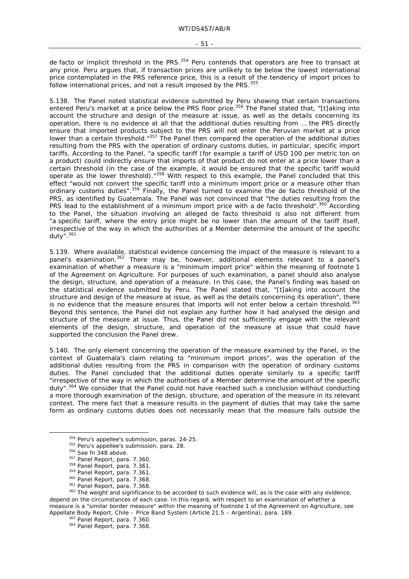de facto or implicit threshold in the PRS.<sup>354</sup> Peru contends that operators are free to transact at any price. Peru argues that, if transaction prices are unlikely to be below the lowest international price contemplated in the PRS reference price, this is a result of the tendency of import prices to follow international prices, and not a result imposed by the PRS. 355

5.138. The Panel noted statistical evidence submitted by Peru showing that certain transactions entered Peru's market at a price below the PRS floor price.<sup>356</sup> The Panel stated that, "[t]aking into account the structure and design of the measure at issue, as well as the details concerning its operation, there is no evidence at all that the additional duties resulting from … the PRS directly ensure that imported products subject to the PRS will not enter the Peruvian market at a price lower than a certain threshold."357 The Panel then compared the operation of the additional duties resulting from the PRS with the operation of ordinary customs duties, in particular, specific import tariffs. According to the Panel, "a specific tariff (for example a tariff of USD 100 per metric ton on a product) could indirectly ensure that imports of that product do not enter at a price lower than a certain threshold (in the case of the example, it would be ensured that the specific tariff would operate as the lower threshold)."358 With respect to this example, the Panel concluded that this effect "would not convert the specific tariff into a minimum import price or a measure other than ordinary customs duties".359 Finally, the Panel turned to examine the *de facto* threshold of the PRS, as identified by Guatemala. The Panel was not convinced that "the duties resulting from the PRS lead to the establishment of a minimum import price with a *de facto* threshold".<sup>360</sup> According to the Panel, the situation involving an alleged *de facto* threshold is also not different from "a specific tariff, where the entry price might be no lower than the amount of the tariff itself, irrespective of the way in which the authorities of a Member determine the amount of the specific duty" $361$ 

5.139. Where available, statistical evidence concerning the impact of the measure is relevant to a panel's examination.<sup>362</sup> There may be, however, additional elements relevant to a panel's examination of whether a measure is a "minimum import price" within the meaning of footnote 1 of the Agreement on Agriculture. For purposes of such examination, a panel should also analyse the design, structure, and operation of a measure. In this case, the Panel's finding was based on the statistical evidence submitted by Peru. The Panel stated that, "[t]aking into account the structure and design of the measure at issue, as well as the details concerning its operation", there is no evidence that the measure ensures that imports will not enter below a certain threshold.<sup>363</sup> Beyond this sentence, the Panel did not explain any further how it had analysed the design and structure of the measure at issue. Thus, the Panel did not sufficiently engage with the relevant elements of the design, structure, and operation of the measure at issue that could have supported the conclusion the Panel drew.

5.140. The only element concerning the operation of the measure examined by the Panel, in the context of Guatemala's claim relating to "minimum import prices", was the operation of the additional duties resulting from the PRS in comparison with the operation of ordinary customs duties. The Panel concluded that the additional duties operate similarly to a specific tariff "irrespective of the way in which the authorities of a Member determine the amount of the specific dutv".<sup>364</sup> We consider that the Panel could not have reached such a conclusion without conducting a more thorough examination of the design, structure, and operation of the measure in its relevant context. The mere fact that a measure results in the payment of duties that may take the same form as ordinary customs duties does not necessarily mean that the measure falls outside the

<sup>&</sup>lt;sup>354</sup> Peru's appellee's submission, paras. 24-25.<br><sup>355</sup> Peru's appellee's submission, para. 28.<br><sup>356</sup> See fn 348 above.<br><sup>357</sup> Panel Report, para. 7.360.<br><sup>358</sup> Panel Report, para. 7.361.<br><sup>359</sup> Panel Report, para. 7.368.<br><sup>36</sup> depend on the circumstances of each case. In this regard, with respect to an examination of whether a measure is a "similar border measure" within the meaning of footnote 1 of the Agreement on Agriculture, see Appellate Body Report, *Chile – Price Band System (Article 21.5 – Argentina)*, para. 189.<br><sup>363</sup> Panel Report, para. 7.360.<br><sup>364</sup> Panel Report, para. 7.368.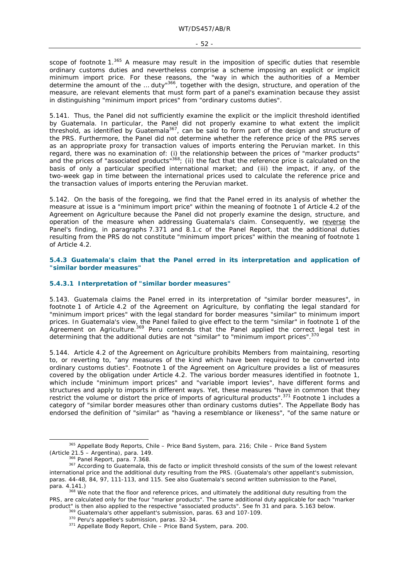scope of footnote 1.<sup>365</sup> A measure may result in the imposition of specific duties that resemble ordinary customs duties and nevertheless comprise a scheme imposing an explicit or implicit minimum import price. For these reasons, the "way in which the authorities of a Member determine the amount of the … duty"366, together with the design, structure, and operation of the measure, are relevant elements that must form part of a panel's examination because they assist in distinguishing "minimum import prices" from "ordinary customs duties".

5.141. Thus, the Panel did not sufficiently examine the explicit or the implicit threshold identified by Guatemala. In particular, the Panel did not properly examine to what extent the implicit threshold, as identified by Guatemala<sup>367</sup>, can be said to form part of the design and structure of the PRS. Furthermore, the Panel did not determine whether the reference price of the PRS serves as an appropriate proxy for transaction values of imports entering the Peruvian market. In this regard, there was no examination of: (i) the relationship between the prices of "marker products" and the prices of "associated products" $368$ ; (ii) the fact that the reference price is calculated on the basis of only a particular specified international market; and (iii) the impact, if any, of the two-week gap in time between the international prices used to calculate the reference price and the transaction values of imports entering the Peruvian market.

5.142. On the basis of the foregoing, we find that the Panel erred in its analysis of whether the measure at issue is a "minimum import price" within the meaning of footnote 1 of Article 4.2 of the Agreement on Agriculture because the Panel did not properly examine the design, structure, and operation of the measure when addressing Guatemala's claim. Consequently, we reverse the Panel's finding, in paragraphs 7.371 and 8.1.c of the Panel Report, that the additional duties resulting from the PRS do not constitute "minimum import prices" within the meaning of footnote 1 of Article 4.2.

**5.4.3 Guatemala's claim that the Panel erred in its interpretation and application of "similar border measures"** 

#### **5.4.3.1 Interpretation of "similar border measures"**

5.143. Guatemala claims the Panel erred in its interpretation of "similar border measures", in footnote 1 of Article 4.2 of the Agreement on Agriculture, by conflating the legal standard for "minimum import prices" with the legal standard for border measures "similar" to minimum import prices. In Guatemala's view, the Panel failed to give effect to the term "similar" in footnote 1 of the Agreement on Agriculture.<sup>369</sup> Peru contends that the Panel applied the correct legal test in determining that the additional duties are not "similar" to "minimum import prices".<sup>370</sup>

5.144. Article 4.2 of the Agreement on Agriculture prohibits Members from maintaining, resorting to, or reverting to, "any measures of the kind which have been required to be converted into ordinary customs duties". Footnote 1 of the Agreement on Agriculture provides a list of measures covered by the obligation under Article 4.2. The various border measures identified in footnote 1, which include "minimum import prices" and "variable import levies", have different forms and structures and apply to imports in different ways. Yet, these measures "have in common that they restrict the volume or distort the price of imports of agricultural products".<sup>371</sup> Footnote 1 includes a category of "similar border measures other than ordinary customs duties". The Appellate Body has endorsed the definition of "similar" as "having a resemblance or likeness", "of the same nature or

 <sup>365</sup> Appellate Body Reports, *Chile – Price Band System*, para. 216; *Chile – Price Band System* 

*<sup>(</sup>Article 21.5 – Argentina)*, para. 149. 366 Panel Report, para. 7.368. 367 According to Guatemala, this *de facto* or implicit threshold consists of the sum of the lowest relevant international price and the additional duty resulting from the PRS. (Guatemala's other appellant's submission, paras. 44-48, 84, 97, 111-113, and 115. See also Guatemala's second written submission to the Panel, para. 4.141.)<br><sup>368</sup> We note that the floor and reference prices, and ultimately the additional duty resulting from the

PRS, are calculated only for the four "marker products". The same additional duty applicable for each "marker product" is then also applied to the respective "associated products". See fn 31 and para. 5.163 below.<br><sup>369</sup> Guatemala's other appellant's submission, paras. 63 and 107-109.<br><sup>370</sup> Peru's appellee's submission, paras. 32-3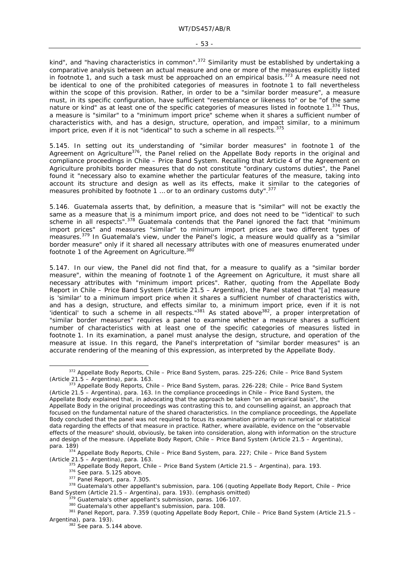#### - 53 -

kind", and "having characteristics in common".<sup>372</sup> Similarity must be established by undertaking a comparative analysis between an actual measure and one or more of the measures explicitly listed in footnote 1, and such a task must be approached on an empirical basis.<sup>373</sup> A measure need not be *identical* to one of the prohibited categories of measures in footnote 1 to fall nevertheless within the scope of this provision. Rather, in order to be a "similar border measure", a measure must, in its specific configuration, have sufficient "resemblance or likeness to" or be "of the same nature or kind" as at least one of the specific categories of measures listed in footnote 1.<sup>374</sup> Thus, a measure is "similar" to a "minimum import price" scheme when it shares a sufficient number of characteristics with, and has a design, structure, operation, and impact similar, to a minimum import price, even if it is not "identical" to such a scheme in all respects.<sup>375</sup>

5.145. In setting out its understanding of "similar border measures" in footnote 1 of the Agreement on Agriculture<sup>376</sup>, the Panel relied on the Appellate Body reports in the original and compliance proceedings in *Chile – Price Band System*. Recalling that Article 4 of the Agreement on Agriculture prohibits border measures that do not constitute "ordinary customs duties", the Panel found it "necessary also to examine whether the particular features of the measure, taking into account its structure and design as well as its effects, make it similar to the categories of measures prohibited by footnote 1 ... or to an ordinary customs duty".<sup>377</sup>

5.146. Guatemala asserts that, by definition, a measure that is "similar" will not be exactly the same as a measure that is a minimum import price, and does not need to be "identical' to such scheme in all respects".<sup>378</sup> Guatemala contends that the Panel ignored the fact that "minimum" import prices" and measures "similar" to minimum import prices are two different types of measures.379 In Guatemala's view, under the Panel's logic, a measure would qualify as a "similar border measure" only if it shared all necessary attributes with one of measures enumerated under footnote 1 of the Agreement on Agriculture.<sup>380</sup>

5.147. In our view, the Panel did not find that, for a measure to qualify as a "similar border measure", within the meaning of footnote 1 of the Agreement on Agriculture, it must share all necessary attributes with "minimum import prices". Rather, quoting from the Appellate Body Report in *Chile – Price Band System (Article 21.5 – Argentina)*, the Panel stated that "[a] measure is 'similar' to a minimum import price when it shares a sufficient number of characteristics with, and has a design, structure, and effects similar to, a minimum import price, even if it is not 'identical' to such a scheme in all respects."<sup>381</sup> As stated above<sup>382</sup>, a proper interpretation of "similar border measures" requires a panel to examine whether a measure shares a sufficient number of characteristics with at least one of the specific categories of measures listed in footnote 1. In its examination, a panel must analyse the design, structure, and operation of the measure at issue. In this regard, the Panel's interpretation of "similar border measures" is an accurate rendering of the meaning of this expression, as interpreted by the Appellate Body.

 <sup>372</sup> Appellate Body Reports, *Chile – Price Band System*, paras. 225-226; *Chile – Price Band System* 

*<sup>(</sup>Article 21.5 – Argentina)*, para. 163. 373 Appellate Body Reports, *Chile – Price Band System*, paras. 226-228; *Chile – Price Band System (Article 21.5 – Argentina)*, para. 163. In the compliance proceedings in *Chile – Price Band System*, the Appellate Body explained that, in advocating that the approach be taken "on an empirical basis", the Appellate Body in the original proceedings was contrasting this to, and counselling against, an approach that focused on the *fundamental nature* of the shared characteristics. In the compliance proceedings, the Appellate Body concluded that the panel was not required to focus its examination *primarily* on numerical or statistical data regarding the effects of that measure in practice. Rather, where available, evidence on the "observable effects of the measure" should, obviously, be taken into consideration, along with information on the structure and design of the measure. (Appellate Body Report, *Chile – Price Band System (Article 21.5 – Argentina)*,

para. 189) 374 Appellate Body Reports, *Chile – Price Band System*, para. 227; *Chile – Price Band System* 

<sup>(</sup>Article 21.5 – Argentina), para. 163.<br>
<sup>375</sup> Appellate Body Report, *Chile – Price Band System (Article 21.5 – Argentina)*, para. 193.<br>
<sup>376</sup> See para. 5.125 above.<br>
<sup>377</sup> Panel Report, para. 7.305.<br>
<sup>378</sup> Guatemala's ot

 $379$  Guatemala's other appellant's submission, paras. 106-107.<br><sup>380</sup> Guatemala's other appellant's submission, para. 108.<br><sup>381</sup> Panel Report, para. 7.359 (quoting Appellate Body Report, *Chile – Price Band System (Articl Argentina)*, para. 193).<br><sup>382</sup> See para. 5.144 above.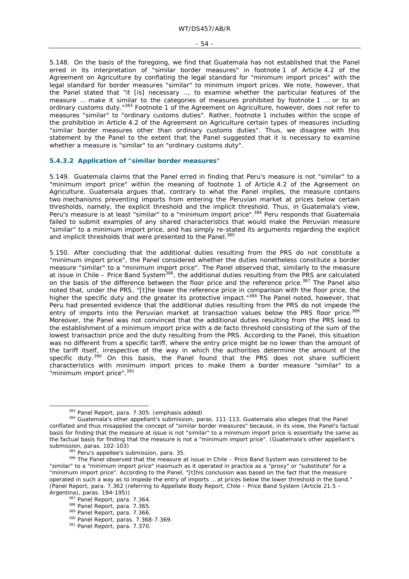5.148. On the basis of the foregoing, we find that Guatemala has not established that the Panel erred in its interpretation of "similar border measures" in footnote 1 of Article 4.2 of the Agreement on Agriculture by conflating the legal standard for "minimum import prices" with the legal standard for border measures "similar" to minimum import prices. We note, however, that the Panel stated that "it [is] necessary …. to examine whether the particular features of the measure … make it *similar* to the categories of measures prohibited by footnote 1 … *or to an ordinary customs duty*."383 Footnote 1 of the Agreement on Agriculture, however, does not refer to measures "similar" to "ordinary customs duties". Rather, footnote 1 includes within the scope of the prohibition in Article 4.2 of the Agreement on Agriculture certain types of measures including "similar border measures other than ordinary customs duties". Thus, we disagree with this statement by the Panel to the extent that the Panel suggested that it is necessary to examine whether a measure is "similar" to an "ordinary customs duty".

#### **5.4.3.2 Application of "similar border measures"**

5.149. Guatemala claims that the Panel erred in finding that Peru's measure is not "similar" to a "minimum import price" within the meaning of footnote 1 of Article 4.2 of the Agreement on Agriculture. Guatemala argues that, contrary to what the Panel implies, the measure contains two mechanisms preventing imports from entering the Peruvian market at prices below certain thresholds, namely, the explicit threshold and the implicit threshold. Thus, in Guatemala's view, Peru's measure is at least "similar" to a "minimum import price".<sup>384</sup> Peru responds that Guatemala failed to submit examples of any shared characteristics that would make the Peruvian measure "similar" to a minimum import price, and has simply re-stated its arguments regarding the explicit and implicit thresholds that were presented to the Panel.<sup>385</sup>

5.150. After concluding that the additional duties resulting from the PRS do not constitute a "minimum import price", the Panel considered whether the duties nonetheless constitute a border measure "similar" to a "minimum import price". The Panel observed that, similarly to the measure at issue in *Chile – Price Band System*386, the additional duties resulting from the PRS are calculated on the basis of the difference between the floor price and the reference price.<sup>387</sup> The Panel also noted that, under the PRS, "[t]he lower the reference price in comparison with the floor price, the higher the specific duty and the greater its protective impact."<sup>388</sup> The Panel noted, however, that Peru had presented evidence that the additional duties resulting from the PRS do not impede the entry of imports into the Peruvian market at transaction values below the PRS floor price.<sup>389</sup> Moreover, the Panel was not convinced that the additional duties resulting from the PRS lead to the establishment of a minimum import price with a *de facto* threshold consisting of the sum of the lowest transaction price and the duty resulting from the PRS. According to the Panel, this situation was no different from a specific tariff, where the entry price might be no lower than the amount of the tariff itself, irrespective of the way in which the authorities determine the amount of the specific duty.<sup>390</sup> On this basis, the Panel found that the PRS does not share sufficient characteristics with minimum import prices to make them a border measure "similar" to a "minimum import price".<sup>391</sup>

<sup>&</sup>lt;sup>383</sup> Panel Report, para. 7.305. (emphasis added)<br><sup>384</sup> Guatemala's other appellant's submission, paras. 111-113. Guatemala also alleges that the Panel conflated and thus misapplied the concept of "similar border measures" because, in its view, the Panel's factual basis for finding that the measure at issue is not "similar" to a minimum import price is essentially the same as the factual basis for finding that the measure is not a "minimum import price". (Guatemala's other appellant's

submission, paras. 102-103)<br><sup>385</sup> Peru's appellee's submission, para. 35.<br><sup>386</sup> The Panel observed that the measure at issue in *Chile – Price Band System* was considered to be "similar" to a "minimum import price" inasmuch as it operated in practice as a "proxy" or "substitute" for a "minimum import price". According to the Panel, "[t]his conclusion was based on the fact that the measure operated in such a way as to impede the entry of imports … at prices below the lower threshold in the band." (Panel Report, para. 7.362 (referring to Appellate Body Report, *Chile – Price Band System (Article 21.5 –* 

<sup>&</sup>lt;sup>387</sup> Panel Report, para. 7.364.<br><sup>388</sup> Panel Report, para. 7.365.<br><sup>389</sup> Panel Report, paras. 7.366-7.369.<br><sup>391</sup> Panel Report, para. 7.370.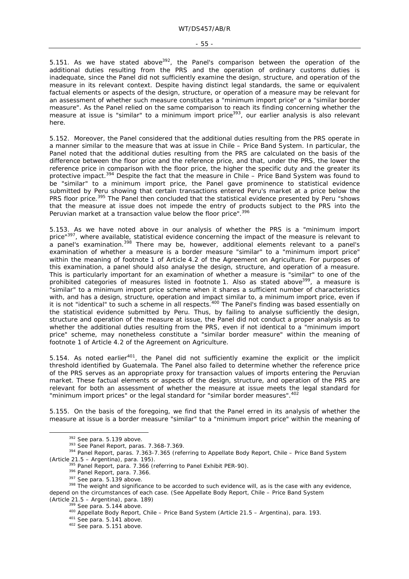#### - 55 -

5.151. As we have stated above $392$ , the Panel's comparison between the operation of the additional duties resulting from the PRS and the operation of ordinary customs duties is inadequate, since the Panel did not sufficiently examine the design, structure, and operation of the measure in its relevant context. Despite having distinct legal standards, the same or equivalent factual elements or aspects of the design, structure, or operation of a measure may be relevant for an assessment of whether such measure constitutes a "minimum import price" or a "similar border measure". As the Panel relied on the same comparison to reach its finding concerning whether the measure at issue is "similar" to a minimum import price<sup>393</sup>, our earlier analysis is also relevant here.

5.152. Moreover, the Panel considered that the additional duties resulting from the PRS operate in a manner similar to the measure that was at issue in *Chile – Price Band System*. In particular, the Panel noted that the additional duties resulting from the PRS are calculated on the basis of the difference between the floor price and the reference price, and that, under the PRS, the lower the reference price in comparison with the floor price, the higher the specific duty and the greater its protective impact.394 Despite the fact that the measure in *Chile – Price Band System* was found to be "similar" to a minimum import price, the Panel gave prominence to statistical evidence submitted by Peru showing that certain transactions entered Peru's market at a price below the PRS floor price.<sup>395</sup> The Panel then concluded that the statistical evidence presented by Peru "shows that the measure at issue does not impede the entry of products subject to the PRS into the Peruvian market at a transaction value below the floor price".<sup>396</sup>

5.153. As we have noted above in our analysis of whether the PRS is a "minimum import price"<sup>397</sup>, where available, statistical evidence concerning the impact of the measure is relevant to .<br>a panel's examination.<sup>398</sup> There may be, however, additional elements relevant to a panel's examination of whether a measure is a border measure "similar" to a "minimum import price" within the meaning of footnote 1 of Article 4.2 of the Agreement on Agriculture. For purposes of this examination, a panel should also analyse the design, structure, and operation of a measure. This is particularly important for an examination of whether a measure is "similar" to one of the prohibited categories of measures listed in footnote 1. Also as stated above<sup>399</sup>, a measure is "similar" to a minimum import price scheme when it shares a sufficient number of characteristics with, and has a design, structure, operation and impact similar to, a minimum import price, even if it is not "identical" to such a scheme in all respects.<sup>400</sup> The Panel's finding was based essentially on the statistical evidence submitted by Peru. Thus, by failing to analyse sufficiently the design, structure and operation of the measure at issue, the Panel did not conduct a proper analysis as to whether the additional duties resulting from the PRS, even if not identical to a "minimum import price" scheme, may nonetheless constitute a "similar border measure" within the meaning of footnote 1 of Article 4.2 of the Agreement on Agriculture.

5.154. As noted earlier<sup>401</sup>, the Panel did not sufficiently examine the explicit or the implicit threshold identified by Guatemala. The Panel also failed to determine whether the reference price of the PRS serves as an appropriate proxy for transaction values of imports entering the Peruvian market. These factual elements or aspects of the design, structure, and operation of the PRS are relevant for both an assessment of whether the measure at issue meets the legal standard for "minimum import prices" or the legal standard for "similar border measures".<sup>402</sup>

5.155. On the basis of the foregoing, we find that the Panel erred in its analysis of whether the measure at issue is a border measure "similar" to a "minimum import price" within the meaning of

<sup>&</sup>lt;sup>392</sup> See para. 5.139 above.<br><sup>393</sup> See Panel Report, paras. 7.368-7.369.<br><sup>394</sup> Panel Report, paras. 7.363-7.365 (referring to Appellate Body Report, *Chile – Price Band System (Article 21.5 – Argentina)*, para. 195).

<sup>&</sup>lt;sup>395</sup> Panel Report, para. 7.366 (referring to Panel Exhibit PER-90).<br><sup>396</sup> Panel Report, para. 7.366.<br><sup>397</sup> See para. 5.139 above.<br><sup>398</sup> The weight and significance to be accorded to such evidence will, as is the case wit depend on the circumstances of each case. (See Appellate Body Report, *Chile – Price Band System*  (Article 21.5 – Argentina), para. 189)<br>
<sup>399</sup> See para. 5.144 above.<br>
<sup>400</sup> Appellate Body Report, *Chile – Price Band System (Article 21.5 – Argentina)*, para. 193.<br>
<sup>401</sup> See para. 5.141 above.<br>
<sup>402</sup> See para. 5.151 ab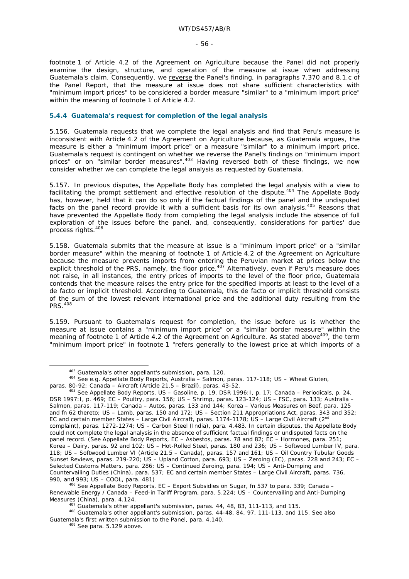footnote 1 of Article 4.2 of the Agreement on Agriculture because the Panel did not properly examine the design, structure, and operation of the measure at issue when addressing Guatemala's claim. Consequently, we reverse the Panel's finding, in paragraphs 7.370 and 8.1.c of the Panel Report, that the measure at issue does not share sufficient characteristics with "minimum import prices" to be considered a border measure "similar" to a "minimum import price" within the meaning of footnote 1 of Article 4.2.

#### **5.4.4 Guatemala's request for completion of the legal analysis**

5.156. Guatemala requests that we complete the legal analysis and find that Peru's measure is inconsistent with Article 4.2 of the Agreement on Agriculture because, as Guatemala argues, the measure is either a "minimum import price" or a measure "similar" to a minimum import price. Guatemala's request is contingent on whether we reverse the Panel's findings on "minimum import prices" or on "similar border measures".<sup>403</sup> Having reversed both of these findings, we now consider whether we can complete the legal analysis as requested by Guatemala.

5.157. In previous disputes, the Appellate Body has completed the legal analysis with a view to facilitating the prompt settlement and effective resolution of the dispute.<sup>404</sup> The Appellate Body has, however, held that it can do so only if the factual findings of the panel and the undisputed facts on the panel record provide it with a sufficient basis for its own analysis.<sup>405</sup> Reasons that have prevented the Appellate Body from completing the legal analysis include the absence of full exploration of the issues before the panel, and, consequently, considerations for parties' due process rights.<sup>406</sup>

5.158. Guatemala submits that the measure at issue is a "minimum import price" or a "similar border measure" within the meaning of footnote 1 of Article 4.2 of the Agreement on Agriculture because the measure prevents imports from entering the Peruvian market at prices below the explicit threshold of the PRS, namely, the floor price.<sup>407</sup> Alternatively, even if Peru's measure does not raise, in all instances, the entry prices of imports to the level of the floor price, Guatemala contends that the measure raises the entry price for the specified imports at least to the level of a *de facto* or implicit threshold. According to Guatemala, this *de facto* or implicit threshold consists of the sum of the lowest relevant international price and the additional duty resulting from the PRS.<sup>408</sup>

5.159. Pursuant to Guatemala's request for completion, the issue before us is whether the measure at issue contains a "minimum import price" or a "similar border measure" within the meaning of footnote 1 of Article 4.2 of the Agreement on Agriculture. As stated above<sup>409</sup>, the term "minimum import price" in footnote 1 "refers generally to the lowest price at which imports of a

 <sup>403</sup> Guatemala's other appellant's submission, para. 120. 404 See e.g. Appellate Body Reports, *Australia – Salmon*, paras. 117-118; *US – Wheat Gluten*,

paras. 80-92; *Canada – Aircraft (Article 21.5 – Brazil)*, paras. 43-52.<br><sup>405</sup> See Appellate Body Reports, *US – Gasoline*, p. 19, DSR 1996:1, p. 17; *Canada – Periodicals*, p. 24, DSR 1997:I, p. 469; *EC – Poultry*, para. 156; *US – Shrimp*, paras. 123-124; *US – FSC*, para. 133; *Australia – Salmon*, paras. 117-119; *Canada – Autos*, paras. 133 and 144; *Korea – Various Measures on Beef*, para. 125 and fn 62 thereto; *US – Lamb*, paras. 150 and 172; *US – Section 211 Appropriations Act*, paras. 343 and 352; *EC and certain member States – Large Civil Aircraft*, paras. 1174-1178; *US – Large Civil Aircraft (2nd complaint)*, paras. 1272-1274; *US – Carbon Steel (India)*, para. 4.483. In certain disputes, the Appellate Body could not complete the legal analysis in the absence of sufficient factual findings or undisputed facts on the panel record. (See Appellate Body Reports, *EC – Asbestos*, paras. 78 and 82; *EC – Hormones*, para. 251; *Korea – Dairy*, paras. 92 and 102; *US – Hot-Rolled Steel*, paras. 180 and 236; *US – Softwood Lumber IV*, para. 118; *US – Softwood Lumber VI (Article 21.5 – Canada)*, paras. 157 and 161; *US – Oil Country Tubular Goods Sunset Reviews*, paras. 219-220; *US – Upland Cotton*, para. 693; *US – Zeroing (EC)*, paras. 228 and 243; *EC – Selected Customs Matters*, para. 286; *US – Continued Zeroing*, para. 194; *US – Anti-Dumping and Countervailing Duties (China)*, para. 537; *EC and certain member States – Large Civil Aircraft*, paras. 736,

<sup>990,</sup> and 993; *US – COOL*, para. 481) 406 See Appellate Body Reports, *EC – Export Subsidies on Sugar*, fn 537 to para. 339; *Canada – Renewable Energy / Canada – Feed-in Tariff Program*, para. 5.224; *US – Countervailing and Anti-Dumping* 

<sup>&</sup>lt;sup>407</sup> Guatemala's other appellant's submission, paras. 44, 48, 83, 111-113, and 115.<br><sup>408</sup> Guatemala's other appellant's submission, paras. 44-48, 84, 97, 111-113, and 115. See also Guatemala's first written submission to the Panel, para. 4.140.<br><sup>409</sup> See para. 5.129 above.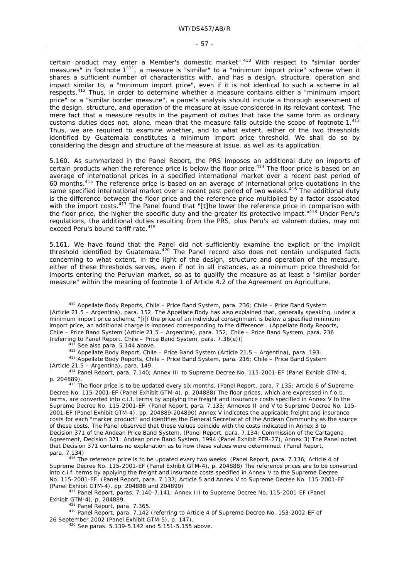certain product may enter a Member's domestic market".<sup>410</sup> With respect to "similar border measures" in footnote 1411, a measure is "similar" to a "minimum import price" scheme when it shares a sufficient number of characteristics with, and has a design, structure, operation and impact similar to, a "minimum import price", even if it is not identical to such a scheme in all respects.<sup>412</sup> Thus, in order to determine whether a measure contains either a "minimum import price" or a "similar border measure", a panel's analysis should include a thorough assessment of the design, structure, and operation of the measure at issue considered in its relevant context. The mere fact that a measure results in the payment of duties that take the same form as ordinary customs duties does not, alone, mean that the measure falls outside the scope of footnote 1.<sup>413</sup> Thus, we are required to examine whether, and to what extent, either of the two thresholds identified by Guatemala constitutes a minimum import price threshold. We shall do so by considering the design and structure of the measure at issue, as well as its application.

5.160. As summarized in the Panel Report, the PRS imposes an additional duty on imports of certain products when the reference price is below the floor price.<sup>414</sup> The floor price is based on an average of international prices in a specified international market over a recent past period of 60 months.415 The reference price is based on an average of international price quotations in the same specified international market over a recent past period of two weeks.<sup>416</sup> The additional duty is the difference between the floor price and the reference price multiplied by a factor associated with the import costs.<sup>417</sup> The Panel found that "[t]he lower the reference price in comparison with the floor price, the higher the specific duty and the greater its protective impact."418 Under Peru's regulations, the additional duties resulting from the PRS, plus Peru's *ad valorem* duties, may not exceed Peru's bound tariff rate.<sup>419</sup>

5.161. We have found that the Panel did not sufficiently examine the explicit or the implicit threshold identified by Guatemala.<sup>420</sup> The Panel record also does not contain undisputed facts concerning to what extent, in the light of the design, structure and operation of the measure, either of these thresholds serves, even if not in all instances, as a minimum price threshold for imports entering the Peruvian market, so as to qualify the measure as at least a "similar border measure" within the meaning of footnote 1 of Article 4.2 of the Agreement on Agriculture.

 <sup>410</sup> Appellate Body Reports, *Chile – Price Band System*, para. 236; *Chile – Price Band System (Article 21.5 – Argentina),* para. 152. The Appellate Body has also explained that, generally speaking, under a minimum import price scheme, "[i]f the price of an individual consignment is below a specified minimum import price, an additional charge is imposed corresponding to the difference". (Appellate Body Reports, *Chile – Price Band System (Article 21.5 – Argentina),* para. 152; *Chile – Price Band System*, para. 236

<sup>&</sup>lt;sup>411</sup> See also para. 5.144 above.<br><sup>412</sup> Appellate Body Report, *Chile – Price Band System (Article 21.5 – Argentina)*, para. 193.<br><sup>413</sup> Appellate Body Reports, *Chile – Price Band System*, para. 216; *Chile – Price Band Sy* 

<sup>&</sup>lt;sup>414</sup> Panel Report, para. 7.140; Annex III to Supreme Decree No. 115-2001-EF (Panel Exhibit GTM-4, p. 204889).

<sup>&</sup>lt;sup>415</sup> The floor price is to be updated every six months. (Panel Report, para. 7.135; Article 6 of Supreme Decree No. 115-2001-EF (Panel Exhibit GTM-4), p. 204888) The floor prices, which are expressed in f.o.b. terms, are converted into c.i.f. terms by applying the freight and insurance costs specified in Annex V to the Supreme Decree No. 115-2001-EF. (Panel Report, para. 7.133; Annexes II and V to Supreme Decree No. 115- 2001-EF (Panel Exhibit GTM-4), pp. 204889-204890) Annex V indicates the applicable freight and insurance costs for each "marker product" and identifies the General Secretariat of the Andean Community as the source of these costs. The Panel observed that these values coincide with the costs indicated in Annex 3 to Decision 371 of the Andean Price Band System. (Panel Report, para. 7.134; Commission of the Cartagena Agreement, Decision 371: Andean price Band System, 1994 (Panel Exhibit PER-27), Annex 3) The Panel noted that Decision 371 contains no explanation as to how these values were determined. (Panel Report,

para. 7.134)<br><sup>416</sup> The reference price is to be updated every two weeks. (Panel Report, para. 7.136; Article 4 of Supreme Decree No. 115-2001-EF (Panel Exhibit GTM-4), p. 204888) The reference prices are to be converted into c.i.f. terms by applying the freight and insurance costs specified in Annex V to the Supreme Decree No. 115-2001-EF. (Panel Report, para. 7.137; Article 5 and Annex V to Supreme Decree No. 115-2001-EF

<sup>(</sup>Panel Exhibit GTM-4), pp. 204888 and 204890) 417 Panel Report, paras. 7.140-7.141; Annex III to Supreme Decree No. 115-2001-EF (Panel

<sup>&</sup>lt;sup>418</sup> Panel Report, para. 7.365.<br><sup>419</sup> Panel Report, para. 7.142 (referring to Article 4 of Supreme Decree No. 153-2002-EF of 26 September 2002 (Panel Exhibit GTM-5), p. 147).<br><sup>420</sup> See paras. 5.139-5.142 and 5.151-5.155 above.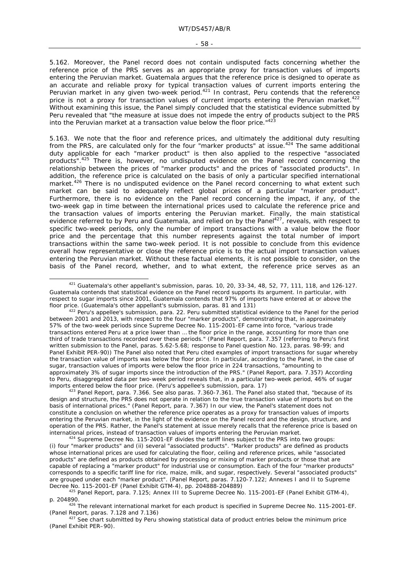5.162. Moreover, the Panel record does not contain undisputed facts concerning whether the reference price of the PRS serves as an appropriate proxy for transaction values of imports entering the Peruvian market. Guatemala argues that the reference price is designed to operate as an accurate and reliable proxy for typical transaction values of current imports entering the Peruvian market in any given two-week period.421 In contrast, Peru contends that the reference price is not a proxy for transaction values of current imports entering the Peruvian market.<sup>422</sup> Without examining this issue, the Panel simply concluded that the statistical evidence submitted by Peru revealed that "the measure at issue does not impede the entry of products subject to the PRS into the Peruvian market at a transaction value below the floor price."423

5.163. We note that the floor and reference prices, and ultimately the additional duty resulting from the PRS, are calculated only for the four "marker products" at issue.<sup>424</sup> The same additional duty applicable for each "marker product" is then also applied to the respective "associated products".425 There is, however, no undisputed evidence on the Panel record concerning the relationship between the prices of "marker products" and the prices of "associated products". In addition, the reference price is calculated on the basis of only a particular specified international market.<sup>426</sup> There is no undisputed evidence on the Panel record concerning to what extent such market can be said to adequately reflect global prices of a particular "marker product". Furthermore, there is no evidence on the Panel record concerning the impact, if any, of the two-week gap in time between the international prices used to calculate the reference price and the transaction values of imports entering the Peruvian market. Finally, the main statistical evidence referred to by Peru and Guatemala, and relied on by the Panel<sup>427</sup>, reveals, with respect to specific two-week periods, only the number of import transactions with a value below the floor price and the percentage that this number represents against the total number of import transactions within the same two-week period. It is not possible to conclude from this evidence overall how representative or close the reference price is to the actual import transaction values entering the Peruvian market. Without these factual elements, it is not possible to consider, on the basis of the Panel record, whether, and to what extent, the reference price serves as an

design and structure, the PRS does not operate in relation to the true transaction value of imports but on the basis of international prices." (Panel Report, para. 7.367) In our view, the Panel's statement does not constitute a conclusion on whether the reference price operates as a proxy for transaction values of imports entering the Peruvian market, in the light of the evidence on the Panel record and the design, structure, and operation of the PRS. Rather, the Panel's statement at issue merely recalls that the reference price is based on international prices, instead of transaction values of imports entering the Peruvian market.<br><sup>424</sup> Supreme Decree No. 115-2001-EF divides the tariff lines subject to the PRS into two groups:

 <sup>421</sup> Guatemala's other appellant's submission, paras. 10, 20, 33-34, 48, 52, 77, 111, 118, and 126-127. Guatemala contends that statistical evidence on the Panel record supports its argument. In particular, with respect to sugar imports since 2001, Guatemala contends that 97% of imports have entered at or above the floor price. (Guatemala's other appellant's submission, paras. 81 and 131)

floor countemalate term in the submission, para. 22. Peru submitted statistical evidence to the Panel for the period between 2001 and 2013, with respect to the four "marker products", demonstrating that, in approximately 57% of the two-week periods since Supreme Decree No. 115-2001-EF came into force, "various trade transactions entered Peru at a price lower than … the floor price in the range, accounting for more than one third of trade transactions recorded over these periods." (Panel Report, para. 7.357 (referring to Peru's first written submission to the Panel, paras. 5.62-5.68; response to Panel question No. 123, paras. 98-99; and Panel Exhibit PER-90)) The Panel also noted that Peru cited examples of import transactions for sugar whereby the transaction value of imports was below the floor price. In particular, according to the Panel, in the case of sugar, transaction values of imports were below the floor price in 224 transactions, "amounting to approximately 3% of sugar imports since the introduction of the PRS." (Panel Report, para. 7.357) According to Peru, disaggregated data per two-week period reveals that, in a particular two-week period, 46% of sugar imports entered below the floor price. (Peru's appellee's submission, para. 17)<br><sup>423</sup> Panel Report, para. 7.366. See also paras. 7.360-7.361. The Panel also stated that, "because of its

<sup>(</sup>i) four "marker products" and (ii) several "associated products". "Marker products" are defined as products whose international prices are used for calculating the floor, ceiling and reference prices, while "associated products" are defined as products obtained by processing or mixing of marker products or those that are capable of replacing a "marker product" for industrial use or consumption. Each of the four "marker products" corresponds to a specific tariff line for rice, maize, milk, and sugar, respectively. Several "associated products" are grouped under each "marker product". (Panel Report, paras. 7.120-7.122; Annexes I and II to Supreme

Decree No. 115-2001-EF (Panel Exhibit GTM-4), pp. 204888-204889)<br><sup>425</sup> Panel Report, para. 7.125; Annex III to Supreme Decree No. 115-2001-EF (Panel Exhibit GTM-4),

p. 204890.<br><sup>426</sup> The relevant international market for each product is specified in Supreme Decree No. 115-2001-EF. (Panel Report, paras. 7.128 and 7.136)<br><sup>427</sup> See chart submitted by Peru showing statistical data of product entries below the minimum price

<sup>(</sup>Panel Exhibit PER–90).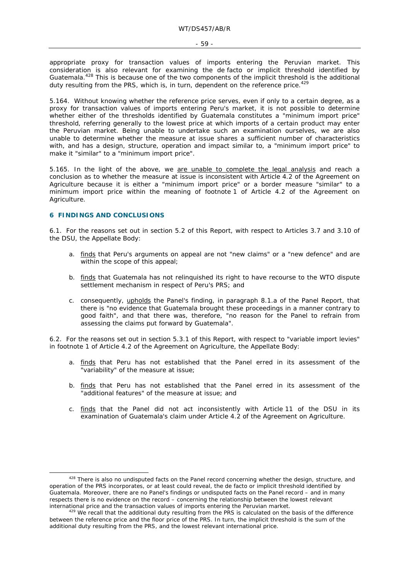appropriate proxy for transaction values of imports entering the Peruvian market. This consideration is also relevant for examining the *de facto* or implicit threshold identified by Guatemala.<sup>428</sup> This is because one of the two components of the implicit threshold is the additional duty resulting from the PRS, which is, in turn, dependent on the reference price.<sup>429</sup>

5.164. Without knowing whether the reference price serves, even if only to a certain degree, as a proxy for transaction values of imports entering Peru's market, it is not possible to determine whether either of the thresholds identified by Guatemala constitutes a "minimum import price" threshold, referring generally to the lowest price at which imports of a certain product may enter the Peruvian market. Being unable to undertake such an examination ourselves, we are also unable to determine whether the measure at issue shares a sufficient number of characteristics with, and has a design, structure, operation and impact similar to, a "minimum import price" to make it "similar" to a "minimum import price".

5.165. In the light of the above, we are unable to complete the legal analysis and reach a conclusion as to whether the measure at issue is inconsistent with Article 4.2 of the Agreement on Agriculture because it is either a "minimum import price" or a border measure "similar" to a minimum import price within the meaning of footnote 1 of Article 4.2 of the Agreement on Agriculture.

# **6 FINDINGS AND CONCLUSIONS**

6.1. For the reasons set out in section 5.2 of this Report, with respect to Articles 3.7 and 3.10 of the DSU, the Appellate Body:

- a. finds that Peru's arguments on appeal are not "new claims" or a "new defence" and are within the scope of this appeal;
- b. finds that Guatemala has not relinquished its right to have recourse to the WTO dispute settlement mechanism in respect of Peru's PRS; and
- c. consequently, upholds the Panel's finding, in paragraph 8.1.a of the Panel Report, that there is "no evidence that Guatemala brought these proceedings in a manner contrary to good faith", and that there was, therefore, "no reason for the Panel to refrain from assessing the claims put forward by Guatemala".

6.2. For the reasons set out in section 5.3.1 of this Report, with respect to "variable import levies" in footnote 1 of Article 4.2 of the Agreement on Agriculture, the Appellate Body:

- a. finds that Peru has not established that the Panel erred in its assessment of the "variability" of the measure at issue;
- b. finds that Peru has not established that the Panel erred in its assessment of the "additional features" of the measure at issue; and
- c. finds that the Panel did not act inconsistently with Article 11 of the DSU in its examination of Guatemala's claim under Article 4.2 of the Agreement on Agriculture.

<sup>&</sup>lt;sup>428</sup> There is also no undisputed facts on the Panel record concerning whether the design, structure, and operation of the PRS incorporates, or at least could reveal, the *de facto* or implicit threshold identified by Guatemala. Moreover, there are no Panel's findings or undisputed facts on the Panel record – and in many respects there is no evidence on the record – concerning the relationship between the lowest relevant international price and the transaction values of imports entering the Peruvian market.<br><sup>429</sup> We recall that the additional duty resulting from the PRS is calculated on the basis of the difference

between the reference price and the floor price of the PRS. In turn, the implicit threshold is the sum of the additional duty resulting from the PRS, and the lowest relevant international price.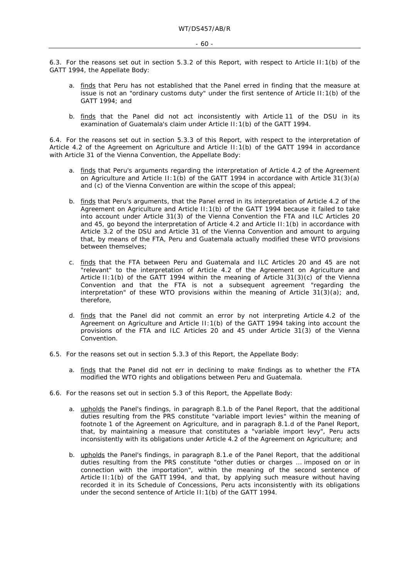6.3. For the reasons set out in section 5.3.2 of this Report, with respect to Article II:1(b) of the GATT 1994, the Appellate Body:

- a. finds that Peru has not established that the Panel erred in finding that the measure at issue is not an "ordinary customs duty" under the first sentence of Article II:1(b) of the GATT 1994; and
- b. finds that the Panel did not act inconsistently with Article 11 of the DSU in its examination of Guatemala's claim under Article II:1(b) of the GATT 1994.

6.4. For the reasons set out in section 5.3.3 of this Report, with respect to the interpretation of Article 4.2 of the Agreement on Agriculture and Article II:1(b) of the GATT 1994 in accordance with Article 31 of the Vienna Convention, the Appellate Body:

- a. finds that Peru's arguments regarding the interpretation of Article 4.2 of the Agreement on Agriculture and Article II: 1(b) of the GATT 1994 in accordance with Article 31(3)(a) and (c) of the Vienna Convention are within the scope of this appeal;
- b. finds that Peru's arguments, that the Panel erred in its interpretation of Article 4.2 of the Agreement on Agriculture and Article II:1(b) of the GATT 1994 because it failed to take into account under Article 31(3) of the Vienna Convention the FTA and ILC Articles 20 and 45, go beyond the interpretation of Article 4.2 and Article II:1(b) in accordance with Article 3.2 of the DSU and Article 31 of the Vienna Convention and amount to arguing that, by means of the FTA, Peru and Guatemala actually modified these WTO provisions between themselves;
- c. finds that the FTA between Peru and Guatemala and ILC Articles 20 and 45 are not "relevant" to the interpretation of Article 4.2 of the Agreement on Agriculture and Article II:1(b) of the GATT 1994 within the meaning of Article  $31(3)(c)$  of the Vienna Convention and that the FTA is not a subsequent agreement "regarding the interpretation" of these WTO provisions within the meaning of Article  $31(3)(a)$ ; and, therefore,
- d. finds that the Panel did not commit an error by not interpreting Article 4.2 of the Agreement on Agriculture and Article II:1(b) of the GATT 1994 taking into account the provisions of the FTA and ILC Articles 20 and 45 under Article 31(3) of the Vienna Convention.
- 6.5. For the reasons set out in section 5.3.3 of this Report, the Appellate Body:
	- a. finds that the Panel did not err in declining to make findings as to whether the FTA modified the WTO rights and obligations between Peru and Guatemala.
- 6.6. For the reasons set out in section 5.3 of this Report, the Appellate Body:
	- a. upholds the Panel's findings, in paragraph 8.1.b of the Panel Report, that the additional duties resulting from the PRS constitute "variable import levies" within the meaning of footnote 1 of the Agreement on Agriculture, and in paragraph 8.1.d of the Panel Report, that, by maintaining a measure that constitutes a "variable import levy", Peru acts inconsistently with its obligations under Article 4.2 of the Agreement on Agriculture; and
	- b. upholds the Panel's findings, in paragraph 8.1.e of the Panel Report, that the additional duties resulting from the PRS constitute "other duties or charges ... imposed on or in connection with the importation", within the meaning of the second sentence of Article II:1(b) of the GATT 1994, and that, by applying such measure without having recorded it in its Schedule of Concessions, Peru acts inconsistently with its obligations under the second sentence of Article II:1(b) of the GATT 1994.